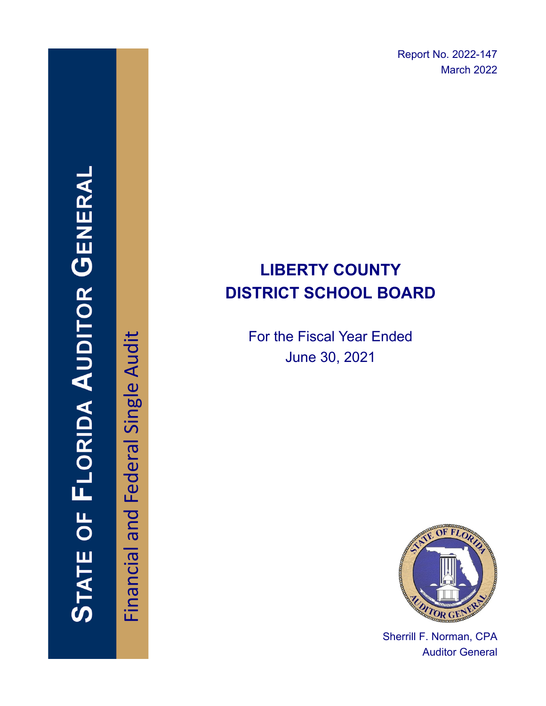Report No. 2022-147 March 2022

# **LIBERTY COUNTY DISTRICT SCHOOL BOARD**

For the Fiscal Year Ended June 30, 2021



Sherrill F. Norman, CPA Auditor General

Financial and Federal Single Audit Financial and Federal Single Audit

STATE OF FLORIDA AUDITOR GENERAI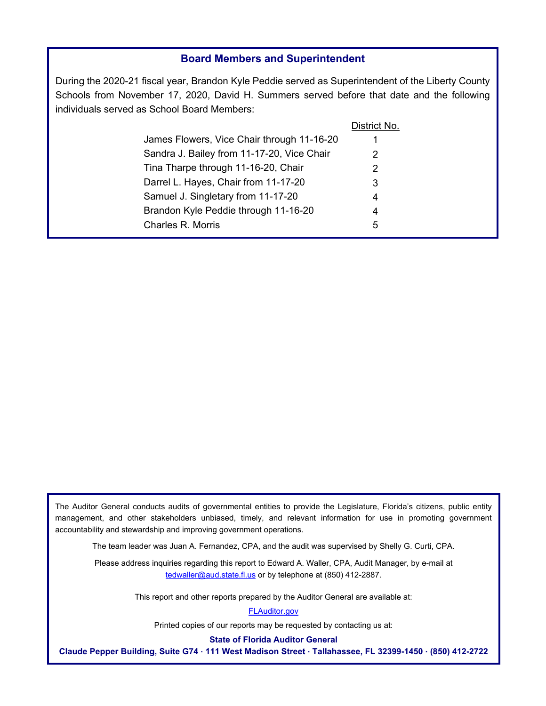### **Board Members and Superintendent**

During the 2020-21 fiscal year, Brandon Kyle Peddie served as Superintendent of the Liberty County Schools from November 17, 2020, David H. Summers served before that date and the following individuals served as School Board Members:

|                                            | District No. |
|--------------------------------------------|--------------|
| James Flowers, Vice Chair through 11-16-20 | 1            |
| Sandra J. Bailey from 11-17-20, Vice Chair | 2            |
| Tina Tharpe through 11-16-20, Chair        | 2            |
| Darrel L. Hayes, Chair from 11-17-20       | 3            |
| Samuel J. Singletary from 11-17-20         | 4            |
| Brandon Kyle Peddie through 11-16-20       | 4            |
| <b>Charles R. Morris</b>                   | 5            |
|                                            |              |

District No.

The Auditor General conducts audits of governmental entities to provide the Legislature, Florida's citizens, public entity management, and other stakeholders unbiased, timely, and relevant information for use in promoting government accountability and stewardship and improving government operations.

The team leader was Juan A. Fernandez, CPA, and the audit was supervised by Shelly G. Curti, CPA.

Please address inquiries regarding this report to Edward A. Waller, CPA, Audit Manager, by e-mail at tedwaller@aud.state.fl.us or by telephone at (850) 412-2887.

This report and other reports prepared by the Auditor General are available at:

[FLAuditor.gov](http://flauditor.gov/)

Printed copies of our reports may be requested by contacting us at:

**State of Florida Auditor General** 

**Claude Pepper Building, Suite G74 · 111 West Madison Street · Tallahassee, FL 32399-1450 · (850) 412-2722**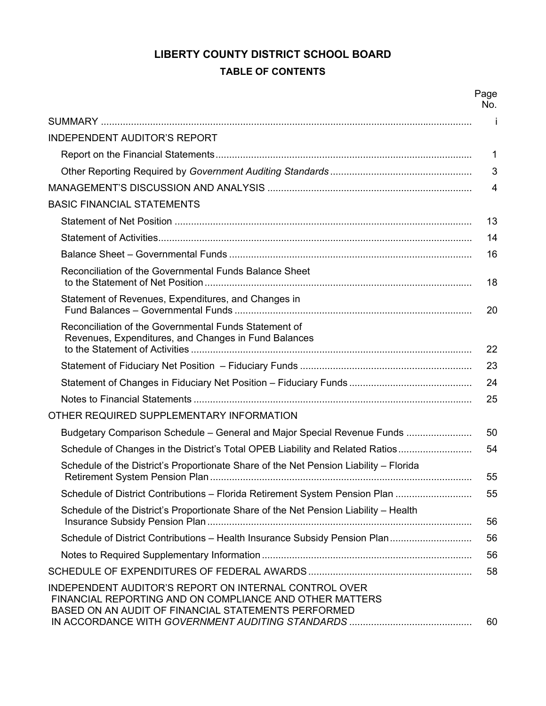# **LIBERTY COUNTY DISTRICT SCHOOL BOARD TABLE OF CONTENTS**

|                                                                                                                                                                         | Page<br>No. |
|-------------------------------------------------------------------------------------------------------------------------------------------------------------------------|-------------|
|                                                                                                                                                                         | Ť           |
| <b>INDEPENDENT AUDITOR'S REPORT</b>                                                                                                                                     |             |
|                                                                                                                                                                         | 1           |
|                                                                                                                                                                         | 3           |
|                                                                                                                                                                         | 4           |
| <b>BASIC FINANCIAL STATEMENTS</b>                                                                                                                                       |             |
|                                                                                                                                                                         | 13          |
|                                                                                                                                                                         | 14          |
|                                                                                                                                                                         | 16          |
| Reconciliation of the Governmental Funds Balance Sheet                                                                                                                  | 18          |
| Statement of Revenues, Expenditures, and Changes in                                                                                                                     | 20          |
| Reconciliation of the Governmental Funds Statement of<br>Revenues, Expenditures, and Changes in Fund Balances                                                           | 22          |
|                                                                                                                                                                         | 23          |
|                                                                                                                                                                         | 24          |
|                                                                                                                                                                         | 25          |
| OTHER REQUIRED SUPPLEMENTARY INFORMATION                                                                                                                                |             |
| Budgetary Comparison Schedule – General and Major Special Revenue Funds                                                                                                 | 50          |
| Schedule of Changes in the District's Total OPEB Liability and Related Ratios                                                                                           | 54          |
| Schedule of the District's Proportionate Share of the Net Pension Liability - Florida                                                                                   | 55          |
| Schedule of District Contributions - Florida Retirement System Pension Plan                                                                                             | 55          |
| Schedule of the District's Proportionate Share of the Net Pension Liability - Health                                                                                    | 56          |
| Schedule of District Contributions - Health Insurance Subsidy Pension Plan                                                                                              | 56          |
|                                                                                                                                                                         | 56          |
|                                                                                                                                                                         | 58          |
| INDEPENDENT AUDITOR'S REPORT ON INTERNAL CONTROL OVER<br>FINANCIAL REPORTING AND ON COMPLIANCE AND OTHER MATTERS<br>BASED ON AN AUDIT OF FINANCIAL STATEMENTS PERFORMED | 60          |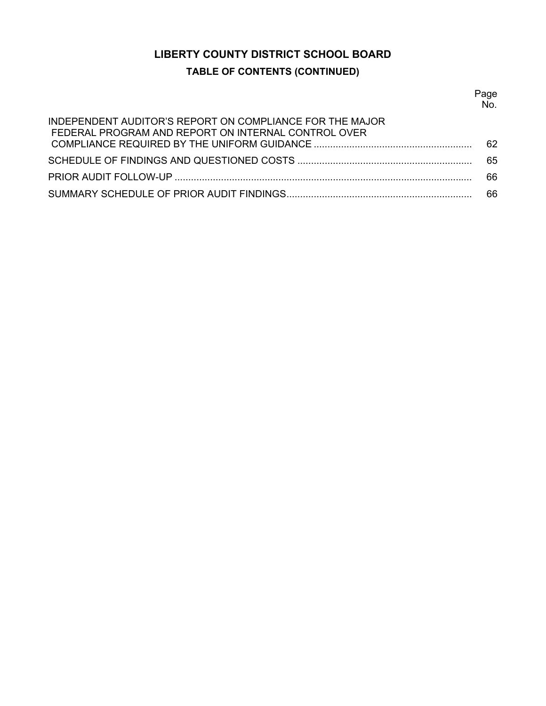# **LIBERTY COUNTY DISTRICT SCHOOL BOARD**

# **TABLE OF CONTENTS (CONTINUED)**

Page No.

| INDEPENDENT AUDITOR'S REPORT ON COMPLIANCE FOR THE MAJOR |      |
|----------------------------------------------------------|------|
| FEDERAL PROGRAM AND REPORT ON INTERNAL CONTROL OVER      |      |
|                                                          | -62. |
|                                                          |      |
|                                                          | -66  |
|                                                          | 66.  |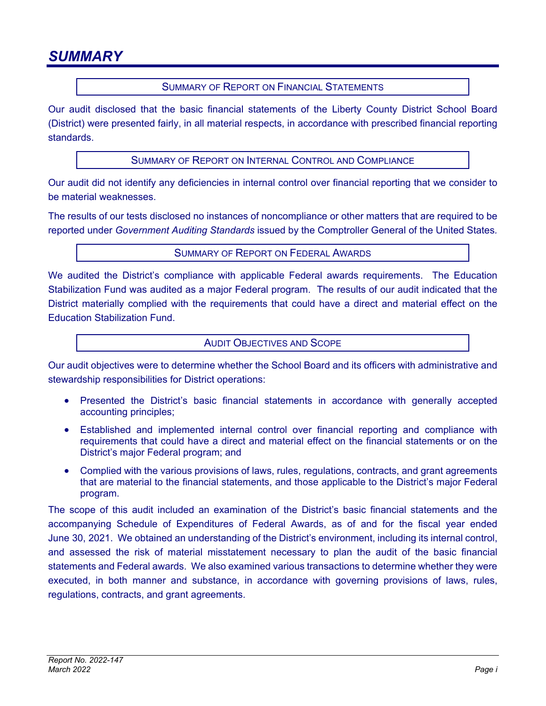## SUMMARY OF REPORT ON FINANCIAL STATEMENTS

<span id="page-4-0"></span>Our audit disclosed that the basic financial statements of the Liberty County District School Board (District) were presented fairly, in all material respects, in accordance with prescribed financial reporting standards.

SUMMARY OF REPORT ON INTERNAL CONTROL AND COMPLIANCE

Our audit did not identify any deficiencies in internal control over financial reporting that we consider to be material weaknesses.

The results of our tests disclosed no instances of noncompliance or other matters that are required to be reported under *Government Auditing Standards* issued by the Comptroller General of the United States*.* 

SUMMARY OF REPORT ON FEDERAL AWARDS

We audited the District's compliance with applicable Federal awards requirements. The Education Stabilization Fund was audited as a major Federal program. The results of our audit indicated that the District materially complied with the requirements that could have a direct and material effect on the Education Stabilization Fund.

### AUDIT OBJECTIVES AND SCOPE

Our audit objectives were to determine whether the School Board and its officers with administrative and stewardship responsibilities for District operations:

- Presented the District's basic financial statements in accordance with generally accepted accounting principles;
- Established and implemented internal control over financial reporting and compliance with requirements that could have a direct and material effect on the financial statements or on the District's major Federal program; and
- Complied with the various provisions of laws, rules, regulations, contracts, and grant agreements that are material to the financial statements, and those applicable to the District's major Federal program.

The scope of this audit included an examination of the District's basic financial statements and the accompanying Schedule of Expenditures of Federal Awards, as of and for the fiscal year ended June 30, 2021. We obtained an understanding of the District's environment, including its internal control, and assessed the risk of material misstatement necessary to plan the audit of the basic financial statements and Federal awards. We also examined various transactions to determine whether they were executed, in both manner and substance, in accordance with governing provisions of laws, rules, regulations, contracts, and grant agreements.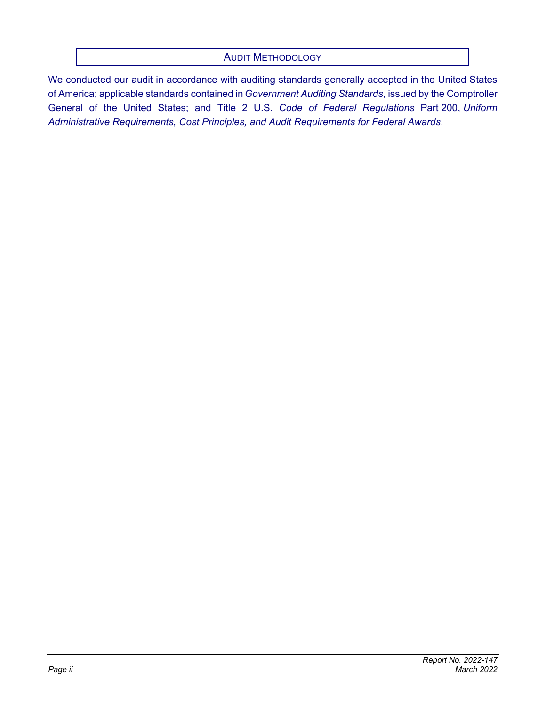## AUDIT METHODOLOGY

We conducted our audit in accordance with auditing standards generally accepted in the United States of America; applicable standards contained in *Government Auditing Standards*, issued by the Comptroller General of the United States; and Title 2 U.S. *Code of Federal Regulations* Part 200, *Uniform Administrative Requirements, Cost Principles, and Audit Requirements for Federal Awards*.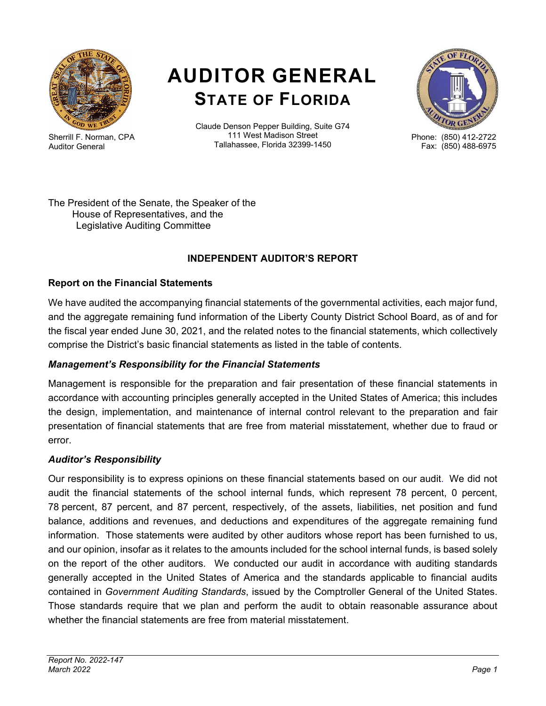<span id="page-6-0"></span>

Sherrill F. Norman, CPA Auditor General

# **AUDITOR GENERAL STATE OF FLORIDA**

Claude Denson Pepper Building, Suite G74 111 West Madison Street Tallahassee, Florida 32399-1450



Phone: (850) 412-2722 Fax: (850) 488-6975

The President of the Senate, the Speaker of the House of Representatives, and the Legislative Auditing Committee

## **INDEPENDENT AUDITOR'S REPORT**

## **Report on the Financial Statements**

We have audited the accompanying financial statements of the governmental activities, each major fund, and the aggregate remaining fund information of the Liberty County District School Board, as of and for the fiscal year ended June 30, 2021, and the related notes to the financial statements, which collectively comprise the District's basic financial statements as listed in the table of contents.

## *Management's Responsibility for the Financial Statements*

Management is responsible for the preparation and fair presentation of these financial statements in accordance with accounting principles generally accepted in the United States of America; this includes the design, implementation, and maintenance of internal control relevant to the preparation and fair presentation of financial statements that are free from material misstatement, whether due to fraud or error.

## *Auditor's Responsibility*

Our responsibility is to express opinions on these financial statements based on our audit. We did not audit the financial statements of the school internal funds, which represent 78 percent, 0 percent, 78 percent, 87 percent, and 87 percent, respectively, of the assets, liabilities, net position and fund balance, additions and revenues, and deductions and expenditures of the aggregate remaining fund information. Those statements were audited by other auditors whose report has been furnished to us, and our opinion, insofar as it relates to the amounts included for the school internal funds, is based solely on the report of the other auditors. We conducted our audit in accordance with auditing standards generally accepted in the United States of America and the standards applicable to financial audits contained in *Government Auditing Standards*, issued by the Comptroller General of the United States. Those standards require that we plan and perform the audit to obtain reasonable assurance about whether the financial statements are free from material misstatement.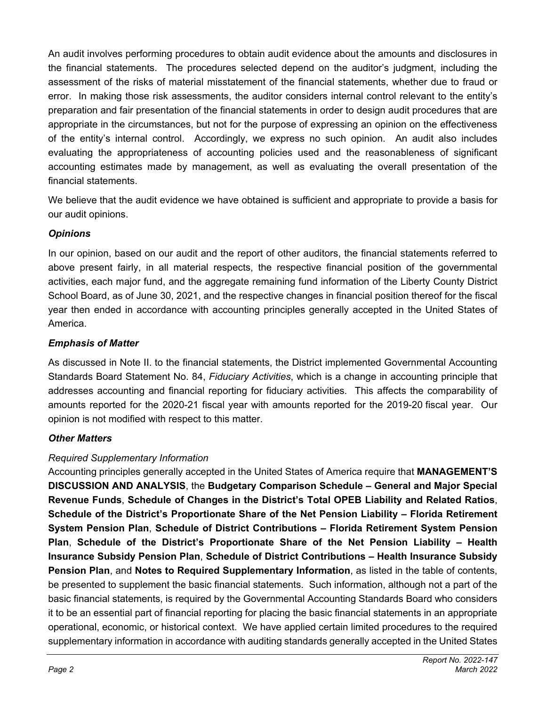An audit involves performing procedures to obtain audit evidence about the amounts and disclosures in the financial statements. The procedures selected depend on the auditor's judgment, including the assessment of the risks of material misstatement of the financial statements, whether due to fraud or error. In making those risk assessments, the auditor considers internal control relevant to the entity's preparation and fair presentation of the financial statements in order to design audit procedures that are appropriate in the circumstances, but not for the purpose of expressing an opinion on the effectiveness of the entity's internal control. Accordingly, we express no such opinion. An audit also includes evaluating the appropriateness of accounting policies used and the reasonableness of significant accounting estimates made by management, as well as evaluating the overall presentation of the financial statements.

We believe that the audit evidence we have obtained is sufficient and appropriate to provide a basis for our audit opinions.

## *Opinions*

In our opinion, based on our audit and the report of other auditors, the financial statements referred to above present fairly, in all material respects, the respective financial position of the governmental activities, each major fund, and the aggregate remaining fund information of the Liberty County District School Board, as of June 30, 2021, and the respective changes in financial position thereof for the fiscal year then ended in accordance with accounting principles generally accepted in the United States of America.

## *Emphasis of Matter*

As discussed in Note II. to the financial statements, the District implemented Governmental Accounting Standards Board Statement No. 84, *Fiduciary Activities*, which is a change in accounting principle that addresses accounting and financial reporting for fiduciary activities. This affects the comparability of amounts reported for the 2020-21 fiscal year with amounts reported for the 2019-20 fiscal year. Our opinion is not modified with respect to this matter.

## *Other Matters*

## *Required Supplementary Information*

Accounting principles generally accepted in the United States of America require that **MANAGEMENT'S DISCUSSION AND ANALYSIS**, the **Budgetary Comparison Schedule – General and Major Special Revenue Funds**, **Schedule of Changes in the District's Total OPEB Liability and Related Ratios**, **Schedule of the District's Proportionate Share of the Net Pension Liability – Florida Retirement System Pension Plan**, **Schedule of District Contributions – Florida Retirement System Pension Plan**, **Schedule of the District's Proportionate Share of the Net Pension Liability – Health Insurance Subsidy Pension Plan**, **Schedule of District Contributions – Health Insurance Subsidy Pension Plan**, and **Notes to Required Supplementary Information**, as listed in the table of contents, be presented to supplement the basic financial statements. Such information, although not a part of the basic financial statements, is required by the Governmental Accounting Standards Board who considers it to be an essential part of financial reporting for placing the basic financial statements in an appropriate operational, economic, or historical context. We have applied certain limited procedures to the required supplementary information in accordance with auditing standards generally accepted in the United States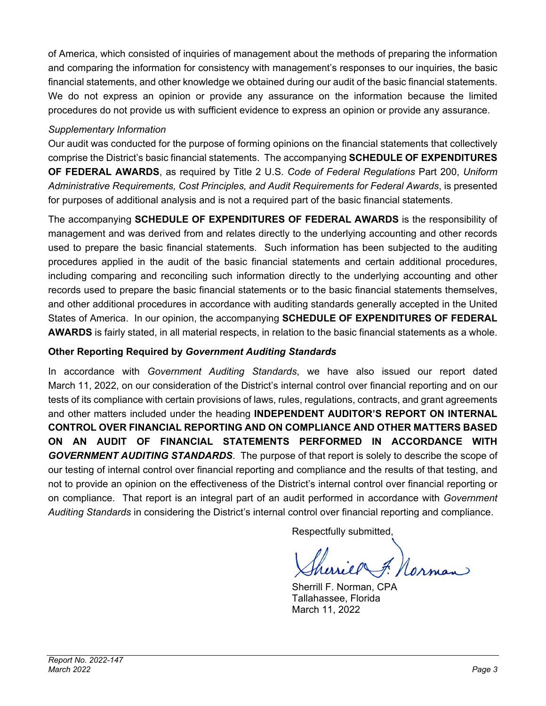<span id="page-8-0"></span>of America, which consisted of inquiries of management about the methods of preparing the information and comparing the information for consistency with management's responses to our inquiries, the basic financial statements, and other knowledge we obtained during our audit of the basic financial statements. We do not express an opinion or provide any assurance on the information because the limited procedures do not provide us with sufficient evidence to express an opinion or provide any assurance.

## *Supplementary Information*

Our audit was conducted for the purpose of forming opinions on the financial statements that collectively comprise the District's basic financial statements. The accompanying **SCHEDULE OF EXPENDITURES OF FEDERAL AWARDS**, as required by Title 2 U.S. *Code of Federal Regulations* Part 200, *Uniform Administrative Requirements, Cost Principles, and Audit Requirements for Federal Awards*, is presented for purposes of additional analysis and is not a required part of the basic financial statements.

The accompanying **SCHEDULE OF EXPENDITURES OF FEDERAL AWARDS** is the responsibility of management and was derived from and relates directly to the underlying accounting and other records used to prepare the basic financial statements. Such information has been subjected to the auditing procedures applied in the audit of the basic financial statements and certain additional procedures, including comparing and reconciling such information directly to the underlying accounting and other records used to prepare the basic financial statements or to the basic financial statements themselves, and other additional procedures in accordance with auditing standards generally accepted in the United States of America. In our opinion, the accompanying **SCHEDULE OF EXPENDITURES OF FEDERAL AWARDS** is fairly stated, in all material respects, in relation to the basic financial statements as a whole.

## **Other Reporting Required by** *Government Auditing Standards*

In accordance with *Government Auditing Standards*, we have also issued our report dated March 11, 2022, on our consideration of the District's internal control over financial reporting and on our tests of its compliance with certain provisions of laws, rules, regulations, contracts, and grant agreements and other matters included under the heading **INDEPENDENT AUDITOR'S REPORT ON INTERNAL CONTROL OVER FINANCIAL REPORTING AND ON COMPLIANCE AND OTHER MATTERS BASED ON AN AUDIT OF FINANCIAL STATEMENTS PERFORMED IN ACCORDANCE WITH**  *GOVERNMENT AUDITING STANDARDS*. The purpose of that report is solely to describe the scope of our testing of internal control over financial reporting and compliance and the results of that testing, and not to provide an opinion on the effectiveness of the District's internal control over financial reporting or on compliance. That report is an integral part of an audit performed in accordance with *Government Auditing Standards* in considering the District's internal control over financial reporting and compliance.

Respectfully submitted,

Sherrill F. Norman, CPA Tallahassee, Florida March 11, 2022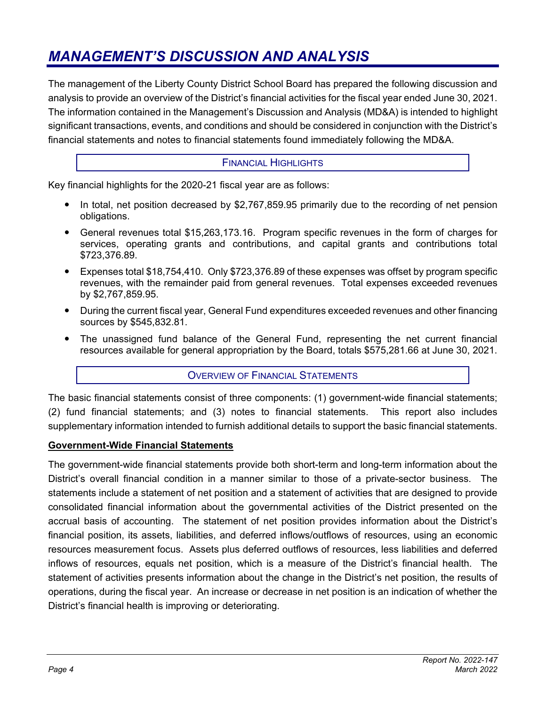# <span id="page-9-0"></span>*MANAGEMENT'S DISCUSSION AND ANALYSIS*

The management of the Liberty County District School Board has prepared the following discussion and analysis to provide an overview of the District's financial activities for the fiscal year ended June 30, 2021. The information contained in the Management's Discussion and Analysis (MD&A) is intended to highlight significant transactions, events, and conditions and should be considered in conjunction with the District's financial statements and notes to financial statements found immediately following the MD&A.

## FINANCIAL HIGHLIGHTS

Key financial highlights for the 2020-21 fiscal year are as follows:

- In total, net position decreased by \$2,767,859.95 primarily due to the recording of net pension obligations.
- General revenues total \$15,263,173.16. Program specific revenues in the form of charges for services, operating grants and contributions, and capital grants and contributions total \$723,376.89.
- Expenses total \$18,754,410. Only \$723,376.89 of these expenses was offset by program specific revenues, with the remainder paid from general revenues. Total expenses exceeded revenues by \$2,767,859.95.
- During the current fiscal year, General Fund expenditures exceeded revenues and other financing sources by \$545,832.81.
- The unassigned fund balance of the General Fund, representing the net current financial resources available for general appropriation by the Board, totals \$575,281.66 at June 30, 2021.

## OVERVIEW OF FINANCIAL STATEMENTS

The basic financial statements consist of three components: (1) government-wide financial statements; (2) fund financial statements; and (3) notes to financial statements. This report also includes supplementary information intended to furnish additional details to support the basic financial statements.

### **Government-Wide Financial Statements**

The government-wide financial statements provide both short-term and long-term information about the District's overall financial condition in a manner similar to those of a private-sector business. The statements include a statement of net position and a statement of activities that are designed to provide consolidated financial information about the governmental activities of the District presented on the accrual basis of accounting. The statement of net position provides information about the District's financial position, its assets, liabilities, and deferred inflows/outflows of resources, using an economic resources measurement focus. Assets plus deferred outflows of resources, less liabilities and deferred inflows of resources, equals net position, which is a measure of the District's financial health. The statement of activities presents information about the change in the District's net position, the results of operations, during the fiscal year. An increase or decrease in net position is an indication of whether the District's financial health is improving or deteriorating.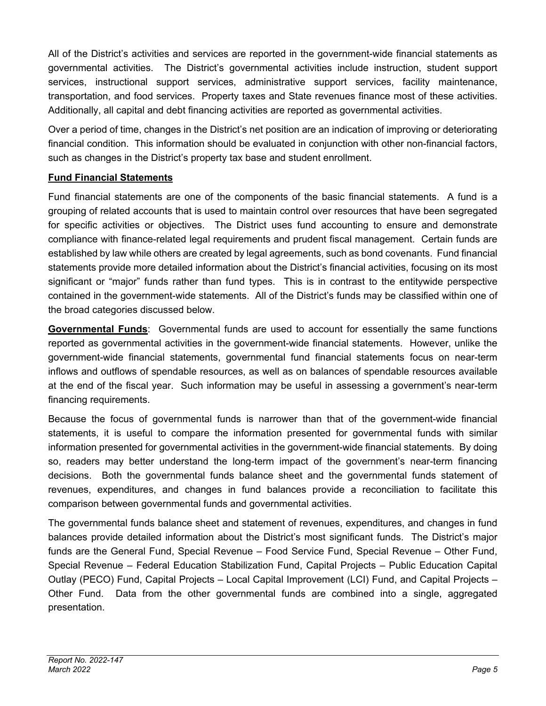All of the District's activities and services are reported in the government-wide financial statements as governmental activities. The District's governmental activities include instruction, student support services, instructional support services, administrative support services, facility maintenance, transportation, and food services. Property taxes and State revenues finance most of these activities. Additionally, all capital and debt financing activities are reported as governmental activities.

Over a period of time, changes in the District's net position are an indication of improving or deteriorating financial condition. This information should be evaluated in conjunction with other non-financial factors, such as changes in the District's property tax base and student enrollment.

## **Fund Financial Statements**

Fund financial statements are one of the components of the basic financial statements. A fund is a grouping of related accounts that is used to maintain control over resources that have been segregated for specific activities or objectives. The District uses fund accounting to ensure and demonstrate compliance with finance-related legal requirements and prudent fiscal management. Certain funds are established by law while others are created by legal agreements, such as bond covenants. Fund financial statements provide more detailed information about the District's financial activities, focusing on its most significant or "major" funds rather than fund types. This is in contrast to the entitywide perspective contained in the government-wide statements. All of the District's funds may be classified within one of the broad categories discussed below.

**Governmental Funds**: Governmental funds are used to account for essentially the same functions reported as governmental activities in the government-wide financial statements. However, unlike the government-wide financial statements, governmental fund financial statements focus on near-term inflows and outflows of spendable resources, as well as on balances of spendable resources available at the end of the fiscal year. Such information may be useful in assessing a government's near-term financing requirements.

Because the focus of governmental funds is narrower than that of the government-wide financial statements, it is useful to compare the information presented for governmental funds with similar information presented for governmental activities in the government-wide financial statements. By doing so, readers may better understand the long-term impact of the government's near-term financing decisions. Both the governmental funds balance sheet and the governmental funds statement of revenues, expenditures, and changes in fund balances provide a reconciliation to facilitate this comparison between governmental funds and governmental activities.

The governmental funds balance sheet and statement of revenues, expenditures, and changes in fund balances provide detailed information about the District's most significant funds. The District's major funds are the General Fund, Special Revenue – Food Service Fund, Special Revenue – Other Fund, Special Revenue – Federal Education Stabilization Fund, Capital Projects – Public Education Capital Outlay (PECO) Fund, Capital Projects – Local Capital Improvement (LCI) Fund, and Capital Projects – Other Fund. Data from the other governmental funds are combined into a single, aggregated presentation.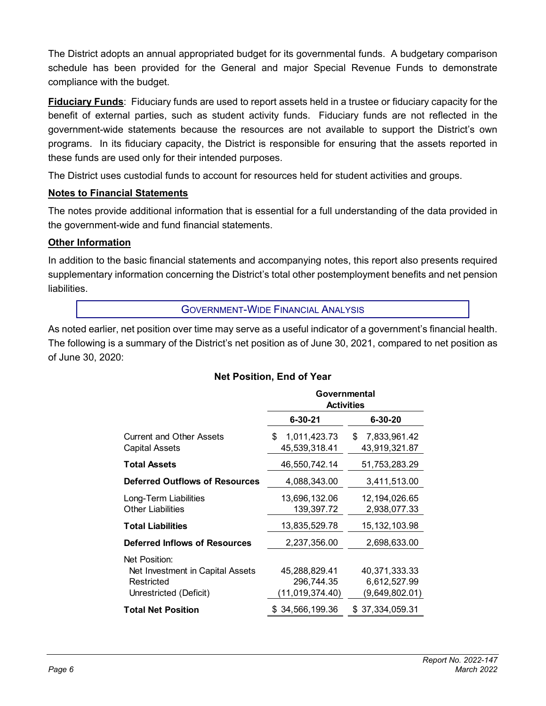The District adopts an annual appropriated budget for its governmental funds. A budgetary comparison schedule has been provided for the General and major Special Revenue Funds to demonstrate compliance with the budget.

**Fiduciary Funds**: Fiduciary funds are used to report assets held in a trustee or fiduciary capacity for the benefit of external parties, such as student activity funds. Fiduciary funds are not reflected in the government-wide statements because the resources are not available to support the District's own programs. In its fiduciary capacity, the District is responsible for ensuring that the assets reported in these funds are used only for their intended purposes.

The District uses custodial funds to account for resources held for student activities and groups.

## **Notes to Financial Statements**

The notes provide additional information that is essential for a full understanding of the data provided in the government-wide and fund financial statements.

## **Other Information**

In addition to the basic financial statements and accompanying notes, this report also presents required supplementary information concerning the District's total other postemployment benefits and net pension liabilities.

GOVERNMENT-WIDE FINANCIAL ANALYSIS

As noted earlier, net position over time may serve as a useful indicator of a government's financial health. The following is a summary of the District's net position as of June 30, 2021, compared to net position as of June 30, 2020:

## **Net Position, End of Year**

|                                                                                           | Governmental<br><b>Activities</b>              |                                                 |  |  |  |  |
|-------------------------------------------------------------------------------------------|------------------------------------------------|-------------------------------------------------|--|--|--|--|
|                                                                                           | 6-30-21                                        | 6-30-20                                         |  |  |  |  |
| <b>Current and Other Assets</b><br>Capital Assets                                         | 1,011,423.73<br>\$.<br>45,539,318.41           | 7,833,961.42<br>\$<br>43,919,321.87             |  |  |  |  |
| <b>Total Assets</b>                                                                       | 46,550,742.14                                  | 51,753,283.29                                   |  |  |  |  |
| <b>Deferred Outflows of Resources</b>                                                     | 4,088,343.00                                   | 3,411,513.00                                    |  |  |  |  |
| Long-Term Liabilities<br><b>Other Liabilities</b>                                         | 13,696,132.06<br>139,397.72                    | 12, 194, 026.65<br>2,938,077.33                 |  |  |  |  |
| <b>Total Liabilities</b>                                                                  | 13,835,529.78                                  | 15, 132, 103.98                                 |  |  |  |  |
| <b>Deferred Inflows of Resources</b>                                                      | 2,237,356.00                                   | 2,698,633.00                                    |  |  |  |  |
| Net Position:<br>Net Investment in Capital Assets<br>Restricted<br>Unrestricted (Deficit) | 45,288,829.41<br>296,744.35<br>(11,019,374.40) | 40,371,333.33<br>6,612,527.99<br>(9,649,802.01) |  |  |  |  |
| <b>Total Net Position</b>                                                                 | \$34,566,199.36<br>\$37,334,059.31             |                                                 |  |  |  |  |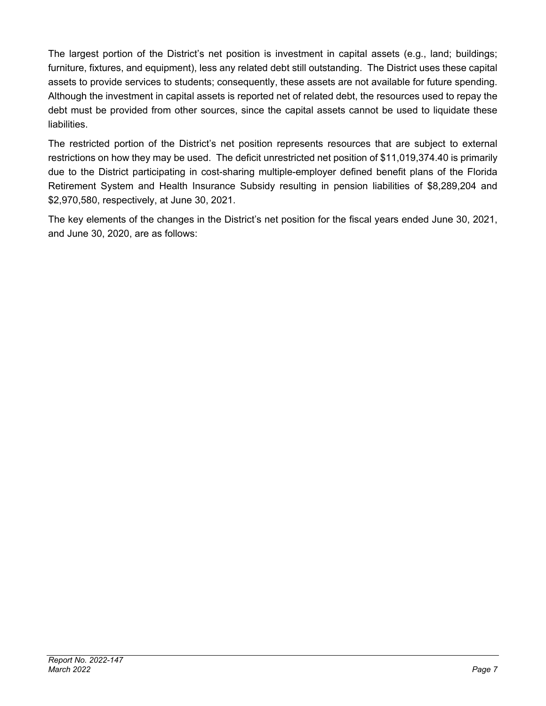The largest portion of the District's net position is investment in capital assets (e.g., land; buildings; furniture, fixtures, and equipment), less any related debt still outstanding. The District uses these capital assets to provide services to students; consequently, these assets are not available for future spending. Although the investment in capital assets is reported net of related debt, the resources used to repay the debt must be provided from other sources, since the capital assets cannot be used to liquidate these liabilities.

The restricted portion of the District's net position represents resources that are subject to external restrictions on how they may be used. The deficit unrestricted net position of \$11,019,374.40 is primarily due to the District participating in cost-sharing multiple-employer defined benefit plans of the Florida Retirement System and Health Insurance Subsidy resulting in pension liabilities of \$8,289,204 and \$2,970,580, respectively, at June 30, 2021.

The key elements of the changes in the District's net position for the fiscal years ended June 30, 2021, and June 30, 2020, are as follows: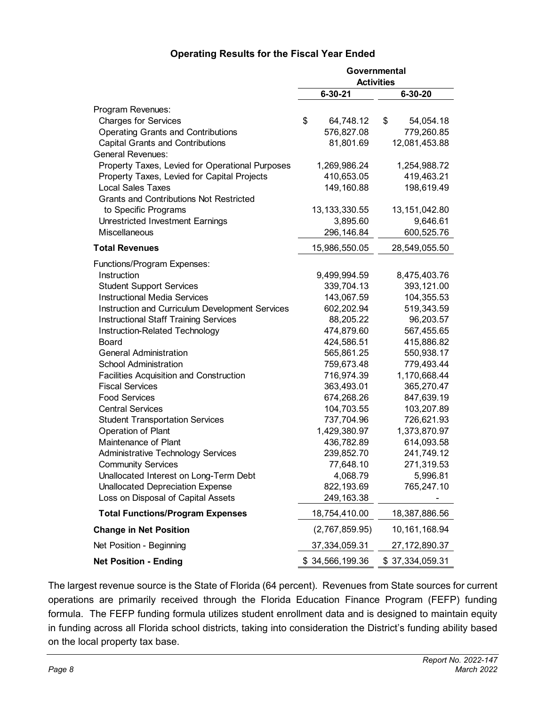## **Operating Results for the Fiscal Year Ended**

|                                                 |                   | Governmental     |  |  |
|-------------------------------------------------|-------------------|------------------|--|--|
|                                                 | <b>Activities</b> |                  |  |  |
|                                                 | $6 - 30 - 21$     | $6 - 30 - 20$    |  |  |
| Program Revenues:                               |                   |                  |  |  |
| <b>Charges for Services</b>                     | \$<br>64,748.12   | \$<br>54,054.18  |  |  |
| <b>Operating Grants and Contributions</b>       | 576,827.08        | 779,260.85       |  |  |
| <b>Capital Grants and Contributions</b>         | 81,801.69         | 12,081,453.88    |  |  |
| <b>General Revenues:</b>                        |                   |                  |  |  |
| Property Taxes, Levied for Operational Purposes | 1,269,986.24      | 1,254,988.72     |  |  |
| Property Taxes, Levied for Capital Projects     | 410,653.05        | 419,463.21       |  |  |
| <b>Local Sales Taxes</b>                        | 149,160.88        | 198,619.49       |  |  |
| <b>Grants and Contributions Not Restricted</b>  |                   |                  |  |  |
| to Specific Programs                            | 13, 133, 330.55   | 13, 151, 042.80  |  |  |
| <b>Unrestricted Investment Earnings</b>         | 3,895.60          | 9,646.61         |  |  |
| Miscellaneous                                   | 296,146.84        | 600,525.76       |  |  |
| <b>Total Revenues</b>                           | 15,986,550.05     | 28,549,055.50    |  |  |
| Functions/Program Expenses:                     |                   |                  |  |  |
| Instruction                                     | 9,499,994.59      | 8,475,403.76     |  |  |
| <b>Student Support Services</b>                 | 339,704.13        | 393,121.00       |  |  |
| <b>Instructional Media Services</b>             | 143,067.59        | 104,355.53       |  |  |
| Instruction and Curriculum Development Services | 602,202.94        | 519,343.59       |  |  |
| <b>Instructional Staff Training Services</b>    | 88,205.22         | 96,203.57        |  |  |
| Instruction-Related Technology                  | 474,879.60        | 567,455.65       |  |  |
| <b>Board</b>                                    | 424,586.51        | 415,886.82       |  |  |
| <b>General Administration</b>                   | 565,861.25        | 550,938.17       |  |  |
| <b>School Administration</b>                    | 759,673.48        | 779,493.44       |  |  |
| <b>Facilities Acquisition and Construction</b>  | 716,974.39        | 1,170,668.44     |  |  |
| <b>Fiscal Services</b>                          | 363,493.01        | 365,270.47       |  |  |
| <b>Food Services</b>                            | 674,268.26        | 847,639.19       |  |  |
| <b>Central Services</b>                         | 104,703.55        | 103,207.89       |  |  |
| <b>Student Transportation Services</b>          | 737,704.96        | 726,621.93       |  |  |
| Operation of Plant                              | 1,429,380.97      | 1,373,870.97     |  |  |
| Maintenance of Plant                            | 436,782.89        | 614,093.58       |  |  |
| <b>Administrative Technology Services</b>       | 239,852.70        | 241,749.12       |  |  |
| <b>Community Services</b>                       | 77,648.10         | 271,319.53       |  |  |
| Unallocated Interest on Long-Term Debt          | 4,068.79          | 5,996.81         |  |  |
| <b>Unallocated Depreciation Expense</b>         | 822,193.69        | 765,247.10       |  |  |
| Loss on Disposal of Capital Assets              | 249,163.38        |                  |  |  |
| <b>Total Functions/Program Expenses</b>         | 18,754,410.00     | 18,387,886.56    |  |  |
| <b>Change in Net Position</b>                   | (2,767,859.95)    | 10, 161, 168. 94 |  |  |
| Net Position - Beginning                        | 37,334,059.31     | 27,172,890.37    |  |  |
| <b>Net Position - Ending</b>                    | \$34,566,199.36   | \$37,334,059.31  |  |  |

The largest revenue source is the State of Florida (64 percent). Revenues from State sources for current operations are primarily received through the Florida Education Finance Program (FEFP) funding formula. The FEFP funding formula utilizes student enrollment data and is designed to maintain equity in funding across all Florida school districts, taking into consideration the District's funding ability based on the local property tax base.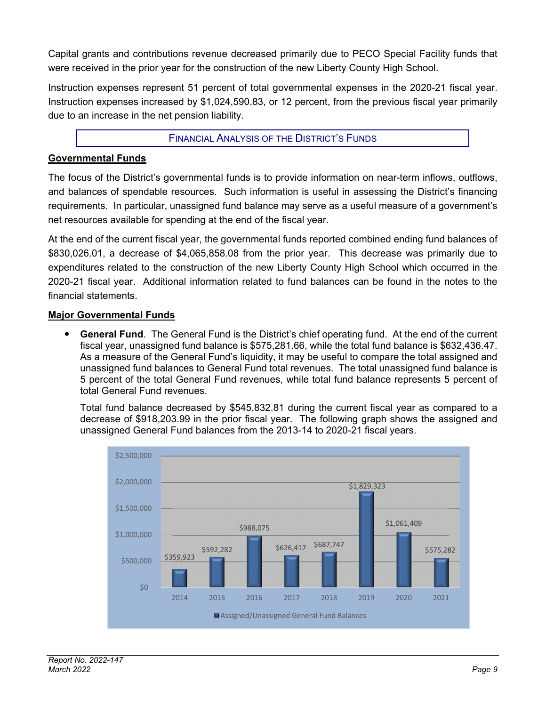Capital grants and contributions revenue decreased primarily due to PECO Special Facility funds that were received in the prior year for the construction of the new Liberty County High School.

Instruction expenses represent 51 percent of total governmental expenses in the 2020-21 fiscal year. Instruction expenses increased by \$1,024,590.83, or 12 percent, from the previous fiscal year primarily due to an increase in the net pension liability.

### FINANCIAL ANALYSIS OF THE DISTRICT'S FUNDS

## **Governmental Funds**

The focus of the District's governmental funds is to provide information on near-term inflows, outflows, and balances of spendable resources. Such information is useful in assessing the District's financing requirements. In particular, unassigned fund balance may serve as a useful measure of a government's net resources available for spending at the end of the fiscal year.

At the end of the current fiscal year, the governmental funds reported combined ending fund balances of \$830,026.01, a decrease of \$4,065,858.08 from the prior year. This decrease was primarily due to expenditures related to the construction of the new Liberty County High School which occurred in the 2020-21 fiscal year. Additional information related to fund balances can be found in the notes to the financial statements.

## **Major Governmental Funds**

 **General Fund**.The General Fund is the District's chief operating fund. At the end of the current fiscal year, unassigned fund balance is \$575,281.66, while the total fund balance is \$632,436.47. As a measure of the General Fund's liquidity, it may be useful to compare the total assigned and unassigned fund balances to General Fund total revenues. The total unassigned fund balance is 5 percent of the total General Fund revenues, while total fund balance represents 5 percent of total General Fund revenues.

Total fund balance decreased by \$545,832.81 during the current fiscal year as compared to a decrease of \$918,203.99 in the prior fiscal year. The following graph shows the assigned and unassigned General Fund balances from the 2013-14 to 2020-21 fiscal years.

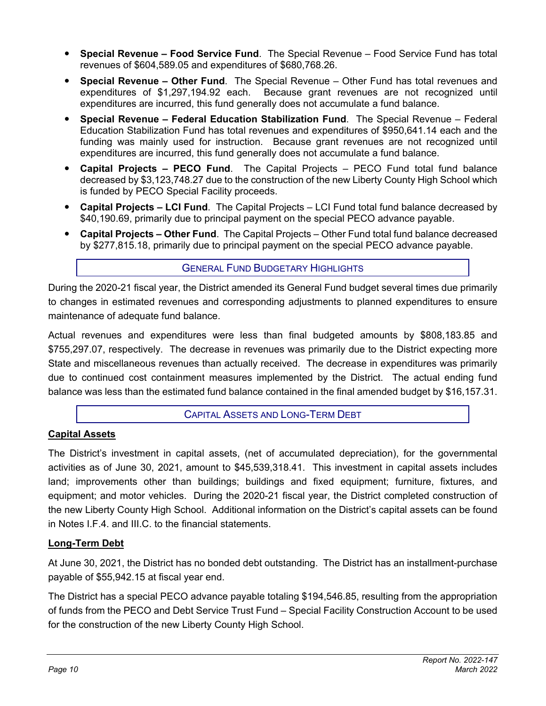- **Special Revenue Food Service Fund**. The Special Revenue Food Service Fund has total revenues of \$604,589.05 and expenditures of \$680,768.26.
- **Special Revenue Other Fund**. The Special Revenue Other Fund has total revenues and expenditures of \$1,297,194.92 each. Because grant revenues are not recognized until expenditures are incurred, this fund generally does not accumulate a fund balance.
- **Special Revenue Federal Education Stabilization Fund**. The Special Revenue Federal Education Stabilization Fund has total revenues and expenditures of \$950,641.14 each and the funding was mainly used for instruction. Because grant revenues are not recognized until expenditures are incurred, this fund generally does not accumulate a fund balance.
- **Capital Projects PECO Fund**. The Capital Projects PECO Fund total fund balance decreased by \$3,123,748.27 due to the construction of the new Liberty County High School which is funded by PECO Special Facility proceeds.
- **Capital Projects LCI Fund**. The Capital Projects LCI Fund total fund balance decreased by \$40,190.69, primarily due to principal payment on the special PECO advance payable.
- **Capital Projects Other Fund**. The Capital Projects Other Fund total fund balance decreased by \$277,815.18, primarily due to principal payment on the special PECO advance payable.

## GENERAL FUND BUDGETARY HIGHLIGHTS

During the 2020-21 fiscal year, the District amended its General Fund budget several times due primarily to changes in estimated revenues and corresponding adjustments to planned expenditures to ensure maintenance of adequate fund balance.

Actual revenues and expenditures were less than final budgeted amounts by \$808,183.85 and \$755,297.07, respectively. The decrease in revenues was primarily due to the District expecting more State and miscellaneous revenues than actually received. The decrease in expenditures was primarily due to continued cost containment measures implemented by the District. The actual ending fund balance was less than the estimated fund balance contained in the final amended budget by \$16,157.31.

## CAPITAL ASSETS AND LONG-TERM DEBT

## **Capital Assets**

The District's investment in capital assets, (net of accumulated depreciation), for the governmental activities as of June 30, 2021, amount to \$45,539,318.41. This investment in capital assets includes land; improvements other than buildings; buildings and fixed equipment; furniture, fixtures, and equipment; and motor vehicles. During the 2020-21 fiscal year, the District completed construction of the new Liberty County High School. Additional information on the District's capital assets can be found in Notes I.F.4. and III.C. to the financial statements.

## **Long-Term Debt**

At June 30, 2021, the District has no bonded debt outstanding. The District has an installment-purchase payable of \$55,942.15 at fiscal year end.

The District has a special PECO advance payable totaling \$194,546.85, resulting from the appropriation of funds from the PECO and Debt Service Trust Fund – Special Facility Construction Account to be used for the construction of the new Liberty County High School.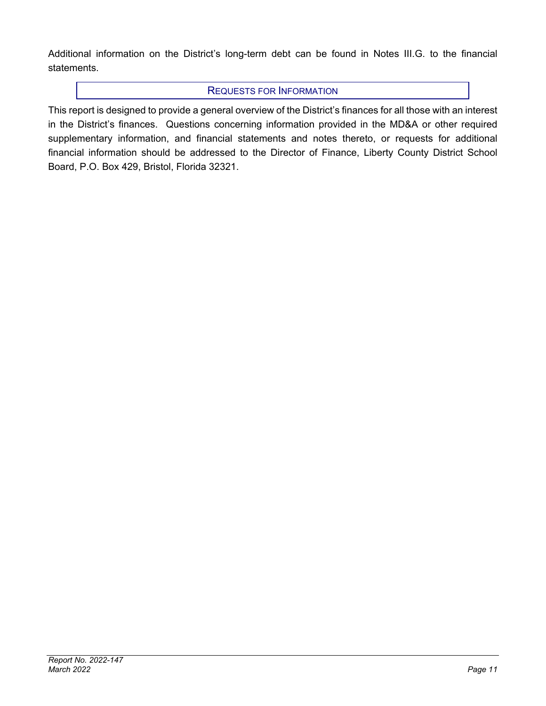Additional information on the District's long-term debt can be found in Notes III.G. to the financial statements.

## REQUESTS FOR INFORMATION

This report is designed to provide a general overview of the District's finances for all those with an interest in the District's finances. Questions concerning information provided in the MD&A or other required supplementary information, and financial statements and notes thereto, or requests for additional financial information should be addressed to the Director of Finance, Liberty County District School Board, P.O. Box 429, Bristol, Florida 32321.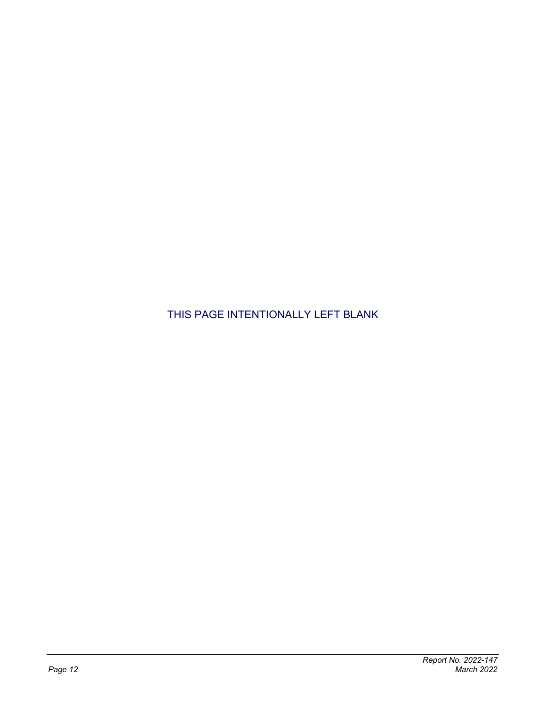THIS PAGE INTENTIONALLY LEFT BLANK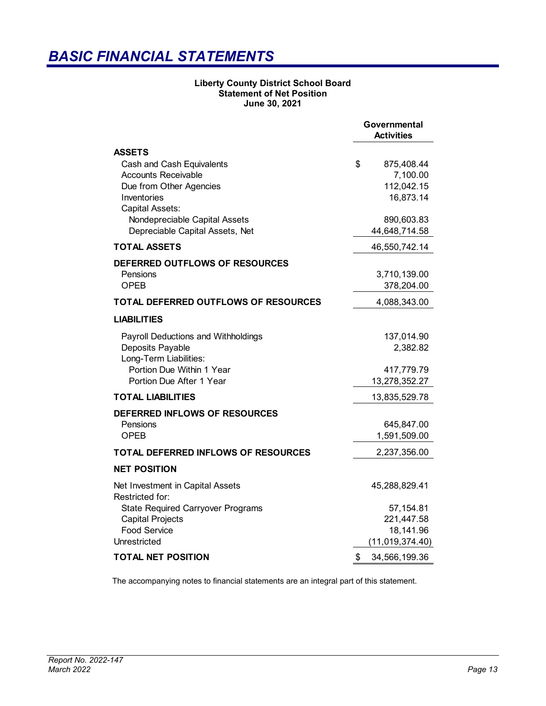# <span id="page-18-0"></span>*BASIC FINANCIAL STATEMENTS*

#### **Liberty County District School Board Statement of Net Position June 30, 2021**

|                                                       | Governmental<br><b>Activities</b> |
|-------------------------------------------------------|-----------------------------------|
| <b>ASSETS</b>                                         |                                   |
| Cash and Cash Equivalents                             | \$<br>875,408.44                  |
| <b>Accounts Receivable</b>                            | 7,100.00                          |
| Due from Other Agencies                               | 112,042.15                        |
| Inventories<br>Capital Assets:                        | 16,873.14                         |
| Nondepreciable Capital Assets                         | 890,603.83                        |
| Depreciable Capital Assets, Net                       | 44,648,714.58                     |
| <b>TOTAL ASSETS</b>                                   | 46,550,742.14                     |
| DEFERRED OUTFLOWS OF RESOURCES                        |                                   |
| Pensions                                              | 3,710,139.00                      |
| OPEB                                                  | 378,204.00                        |
| TOTAL DEFERRED OUTFLOWS OF RESOURCES                  | 4,088,343.00                      |
| <b>LIABILITIES</b>                                    |                                   |
| Payroll Deductions and Withholdings                   | 137,014.90                        |
| Deposits Payable                                      | 2,382.82                          |
| Long-Term Liabilities:                                |                                   |
| Portion Due Within 1 Year<br>Portion Due After 1 Year | 417,779.79<br>13,278,352.27       |
|                                                       |                                   |
| <b>TOTAL LIABILITIES</b>                              | 13,835,529.78                     |
| DEFERRED INFLOWS OF RESOURCES                         |                                   |
| Pensions<br><b>OPEB</b>                               | 645,847.00                        |
|                                                       | 1,591,509.00                      |
| TOTAL DEFERRED INFLOWS OF RESOURCES                   | 2,237,356.00                      |
| <b>NET POSITION</b>                                   |                                   |
| Net Investment in Capital Assets                      | 45,288,829.41                     |
| Restricted for:                                       |                                   |
| <b>State Required Carryover Programs</b>              | 57,154.81                         |
| <b>Capital Projects</b><br><b>Food Service</b>        | 221,447.58<br>18,141.96           |
| Unrestricted                                          | (11, 019, 374.40)                 |
| <b>TOTAL NET POSITION</b>                             | \$<br>34,566,199.36               |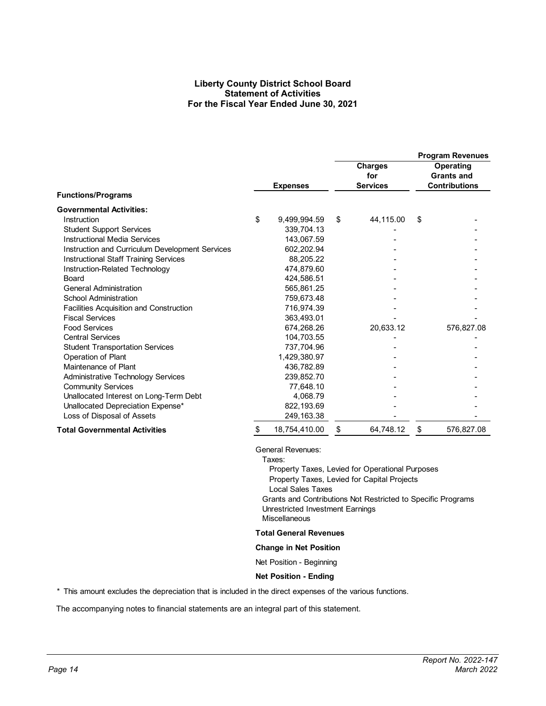### **Liberty County District School Board Statement of Activities For the Fiscal Year Ended June 30, 2021**

<span id="page-19-0"></span>

| <b>Functions/Programs</b>                       |    | <b>Charges</b><br>for<br><b>Services</b><br><b>Expenses</b> |    |           | <b>Program Revenues</b><br><b>Operating</b><br><b>Grants and</b><br><b>Contributions</b> |            |  |
|-------------------------------------------------|----|-------------------------------------------------------------|----|-----------|------------------------------------------------------------------------------------------|------------|--|
| <b>Governmental Activities:</b>                 |    |                                                             |    |           |                                                                                          |            |  |
| Instruction                                     | \$ | 9,499,994.59                                                | \$ | 44,115.00 | \$                                                                                       |            |  |
| <b>Student Support Services</b>                 |    | 339,704.13                                                  |    |           |                                                                                          |            |  |
| <b>Instructional Media Services</b>             |    | 143,067.59                                                  |    |           |                                                                                          |            |  |
| Instruction and Curriculum Development Services |    | 602,202.94                                                  |    |           |                                                                                          |            |  |
| <b>Instructional Staff Training Services</b>    |    | 88,205.22                                                   |    |           |                                                                                          |            |  |
| Instruction-Related Technology                  |    | 474,879.60                                                  |    |           |                                                                                          |            |  |
| Board                                           |    | 424.586.51                                                  |    |           |                                                                                          |            |  |
| <b>General Administration</b>                   |    | 565,861.25                                                  |    |           |                                                                                          |            |  |
| <b>School Administration</b>                    |    | 759,673.48                                                  |    |           |                                                                                          |            |  |
| <b>Facilities Acquisition and Construction</b>  |    | 716,974.39                                                  |    |           |                                                                                          |            |  |
| <b>Fiscal Services</b>                          |    | 363,493.01                                                  |    |           |                                                                                          |            |  |
| <b>Food Services</b>                            |    | 674,268.26                                                  |    | 20,633.12 |                                                                                          | 576,827.08 |  |
| <b>Central Services</b>                         |    | 104.703.55                                                  |    |           |                                                                                          |            |  |
| <b>Student Transportation Services</b>          |    | 737,704.96                                                  |    |           |                                                                                          |            |  |
| Operation of Plant                              |    | 1,429,380.97                                                |    |           |                                                                                          |            |  |
| Maintenance of Plant                            |    | 436,782.89                                                  |    |           |                                                                                          |            |  |
| Administrative Technology Services              |    | 239,852.70                                                  |    |           |                                                                                          |            |  |
| <b>Community Services</b>                       |    | 77,648.10                                                   |    |           |                                                                                          |            |  |
| Unallocated Interest on Long-Term Debt          |    | 4,068.79                                                    |    |           |                                                                                          |            |  |
| Unallocated Depreciation Expense*               |    | 822,193.69                                                  |    |           |                                                                                          |            |  |
| Loss of Disposal of Assets                      |    | 249,163.38                                                  |    |           |                                                                                          |            |  |
| <b>Total Governmental Activities</b>            | \$ | 18,754,410.00                                               | \$ | 64,748.12 | \$                                                                                       | 576,827.08 |  |

General Revenues:

Taxes:

 Property Taxes, Levied for Operational Purposes Property Taxes, Levied for Capital Projects Local Sales Taxes Grants and Contributions Not Restricted to Specific Programs Unrestricted Investment Earnings **Miscellaneous** 

#### **Total General Revenues**

#### **Change in Net Position**

Net Position - Beginning

#### **Net Position - Ending**

\* This amount excludes the depreciation that is included in the direct expenses of the various functions.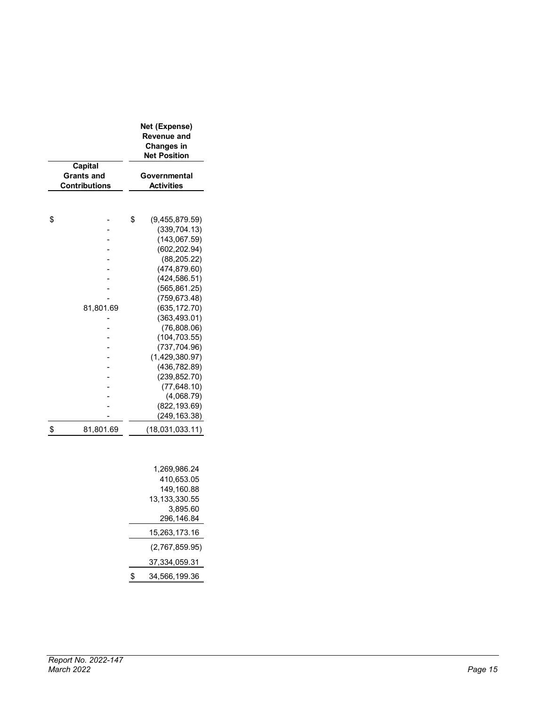|                                                      | Net (Expense)<br><b>Revenue and</b><br><b>Changes in</b><br><b>Net Position</b> |                               |  |  |  |
|------------------------------------------------------|---------------------------------------------------------------------------------|-------------------------------|--|--|--|
| Capital<br><b>Grants and</b><br><b>Contributions</b> | Governmental<br><b>Activities</b>                                               |                               |  |  |  |
|                                                      |                                                                                 |                               |  |  |  |
| \$                                                   | \$                                                                              | (9,455,879.59)                |  |  |  |
|                                                      |                                                                                 | (339, 704.13)                 |  |  |  |
|                                                      |                                                                                 | (143,067.59)                  |  |  |  |
|                                                      |                                                                                 | (602, 202.94)                 |  |  |  |
|                                                      |                                                                                 | (88, 205.22)                  |  |  |  |
|                                                      |                                                                                 | (474, 879.60)                 |  |  |  |
|                                                      |                                                                                 | (424, 586.51)                 |  |  |  |
|                                                      |                                                                                 | (565, 861.25)                 |  |  |  |
|                                                      |                                                                                 | (759, 673.48)                 |  |  |  |
| 81,801.69                                            |                                                                                 | (635, 172.70)                 |  |  |  |
|                                                      |                                                                                 | (363, 493.01)<br>(76, 808.06) |  |  |  |
|                                                      |                                                                                 | (104, 703.55)                 |  |  |  |
|                                                      |                                                                                 | (737, 704.96)                 |  |  |  |
|                                                      |                                                                                 | (1,429,380.97)                |  |  |  |
|                                                      |                                                                                 | (436, 782.89)                 |  |  |  |
|                                                      |                                                                                 | (239, 852.70)                 |  |  |  |
|                                                      |                                                                                 | (77, 648.10)                  |  |  |  |
|                                                      |                                                                                 | (4,068.79)                    |  |  |  |
|                                                      |                                                                                 | (822, 193.69)                 |  |  |  |
|                                                      |                                                                                 | (249, 163.38)                 |  |  |  |
| \$<br>81,801.69                                      |                                                                                 | (18,031,033.11)               |  |  |  |
|                                                      |                                                                                 |                               |  |  |  |

|    | 1.269.986.24    |
|----|-----------------|
|    | 410.653.05      |
|    | 149,160.88      |
|    | 13, 133, 330.55 |
|    | 3.895.60        |
|    | 296,146.84      |
|    | 15,263,173.16   |
|    | (2,767,859.95)  |
|    | 37,334,059.31   |
| \$ | 34,566,199.36   |
|    |                 |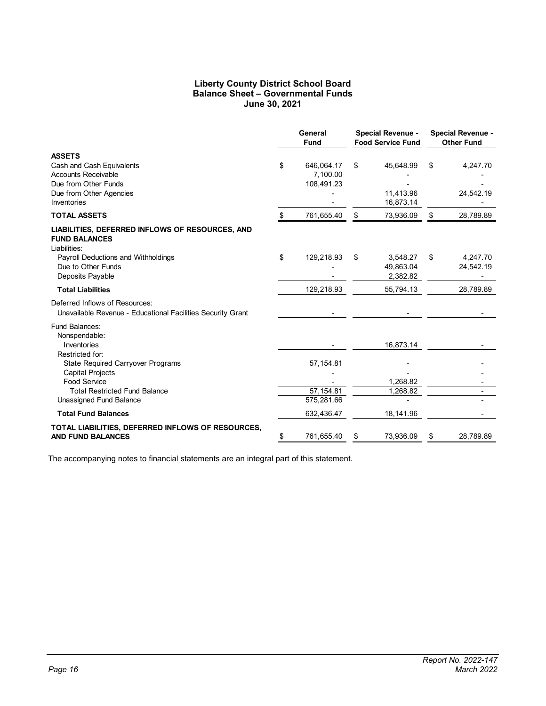### **Liberty County District School Board Balance Sheet – Governmental Funds June 30, 2021**

<span id="page-21-0"></span>

|                                                                                               | General<br><b>Fund</b> |                        | <b>Special Revenue -</b><br><b>Food Service Fund</b> |                                   | <b>Special Revenue -</b><br><b>Other Fund</b> |                       |
|-----------------------------------------------------------------------------------------------|------------------------|------------------------|------------------------------------------------------|-----------------------------------|-----------------------------------------------|-----------------------|
| <b>ASSETS</b>                                                                                 |                        |                        |                                                      |                                   |                                               |                       |
| Cash and Cash Equivalents<br><b>Accounts Receivable</b>                                       | \$                     | 646,064.17<br>7,100.00 | \$                                                   | 45,648.99                         | \$                                            | 4,247.70              |
| Due from Other Funds<br>Due from Other Agencies<br>Inventories                                |                        | 108,491.23             |                                                      | 11,413.96<br>16,873.14            |                                               | 24,542.19             |
| <b>TOTAL ASSETS</b>                                                                           | \$                     | 761,655.40             | \$                                                   | 73,936.09                         | \$                                            | 28,789.89             |
| LIABILITIES, DEFERRED INFLOWS OF RESOURCES, AND<br><b>FUND BALANCES</b><br>Liabilities:       |                        |                        |                                                      |                                   |                                               |                       |
| Payroll Deductions and Withholdings<br>Due to Other Funds<br>Deposits Payable                 | \$                     | 129,218.93             | \$                                                   | 3,548.27<br>49,863.04<br>2,382.82 | \$                                            | 4,247.70<br>24,542.19 |
| <b>Total Liabilities</b>                                                                      |                        | 129.218.93             |                                                      | 55.794.13                         |                                               | 28.789.89             |
| Deferred Inflows of Resources:<br>Unavailable Revenue - Educational Facilities Security Grant |                        |                        |                                                      |                                   |                                               |                       |
| Fund Balances:<br>Nonspendable:                                                               |                        |                        |                                                      |                                   |                                               |                       |
| Inventories                                                                                   |                        |                        |                                                      | 16,873.14                         |                                               |                       |
| Restricted for:<br><b>State Required Carryover Programs</b>                                   |                        | 57,154.81              |                                                      |                                   |                                               |                       |
| <b>Capital Projects</b><br><b>Food Service</b>                                                |                        |                        |                                                      | 1,268.82                          |                                               |                       |
| <b>Total Restricted Fund Balance</b>                                                          |                        | 57,154.81              |                                                      | 1,268.82                          |                                               | ٠                     |
| Unassigned Fund Balance                                                                       |                        | 575,281.66             |                                                      |                                   |                                               |                       |
| <b>Total Fund Balances</b>                                                                    |                        | 632,436.47             |                                                      | 18,141.96                         |                                               |                       |
| TOTAL LIABILITIES, DEFERRED INFLOWS OF RESOURCES,<br><b>AND FUND BALANCES</b>                 | S                      | 761,655.40             | S                                                    | 73,936.09                         | \$                                            | 28,789.89             |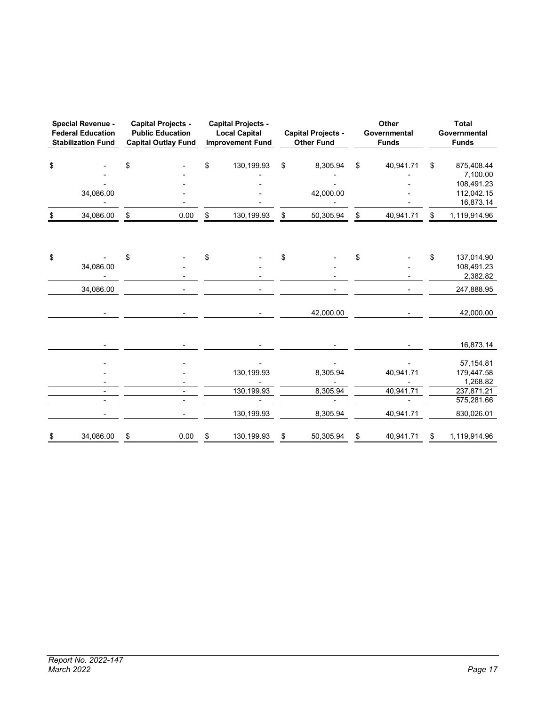| Special Revenue -<br><b>Federal Education</b><br><b>Stabilization Fund</b> | <b>Capital Projects -</b><br><b>Public Education</b><br><b>Capital Outlay Fund</b> |    | <b>Capital Projects -</b><br><b>Local Capital</b><br><b>Improvement Fund</b> |    | <b>Capital Projects -</b><br><b>Other Fund</b> |    | Other<br>Governmental<br><b>Funds</b> |    | <b>Total</b><br>Governmental<br><b>Funds</b>       |
|----------------------------------------------------------------------------|------------------------------------------------------------------------------------|----|------------------------------------------------------------------------------|----|------------------------------------------------|----|---------------------------------------|----|----------------------------------------------------|
| \$<br>34,086.00                                                            | \$                                                                                 | \$ | 130,199.93                                                                   | \$ | 8,305.94<br>42,000.00                          | \$ | 40,941.71                             | \$ | 875,408.44<br>7,100.00<br>108,491.23<br>112,042.15 |
| \$<br>34,086.00                                                            | \$<br>0.00                                                                         | \$ | 130,199.93                                                                   | \$ | 50,305.94                                      | \$ | 40,941.71                             | \$ | 16,873.14<br>1,119,914.96                          |
|                                                                            |                                                                                    |    |                                                                              |    |                                                |    |                                       |    |                                                    |
| \$<br>34,086.00                                                            | \$                                                                                 | \$ |                                                                              | \$ |                                                | \$ |                                       | \$ | 137,014.90<br>108,491.23<br>2,382.82               |
| 34,086.00                                                                  |                                                                                    |    |                                                                              |    | ۰                                              |    |                                       |    | 247,888.95                                         |
|                                                                            |                                                                                    |    |                                                                              |    | 42,000.00                                      |    |                                       |    | 42,000.00                                          |
|                                                                            |                                                                                    |    |                                                                              |    |                                                |    |                                       |    | 16,873.14                                          |
|                                                                            |                                                                                    |    | 130,199.93                                                                   |    | 8,305.94                                       |    | 40,941.71                             |    | 57,154.81<br>179,447.58<br>1,268.82                |
|                                                                            |                                                                                    |    | 130,199.93                                                                   |    | 8,305.94                                       |    | 40,941.71                             |    | 237,871.21<br>575,281.66                           |
|                                                                            |                                                                                    |    | 130,199.93                                                                   |    | 8,305.94                                       |    | 40,941.71                             |    | 830,026.01                                         |
| \$<br>34,086.00                                                            | \$<br>0.00                                                                         | \$ | 130,199.93                                                                   | \$ | 50,305.94                                      | \$ | 40,941.71                             | \$ | 1,119,914.96                                       |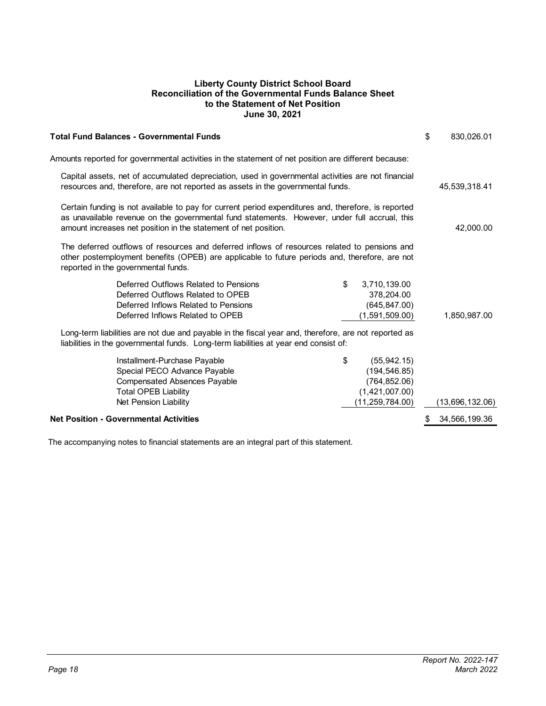### **Liberty County District School Board Reconciliation of the Governmental Funds Balance Sheet to the Statement of Net Position June 30, 2021**

<span id="page-23-0"></span>

| Total Fund Balances - Governmental Funds                                                                                                                                                                                                                                | \$<br>830,026.01                                                                             |                 |
|-------------------------------------------------------------------------------------------------------------------------------------------------------------------------------------------------------------------------------------------------------------------------|----------------------------------------------------------------------------------------------|-----------------|
| Amounts reported for governmental activities in the statement of net position are different because:                                                                                                                                                                    |                                                                                              |                 |
| Capital assets, net of accumulated depreciation, used in governmental activities are not financial<br>resources and, therefore, are not reported as assets in the governmental funds.                                                                                   |                                                                                              | 45,539,318.41   |
| Certain funding is not available to pay for current period expenditures and, therefore, is reported<br>as unavailable revenue on the governmental fund statements. However, under full accrual, this<br>amount increases net position in the statement of net position. | 42,000.00                                                                                    |                 |
| The deferred outflows of resources and deferred inflows of resources related to pensions and<br>other postemployment benefits (OPEB) are applicable to future periods and, therefore, are not<br>reported in the governmental funds.                                    |                                                                                              |                 |
| Deferred Outflows Related to Pensions<br>Deferred Outflows Related to OPEB<br>Deferred Inflows Related to Pensions<br>Deferred Inflows Related to OPEB                                                                                                                  | \$<br>3,710,139.00<br>378,204.00<br>(645, 847.00)<br>(1,591,509.00)                          | 1,850,987.00    |
| Long-term liabilities are not due and payable in the fiscal year and, therefore, are not reported as<br>liabilities in the governmental funds. Long-term liabilities at year end consist of:                                                                            |                                                                                              |                 |
| Installment-Purchase Payable<br>Special PECO Advance Payable<br><b>Compensated Absences Payable</b><br><b>Total OPEB Liability</b><br>Net Pension Liability                                                                                                             | \$<br>(55, 942, 15)<br>(194, 546.85)<br>(764, 852.06)<br>(1,421,007.00)<br>(11, 259, 784.00) | (13,696,132.06) |
| <b>Net Position - Governmental Activities</b>                                                                                                                                                                                                                           |                                                                                              | 34,566,199.36   |
|                                                                                                                                                                                                                                                                         |                                                                                              |                 |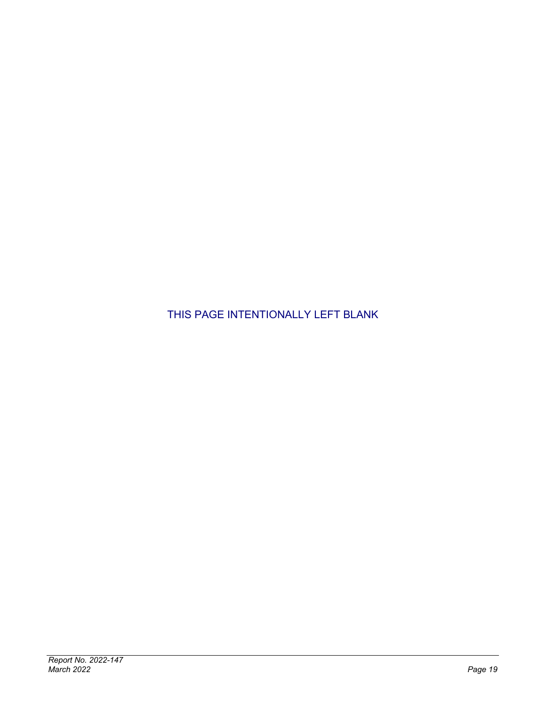THIS PAGE INTENTIONALLY LEFT BLANK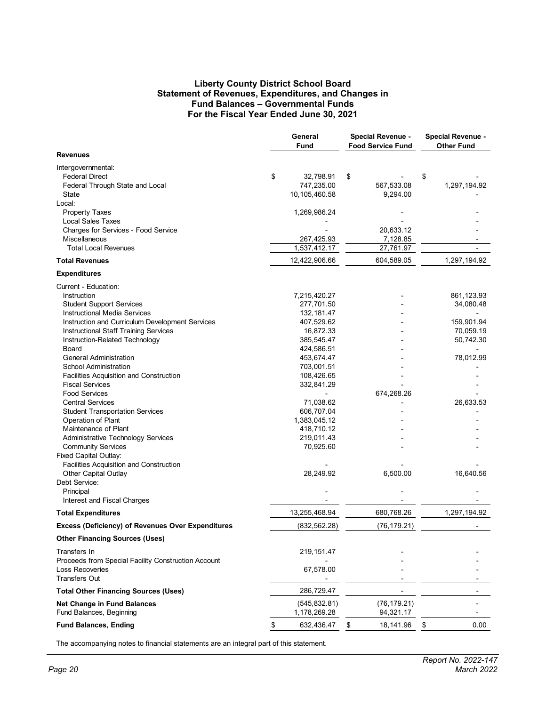### **Liberty County District School Board Statement of Revenues, Expenditures, and Changes in Fund Balances – Governmental Funds For the Fiscal Year Ended June 30, 2021**

<span id="page-25-0"></span>

|                                                     | General<br><b>Fund</b> |                          | <b>Special Revenue -</b><br><b>Food Service Fund</b> |              | <b>Special Revenue -</b><br><b>Other Fund</b> |              |
|-----------------------------------------------------|------------------------|--------------------------|------------------------------------------------------|--------------|-----------------------------------------------|--------------|
| <b>Revenues</b>                                     |                        |                          |                                                      |              |                                               |              |
| Intergovernmental:                                  |                        |                          |                                                      |              |                                               |              |
| <b>Federal Direct</b>                               | \$                     | 32,798.91                | \$                                                   |              | \$                                            |              |
| Federal Through State and Local                     |                        | 747,235.00               |                                                      | 567,533.08   |                                               | 1,297,194.92 |
| State                                               |                        | 10,105,460.58            |                                                      | 9,294.00     |                                               |              |
| Local:                                              |                        |                          |                                                      |              |                                               |              |
| <b>Property Taxes</b>                               |                        | 1,269,986.24             |                                                      |              |                                               |              |
| Local Sales Taxes                                   |                        |                          |                                                      |              |                                               |              |
| <b>Charges for Services - Food Service</b>          |                        |                          |                                                      | 20,633.12    |                                               |              |
| Miscellaneous                                       |                        | 267,425.93               |                                                      | 7,128.85     |                                               |              |
| <b>Total Local Revenues</b>                         |                        | 1,537,412.17             |                                                      | 27,761.97    |                                               |              |
| <b>Total Revenues</b>                               |                        | 12,422,906.66            |                                                      | 604,589.05   |                                               | 1,297,194.92 |
| <b>Expenditures</b>                                 |                        |                          |                                                      |              |                                               |              |
| Current - Education:                                |                        |                          |                                                      |              |                                               |              |
| Instruction                                         |                        | 7,215,420.27             |                                                      |              |                                               | 861,123.93   |
| <b>Student Support Services</b>                     |                        | 277,701.50               |                                                      |              |                                               | 34,080.48    |
| <b>Instructional Media Services</b>                 |                        | 132, 181.47              |                                                      |              |                                               |              |
| Instruction and Curriculum Development Services     |                        | 407,529.62               |                                                      |              |                                               | 159,901.94   |
| <b>Instructional Staff Training Services</b>        |                        | 16,872.33                |                                                      |              |                                               | 70,059.19    |
| Instruction-Related Technology                      |                        | 385,545.47               |                                                      |              |                                               | 50,742.30    |
| Board                                               |                        | 424,586.51               |                                                      |              |                                               |              |
| <b>General Administration</b>                       |                        | 453,674.47               |                                                      |              |                                               | 78,012.99    |
| School Administration                               |                        | 703,001.51               |                                                      |              |                                               |              |
| Facilities Acquisition and Construction             |                        | 108,426.65               |                                                      |              |                                               |              |
| <b>Fiscal Services</b>                              |                        | 332,841.29               |                                                      |              |                                               |              |
| <b>Food Services</b>                                |                        |                          |                                                      | 674,268.26   |                                               |              |
| <b>Central Services</b>                             |                        | 71,038.62                |                                                      |              |                                               | 26,633.53    |
| <b>Student Transportation Services</b>              |                        | 606,707.04               |                                                      |              |                                               |              |
| Operation of Plant<br>Maintenance of Plant          |                        | 1,383,045.12             |                                                      |              |                                               |              |
| <b>Administrative Technology Services</b>           |                        | 418,710.12<br>219,011.43 |                                                      |              |                                               |              |
| <b>Community Services</b>                           |                        | 70,925.60                |                                                      |              |                                               |              |
| Fixed Capital Outlay:                               |                        |                          |                                                      |              |                                               |              |
| Facilities Acquisition and Construction             |                        |                          |                                                      |              |                                               |              |
| Other Capital Outlay                                |                        | 28,249.92                |                                                      | 6,500.00     |                                               | 16,640.56    |
| Debt Service:                                       |                        |                          |                                                      |              |                                               |              |
| Principal                                           |                        |                          |                                                      |              |                                               |              |
| Interest and Fiscal Charges                         |                        |                          |                                                      |              |                                               |              |
| <b>Total Expenditures</b>                           |                        | 13,255,468.94            |                                                      | 680,768.26   |                                               | 1,297,194.92 |
| Excess (Deficiency) of Revenues Over Expenditures   |                        | (832, 562.28)            |                                                      | (76, 179.21) |                                               |              |
| <b>Other Financing Sources (Uses)</b>               |                        |                          |                                                      |              |                                               |              |
| Transfers In                                        |                        | 219,151.47               |                                                      |              |                                               |              |
| Proceeds from Special Facility Construction Account |                        |                          |                                                      |              |                                               |              |
| Loss Recoveries                                     |                        | 67,578.00                |                                                      |              |                                               |              |
| <b>Transfers Out</b>                                |                        |                          |                                                      |              |                                               |              |
| <b>Total Other Financing Sources (Uses)</b>         |                        | 286,729.47               |                                                      |              |                                               |              |
| <b>Net Change in Fund Balances</b>                  |                        | (545, 832.81)            |                                                      | (76, 179.21) |                                               |              |
| Fund Balances, Beginning                            |                        | 1,178,269.28             |                                                      | 94,321.17    |                                               |              |
| <b>Fund Balances, Ending</b>                        | \$                     | 632,436.47               | \$                                                   | 18,141.96    | \$                                            | 0.00         |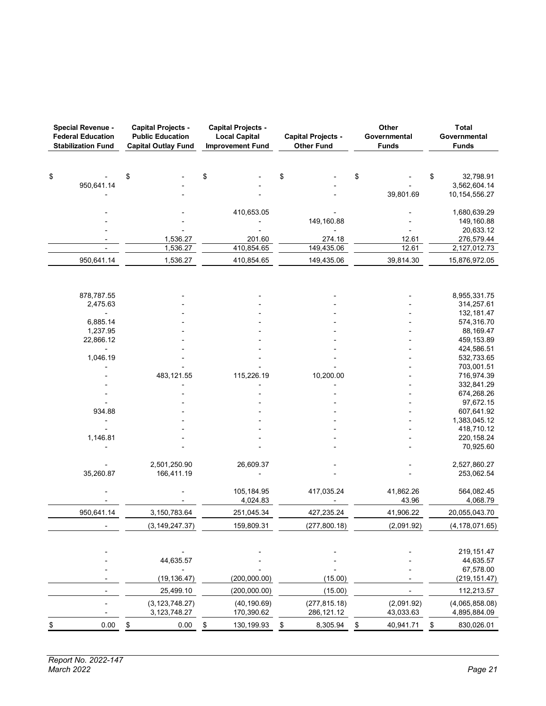| Special Revenue -<br><b>Federal Education</b><br><b>Stabilization Fund</b> | <b>Capital Projects -</b><br><b>Public Education</b><br><b>Capital Outlay Fund</b> | <b>Capital Projects -</b><br><b>Local Capital</b><br><b>Improvement Fund</b> | <b>Capital Projects -</b><br><b>Other Fund</b> | Other<br>Governmental<br><b>Funds</b> | <b>Total</b><br>Governmental<br><b>Funds</b> |
|----------------------------------------------------------------------------|------------------------------------------------------------------------------------|------------------------------------------------------------------------------|------------------------------------------------|---------------------------------------|----------------------------------------------|
|                                                                            |                                                                                    |                                                                              |                                                |                                       |                                              |
| \$                                                                         | \$                                                                                 | \$                                                                           | \$                                             | \$                                    | \$<br>32,798.91                              |
| 950,641.14                                                                 |                                                                                    |                                                                              |                                                |                                       | 3,562,604.14                                 |
|                                                                            |                                                                                    |                                                                              |                                                | 39,801.69                             | 10, 154, 556. 27                             |
|                                                                            |                                                                                    | 410,653.05                                                                   |                                                |                                       | 1,680,639.29                                 |
|                                                                            |                                                                                    |                                                                              | 149,160.88                                     |                                       | 149,160.88                                   |
|                                                                            |                                                                                    |                                                                              |                                                |                                       | 20,633.12                                    |
|                                                                            | 1,536.27                                                                           | 201.60                                                                       | 274.18                                         | 12.61                                 | 276,579.44                                   |
|                                                                            | 1,536.27                                                                           | 410,854.65                                                                   | 149,435.06                                     | 12.61                                 | 2,127,012.73                                 |
| 950,641.14                                                                 | 1,536.27                                                                           | 410,854.65                                                                   | 149,435.06                                     | 39,814.30                             | 15,876,972.05                                |
|                                                                            |                                                                                    |                                                                              |                                                |                                       |                                              |
| 878,787.55                                                                 |                                                                                    |                                                                              |                                                |                                       | 8,955,331.75                                 |
| 2,475.63                                                                   |                                                                                    |                                                                              |                                                |                                       | 314,257.61<br>132,181.47                     |
| 6,885.14                                                                   |                                                                                    |                                                                              |                                                |                                       | 574,316.70                                   |
| 1,237.95                                                                   |                                                                                    |                                                                              |                                                |                                       | 88,169.47                                    |
| 22,866.12                                                                  |                                                                                    |                                                                              |                                                |                                       | 459, 153.89                                  |
|                                                                            |                                                                                    |                                                                              |                                                |                                       | 424,586.51                                   |
| 1,046.19                                                                   |                                                                                    |                                                                              |                                                |                                       | 532,733.65                                   |
|                                                                            |                                                                                    |                                                                              |                                                |                                       | 703,001.51                                   |
|                                                                            | 483, 121.55                                                                        | 115,226.19                                                                   | 10,200.00                                      |                                       | 716,974.39                                   |
|                                                                            |                                                                                    |                                                                              |                                                |                                       | 332,841.29<br>674,268.26                     |
|                                                                            |                                                                                    |                                                                              |                                                |                                       | 97,672.15                                    |
| 934.88                                                                     |                                                                                    |                                                                              |                                                |                                       | 607,641.92                                   |
|                                                                            |                                                                                    |                                                                              |                                                |                                       | 1,383,045.12                                 |
|                                                                            |                                                                                    |                                                                              |                                                |                                       | 418,710.12                                   |
| 1,146.81                                                                   |                                                                                    |                                                                              |                                                |                                       | 220, 158.24                                  |
|                                                                            |                                                                                    |                                                                              |                                                |                                       | 70,925.60                                    |
|                                                                            | 2,501,250.90                                                                       | 26,609.37                                                                    |                                                |                                       | 2,527,860.27                                 |
| 35,260.87                                                                  | 166,411.19                                                                         |                                                                              |                                                |                                       | 253,062.54                                   |
|                                                                            |                                                                                    | 105,184.95                                                                   | 417,035.24                                     | 41,862.26                             | 564,082.45                                   |
|                                                                            |                                                                                    | 4,024.83                                                                     |                                                | 43.96                                 | 4,068.79                                     |
| 950,641.14                                                                 | 3, 150, 783.64                                                                     | 251,045.34                                                                   | 427,235.24                                     | 41,906.22                             | 20,055,043.70                                |
|                                                                            | (3, 149, 247.37)                                                                   | 159,809.31                                                                   | (277, 800.18)                                  | (2,091.92)                            | (4, 178, 071.65)                             |
|                                                                            |                                                                                    |                                                                              |                                                |                                       |                                              |
|                                                                            |                                                                                    |                                                                              |                                                |                                       | 219, 151.47                                  |
|                                                                            | 44,635.57                                                                          |                                                                              |                                                |                                       | 44,635.57                                    |
|                                                                            |                                                                                    |                                                                              |                                                |                                       | 67,578.00                                    |
|                                                                            | (19, 136.47)                                                                       | (200, 000.00)                                                                | (15.00)                                        |                                       | (219, 151.47)                                |
|                                                                            | 25,499.10                                                                          | (200,000.00)                                                                 | (15.00)                                        |                                       | 112,213.57                                   |
|                                                                            | (3, 123, 748.27)                                                                   | (40, 190.69)                                                                 | (277, 815.18)                                  | (2,091.92)                            | (4,065,858.08)                               |
|                                                                            | 3, 123, 748. 27                                                                    | 170,390.62                                                                   | 286,121.12                                     | 43,033.63                             | 4,895,884.09                                 |
| \$<br>0.00                                                                 | \$<br>0.00                                                                         | \$<br>130,199.93                                                             | \$<br>8,305.94                                 | \$<br>40,941.71                       | \$<br>830,026.01                             |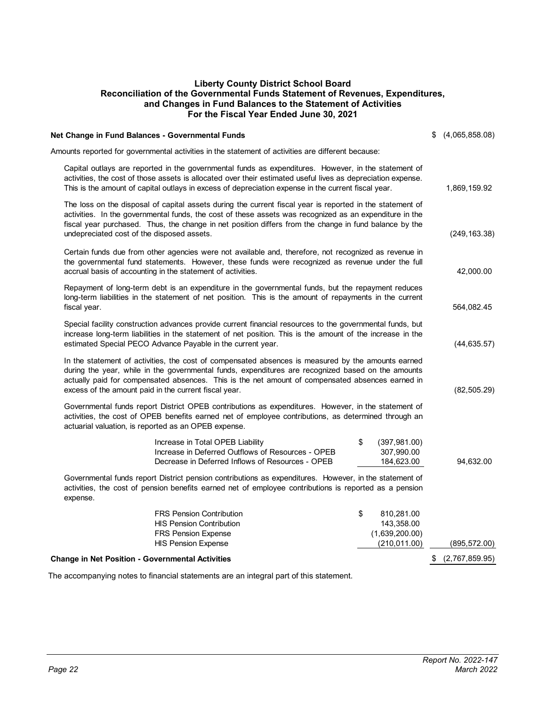### <span id="page-27-0"></span>**Liberty County District School Board Reconciliation of the Governmental Funds Statement of Revenues, Expenditures, and Changes in Fund Balances to the Statement of Activities For the Fiscal Year Ended June 30, 2021**

| Net Change in Fund Balances - Governmental Funds                                                                                                                                                                                                                                                                                                                             |                                            | \$<br>(4,065,858.08) |
|------------------------------------------------------------------------------------------------------------------------------------------------------------------------------------------------------------------------------------------------------------------------------------------------------------------------------------------------------------------------------|--------------------------------------------|----------------------|
| Amounts reported for governmental activities in the statement of activities are different because:                                                                                                                                                                                                                                                                           |                                            |                      |
| Capital outlays are reported in the governmental funds as expenditures. However, in the statement of<br>activities, the cost of those assets is allocated over their estimated useful lives as depreciation expense.<br>This is the amount of capital outlays in excess of depreciation expense in the current fiscal year.                                                  |                                            | 1,869,159.92         |
| The loss on the disposal of capital assets during the current fiscal year is reported in the statement of<br>activities. In the governmental funds, the cost of these assets was recognized as an expenditure in the<br>fiscal year purchased. Thus, the change in net position differs from the change in fund balance by the<br>undepreciated cost of the disposed assets. |                                            | (249, 163.38)        |
| Certain funds due from other agencies were not available and, therefore, not recognized as revenue in<br>the governmental fund statements. However, these funds were recognized as revenue under the full<br>accrual basis of accounting in the statement of activities.                                                                                                     |                                            | 42,000.00            |
| Repayment of long-term debt is an expenditure in the governmental funds, but the repayment reduces<br>long-term liabilities in the statement of net position. This is the amount of repayments in the current<br>fiscal year.                                                                                                                                                |                                            | 564,082.45           |
| Special facility construction advances provide current financial resources to the governmental funds, but<br>increase long-term liabilities in the statement of net position. This is the amount of the increase in the<br>estimated Special PECO Advance Payable in the current year.                                                                                       |                                            | (44, 635.57)         |
| In the statement of activities, the cost of compensated absences is measured by the amounts earned<br>during the year, while in the governmental funds, expenditures are recognized based on the amounts<br>actually paid for compensated absences. This is the net amount of compensated absences earned in<br>excess of the amount paid in the current fiscal year.        |                                            | (82, 505.29)         |
| Governmental funds report District OPEB contributions as expenditures. However, in the statement of<br>activities, the cost of OPEB benefits earned net of employee contributions, as determined through an<br>actuarial valuation, is reported as an OPEB expense.                                                                                                          |                                            |                      |
| Increase in Total OPEB Liability<br>\$<br>Increase in Deferred Outflows of Resources - OPEB<br>Decrease in Deferred Inflows of Resources - OPEB                                                                                                                                                                                                                              | (397, 981.00)<br>307,990.00<br>184,623.00  | 94,632.00            |
| Governmental funds report District pension contributions as expenditures. However, in the statement of<br>activities, the cost of pension benefits earned net of employee contributions is reported as a pension<br>expense.                                                                                                                                                 |                                            |                      |
| <b>FRS Pension Contribution</b><br>\$<br><b>HIS Pension Contribution</b><br><b>FRS Pension Expense</b>                                                                                                                                                                                                                                                                       | 810,281.00<br>143,358.00<br>(1,639,200.00) |                      |
| <b>HIS Pension Expense</b>                                                                                                                                                                                                                                                                                                                                                   | (210, 011.00)                              | (895, 572.00)        |
| <b>Change in Net Position - Governmental Activities</b>                                                                                                                                                                                                                                                                                                                      |                                            | \$<br>(2,767,859.95) |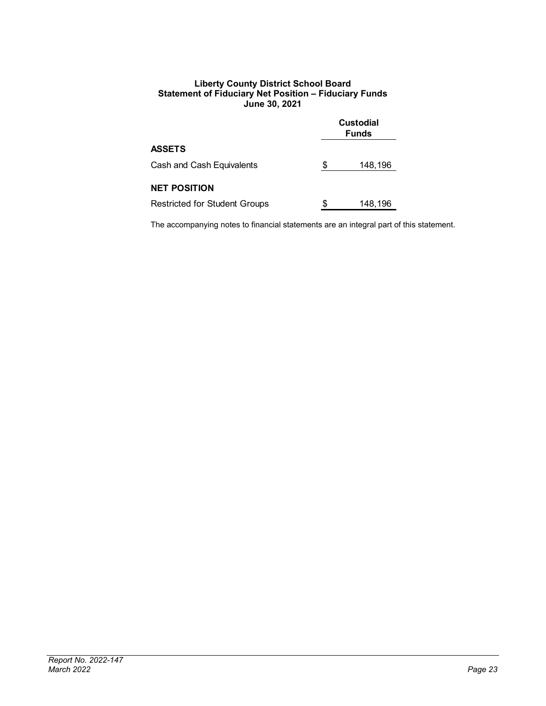### <span id="page-28-0"></span>**Liberty County District School Board Statement of Fiduciary Net Position – Fiduciary Funds June 30, 2021**

|                                      | <b>Custodial</b><br><b>Funds</b> |         |  |  |
|--------------------------------------|----------------------------------|---------|--|--|
| <b>ASSETS</b>                        |                                  |         |  |  |
| Cash and Cash Equivalents            | \$                               | 148,196 |  |  |
| <b>NET POSITION</b>                  |                                  |         |  |  |
| <b>Restricted for Student Groups</b> | S                                | 148,196 |  |  |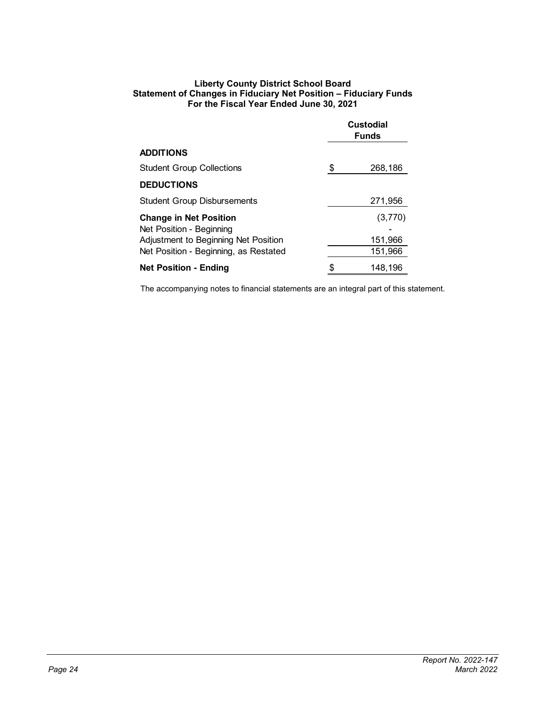### <span id="page-29-0"></span>**Liberty County District School Board Statement of Changes in Fiduciary Net Position – Fiduciary Funds For the Fiscal Year Ended June 30, 2021**

|                                                                                                                                            | <b>Custodial</b><br><b>Funds</b> |                               |  |  |
|--------------------------------------------------------------------------------------------------------------------------------------------|----------------------------------|-------------------------------|--|--|
| <b>ADDITIONS</b>                                                                                                                           |                                  |                               |  |  |
| <b>Student Group Collections</b>                                                                                                           | \$                               | 268,186                       |  |  |
| <b>DEDUCTIONS</b>                                                                                                                          |                                  |                               |  |  |
| <b>Student Group Disbursements</b>                                                                                                         |                                  | 271,956                       |  |  |
| <b>Change in Net Position</b><br>Net Position - Beginning<br>Adjustment to Beginning Net Position<br>Net Position - Beginning, as Restated |                                  | (3,770)<br>151,966<br>151,966 |  |  |
| <b>Net Position - Ending</b>                                                                                                               | \$                               | 148,196                       |  |  |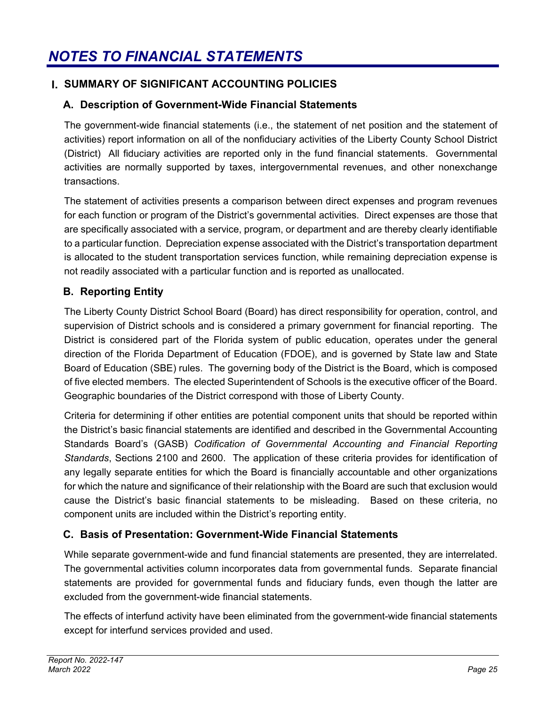## <span id="page-30-0"></span> **SUMMARY OF SIGNIFICANT ACCOUNTING POLICIES**

## **A. Description of Government-Wide Financial Statements**

The government-wide financial statements (i.e., the statement of net position and the statement of activities) report information on all of the nonfiduciary activities of the Liberty County School District (District) All fiduciary activities are reported only in the fund financial statements. Governmental activities are normally supported by taxes, intergovernmental revenues, and other nonexchange transactions.

The statement of activities presents a comparison between direct expenses and program revenues for each function or program of the District's governmental activities. Direct expenses are those that are specifically associated with a service, program, or department and are thereby clearly identifiable to a particular function. Depreciation expense associated with the District's transportation department is allocated to the student transportation services function, while remaining depreciation expense is not readily associated with a particular function and is reported as unallocated.

## **B. Reporting Entity**

The Liberty County District School Board (Board) has direct responsibility for operation, control, and supervision of District schools and is considered a primary government for financial reporting. The District is considered part of the Florida system of public education, operates under the general direction of the Florida Department of Education (FDOE), and is governed by State law and State Board of Education (SBE) rules. The governing body of the District is the Board, which is composed of five elected members. The elected Superintendent of Schools is the executive officer of the Board. Geographic boundaries of the District correspond with those of Liberty County.

Criteria for determining if other entities are potential component units that should be reported within the District's basic financial statements are identified and described in the Governmental Accounting Standards Board's (GASB) *Codification of Governmental Accounting and Financial Reporting Standards*, Sections 2100 and 2600. The application of these criteria provides for identification of any legally separate entities for which the Board is financially accountable and other organizations for which the nature and significance of their relationship with the Board are such that exclusion would cause the District's basic financial statements to be misleading. Based on these criteria, no component units are included within the District's reporting entity.

## **C. Basis of Presentation: Government-Wide Financial Statements**

While separate government-wide and fund financial statements are presented, they are interrelated. The governmental activities column incorporates data from governmental funds. Separate financial statements are provided for governmental funds and fiduciary funds, even though the latter are excluded from the government-wide financial statements.

The effects of interfund activity have been eliminated from the government-wide financial statements except for interfund services provided and used.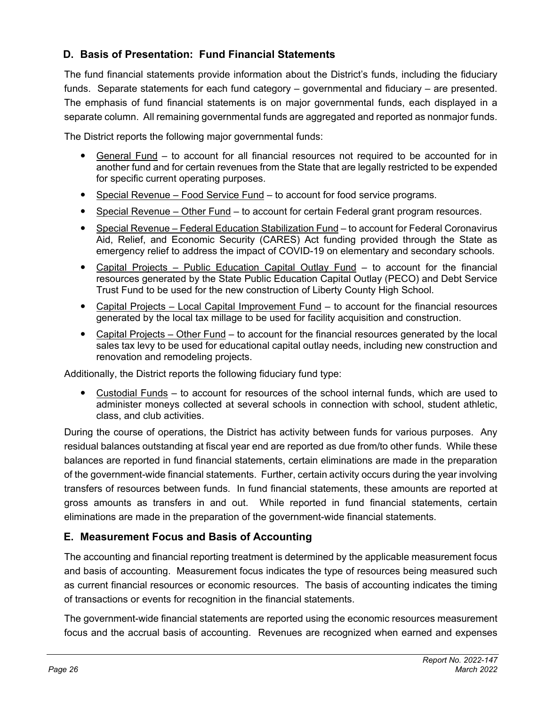## **D. Basis of Presentation: Fund Financial Statements**

The fund financial statements provide information about the District's funds, including the fiduciary funds. Separate statements for each fund category – governmental and fiduciary – are presented. The emphasis of fund financial statements is on major governmental funds, each displayed in a separate column. All remaining governmental funds are aggregated and reported as nonmajor funds.

The District reports the following major governmental funds:

- General Fund to account for all financial resources not required to be accounted for in another fund and for certain revenues from the State that are legally restricted to be expended for specific current operating purposes.
- Special Revenue Food Service Fund to account for food service programs.
- Special Revenue Other Fund to account for certain Federal grant program resources.
- Special Revenue Federal Education Stabilization Fund to account for Federal Coronavirus Aid, Relief, and Economic Security (CARES) Act funding provided through the State as emergency relief to address the impact of COVID-19 on elementary and secondary schools.
- Capital Projects Public Education Capital Outlay Fund to account for the financial resources generated by the State Public Education Capital Outlay (PECO) and Debt Service Trust Fund to be used for the new construction of Liberty County High School.
- Capital Projects Local Capital Improvement Fund to account for the financial resources generated by the local tax millage to be used for facility acquisition and construction.
- Capital Projects Other Fund to account for the financial resources generated by the local sales tax levy to be used for educational capital outlay needs, including new construction and renovation and remodeling projects.

Additionally, the District reports the following fiduciary fund type:

 Custodial Funds – to account for resources of the school internal funds, which are used to administer moneys collected at several schools in connection with school, student athletic, class, and club activities.

During the course of operations, the District has activity between funds for various purposes. Any residual balances outstanding at fiscal year end are reported as due from/to other funds. While these balances are reported in fund financial statements, certain eliminations are made in the preparation of the government-wide financial statements. Further, certain activity occurs during the year involving transfers of resources between funds. In fund financial statements, these amounts are reported at gross amounts as transfers in and out. While reported in fund financial statements, certain eliminations are made in the preparation of the government-wide financial statements.

## **E. Measurement Focus and Basis of Accounting**

The accounting and financial reporting treatment is determined by the applicable measurement focus and basis of accounting. Measurement focus indicates the type of resources being measured such as current financial resources or economic resources. The basis of accounting indicates the timing of transactions or events for recognition in the financial statements.

The government-wide financial statements are reported using the economic resources measurement focus and the accrual basis of accounting. Revenues are recognized when earned and expenses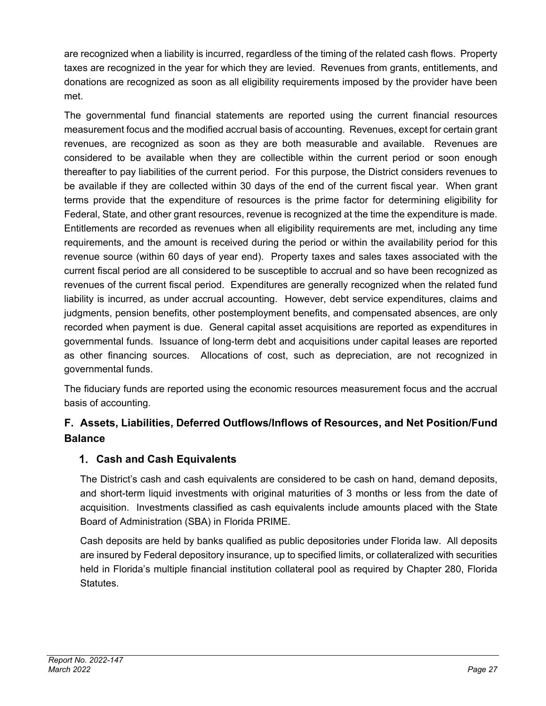are recognized when a liability is incurred, regardless of the timing of the related cash flows. Property taxes are recognized in the year for which they are levied. Revenues from grants, entitlements, and donations are recognized as soon as all eligibility requirements imposed by the provider have been met.

The governmental fund financial statements are reported using the current financial resources measurement focus and the modified accrual basis of accounting. Revenues, except for certain grant revenues, are recognized as soon as they are both measurable and available. Revenues are considered to be available when they are collectible within the current period or soon enough thereafter to pay liabilities of the current period. For this purpose, the District considers revenues to be available if they are collected within 30 days of the end of the current fiscal year. When grant terms provide that the expenditure of resources is the prime factor for determining eligibility for Federal, State, and other grant resources, revenue is recognized at the time the expenditure is made. Entitlements are recorded as revenues when all eligibility requirements are met, including any time requirements, and the amount is received during the period or within the availability period for this revenue source (within 60 days of year end). Property taxes and sales taxes associated with the current fiscal period are all considered to be susceptible to accrual and so have been recognized as revenues of the current fiscal period. Expenditures are generally recognized when the related fund liability is incurred, as under accrual accounting. However, debt service expenditures, claims and judgments, pension benefits, other postemployment benefits, and compensated absences, are only recorded when payment is due. General capital asset acquisitions are reported as expenditures in governmental funds. Issuance of long-term debt and acquisitions under capital leases are reported as other financing sources. Allocations of cost, such as depreciation, are not recognized in governmental funds.

The fiduciary funds are reported using the economic resources measurement focus and the accrual basis of accounting.

# **F. Assets, Liabilities, Deferred Outflows/Inflows of Resources, and Net Position/Fund Balance**

# **Cash and Cash Equivalents**

The District's cash and cash equivalents are considered to be cash on hand, demand deposits, and short-term liquid investments with original maturities of 3 months or less from the date of acquisition. Investments classified as cash equivalents include amounts placed with the State Board of Administration (SBA) in Florida PRIME.

Cash deposits are held by banks qualified as public depositories under Florida law. All deposits are insured by Federal depository insurance, up to specified limits, or collateralized with securities held in Florida's multiple financial institution collateral pool as required by Chapter 280, Florida Statutes.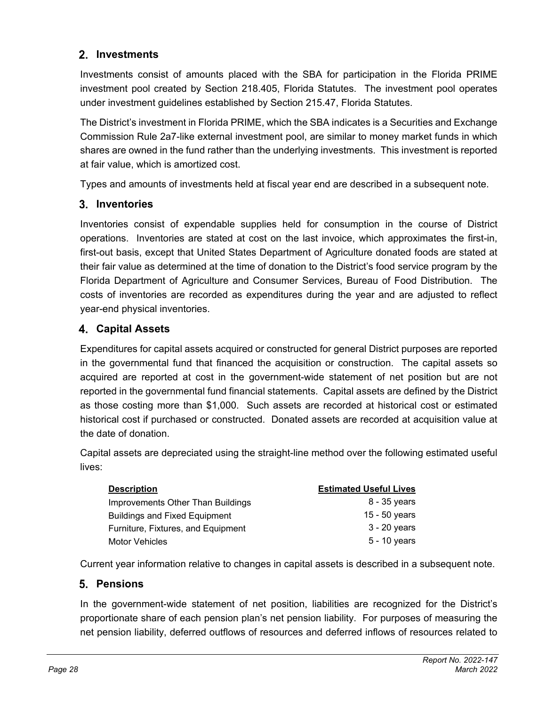## **Investments**

Investments consist of amounts placed with the SBA for participation in the Florida PRIME investment pool created by Section 218.405, Florida Statutes. The investment pool operates under investment guidelines established by Section 215.47, Florida Statutes.

The District's investment in Florida PRIME, which the SBA indicates is a Securities and Exchange Commission Rule 2a7-like external investment pool, are similar to money market funds in which shares are owned in the fund rather than the underlying investments. This investment is reported at fair value, which is amortized cost.

Types and amounts of investments held at fiscal year end are described in a subsequent note.

## **Inventories**

Inventories consist of expendable supplies held for consumption in the course of District operations. Inventories are stated at cost on the last invoice, which approximates the first-in, first-out basis, except that United States Department of Agriculture donated foods are stated at their fair value as determined at the time of donation to the District's food service program by the Florida Department of Agriculture and Consumer Services, Bureau of Food Distribution. The costs of inventories are recorded as expenditures during the year and are adjusted to reflect year-end physical inventories.

# **Capital Assets**

Expenditures for capital assets acquired or constructed for general District purposes are reported in the governmental fund that financed the acquisition or construction. The capital assets so acquired are reported at cost in the government-wide statement of net position but are not reported in the governmental fund financial statements. Capital assets are defined by the District as those costing more than \$1,000. Such assets are recorded at historical cost or estimated historical cost if purchased or constructed. Donated assets are recorded at acquisition value at the date of donation.

Capital assets are depreciated using the straight-line method over the following estimated useful lives:

| <b>Description</b>                   | <b>Estimated Useful Lives</b> |
|--------------------------------------|-------------------------------|
| Improvements Other Than Buildings    | 8 - 35 years                  |
| <b>Buildings and Fixed Equipment</b> | 15 - 50 years                 |
| Furniture, Fixtures, and Equipment   | 3 - 20 years                  |
| Motor Vehicles                       | 5 - 10 years                  |

Current year information relative to changes in capital assets is described in a subsequent note.

## **Pensions**

In the government-wide statement of net position, liabilities are recognized for the District's proportionate share of each pension plan's net pension liability. For purposes of measuring the net pension liability, deferred outflows of resources and deferred inflows of resources related to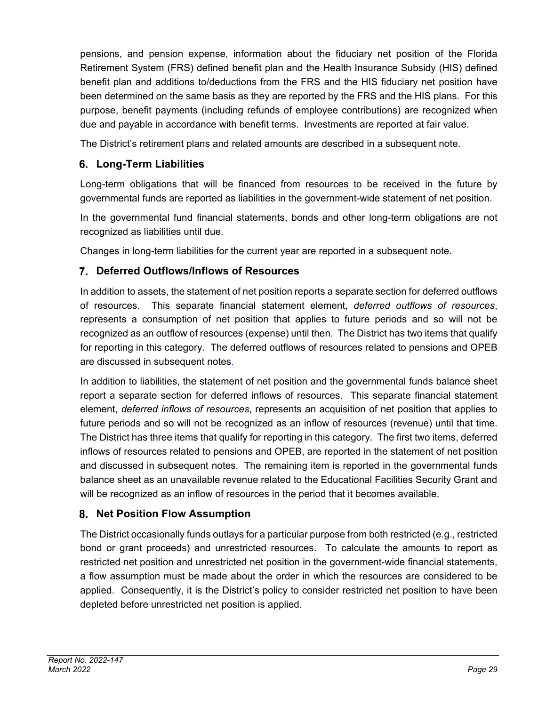pensions, and pension expense, information about the fiduciary net position of the Florida Retirement System (FRS) defined benefit plan and the Health Insurance Subsidy (HIS) defined benefit plan and additions to/deductions from the FRS and the HIS fiduciary net position have been determined on the same basis as they are reported by the FRS and the HIS plans. For this purpose, benefit payments (including refunds of employee contributions) are recognized when due and payable in accordance with benefit terms. Investments are reported at fair value.

The District's retirement plans and related amounts are described in a subsequent note.

# **Long-Term Liabilities**

Long-term obligations that will be financed from resources to be received in the future by governmental funds are reported as liabilities in the government-wide statement of net position.

In the governmental fund financial statements, bonds and other long-term obligations are not recognized as liabilities until due.

Changes in long-term liabilities for the current year are reported in a subsequent note.

# **Deferred Outflows/Inflows of Resources**

In addition to assets, the statement of net position reports a separate section for deferred outflows of resources. This separate financial statement element, *deferred outflows of resources*, represents a consumption of net position that applies to future periods and so will not be recognized as an outflow of resources (expense) until then. The District has two items that qualify for reporting in this category. The deferred outflows of resources related to pensions and OPEB are discussed in subsequent notes.

In addition to liabilities, the statement of net position and the governmental funds balance sheet report a separate section for deferred inflows of resources. This separate financial statement element, *deferred inflows of resources*, represents an acquisition of net position that applies to future periods and so will not be recognized as an inflow of resources (revenue) until that time. The District has three items that qualify for reporting in this category. The first two items, deferred inflows of resources related to pensions and OPEB, are reported in the statement of net position and discussed in subsequent notes. The remaining item is reported in the governmental funds balance sheet as an unavailable revenue related to the Educational Facilities Security Grant and will be recognized as an inflow of resources in the period that it becomes available.

# **Net Position Flow Assumption**

The District occasionally funds outlays for a particular purpose from both restricted (e.g., restricted bond or grant proceeds) and unrestricted resources. To calculate the amounts to report as restricted net position and unrestricted net position in the government-wide financial statements, a flow assumption must be made about the order in which the resources are considered to be applied. Consequently, it is the District's policy to consider restricted net position to have been depleted before unrestricted net position is applied.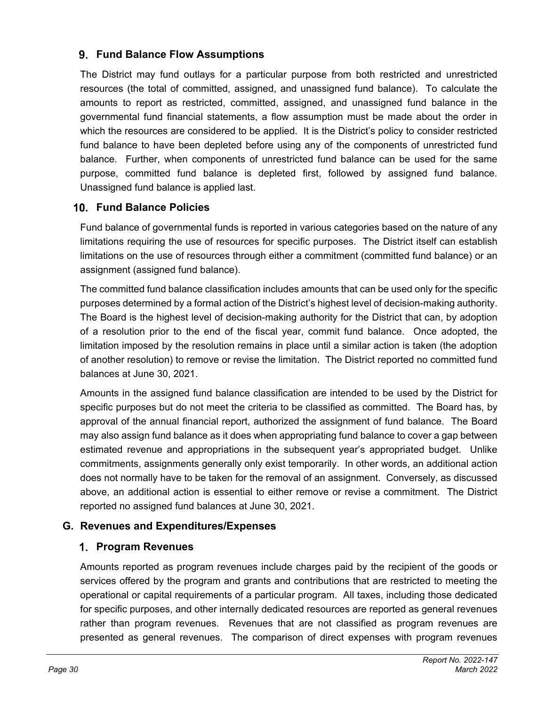## **Fund Balance Flow Assumptions**

The District may fund outlays for a particular purpose from both restricted and unrestricted resources (the total of committed, assigned, and unassigned fund balance). To calculate the amounts to report as restricted, committed, assigned, and unassigned fund balance in the governmental fund financial statements, a flow assumption must be made about the order in which the resources are considered to be applied. It is the District's policy to consider restricted fund balance to have been depleted before using any of the components of unrestricted fund balance. Further, when components of unrestricted fund balance can be used for the same purpose, committed fund balance is depleted first, followed by assigned fund balance. Unassigned fund balance is applied last.

## **Fund Balance Policies**

Fund balance of governmental funds is reported in various categories based on the nature of any limitations requiring the use of resources for specific purposes. The District itself can establish limitations on the use of resources through either a commitment (committed fund balance) or an assignment (assigned fund balance).

The committed fund balance classification includes amounts that can be used only for the specific purposes determined by a formal action of the District's highest level of decision-making authority. The Board is the highest level of decision-making authority for the District that can, by adoption of a resolution prior to the end of the fiscal year, commit fund balance. Once adopted, the limitation imposed by the resolution remains in place until a similar action is taken (the adoption of another resolution) to remove or revise the limitation. The District reported no committed fund balances at June 30, 2021.

Amounts in the assigned fund balance classification are intended to be used by the District for specific purposes but do not meet the criteria to be classified as committed. The Board has, by approval of the annual financial report, authorized the assignment of fund balance. The Board may also assign fund balance as it does when appropriating fund balance to cover a gap between estimated revenue and appropriations in the subsequent year's appropriated budget. Unlike commitments, assignments generally only exist temporarily. In other words, an additional action does not normally have to be taken for the removal of an assignment. Conversely, as discussed above, an additional action is essential to either remove or revise a commitment. The District reported no assigned fund balances at June 30, 2021.

## **G. Revenues and Expenditures/Expenses**

## **Program Revenues**

Amounts reported as program revenues include charges paid by the recipient of the goods or services offered by the program and grants and contributions that are restricted to meeting the operational or capital requirements of a particular program. All taxes, including those dedicated for specific purposes, and other internally dedicated resources are reported as general revenues rather than program revenues. Revenues that are not classified as program revenues are presented as general revenues. The comparison of direct expenses with program revenues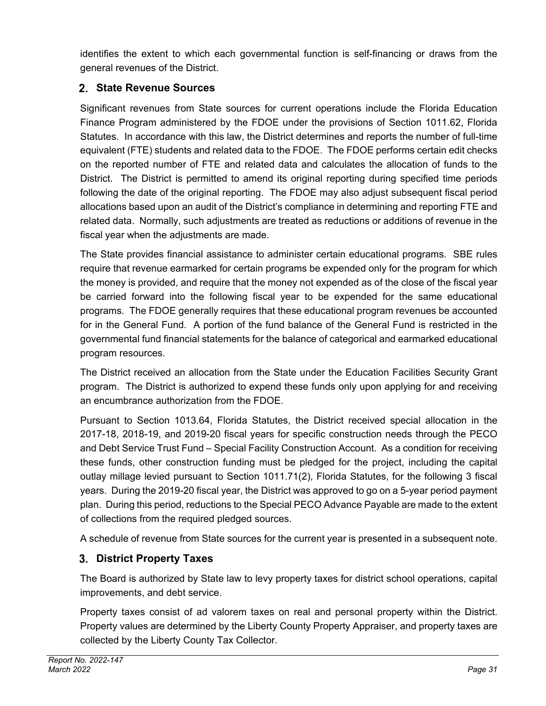identifies the extent to which each governmental function is self-financing or draws from the general revenues of the District.

### **State Revenue Sources**

Significant revenues from State sources for current operations include the Florida Education Finance Program administered by the FDOE under the provisions of Section 1011.62, Florida Statutes. In accordance with this law, the District determines and reports the number of full-time equivalent (FTE) students and related data to the FDOE. The FDOE performs certain edit checks on the reported number of FTE and related data and calculates the allocation of funds to the District. The District is permitted to amend its original reporting during specified time periods following the date of the original reporting. The FDOE may also adjust subsequent fiscal period allocations based upon an audit of the District's compliance in determining and reporting FTE and related data. Normally, such adjustments are treated as reductions or additions of revenue in the fiscal year when the adjustments are made.

The State provides financial assistance to administer certain educational programs. SBE rules require that revenue earmarked for certain programs be expended only for the program for which the money is provided, and require that the money not expended as of the close of the fiscal year be carried forward into the following fiscal year to be expended for the same educational programs. The FDOE generally requires that these educational program revenues be accounted for in the General Fund. A portion of the fund balance of the General Fund is restricted in the governmental fund financial statements for the balance of categorical and earmarked educational program resources.

The District received an allocation from the State under the Education Facilities Security Grant program. The District is authorized to expend these funds only upon applying for and receiving an encumbrance authorization from the FDOE.

Pursuant to Section 1013.64, Florida Statutes, the District received special allocation in the 2017-18, 2018-19, and 2019-20 fiscal years for specific construction needs through the PECO and Debt Service Trust Fund – Special Facility Construction Account. As a condition for receiving these funds, other construction funding must be pledged for the project, including the capital outlay millage levied pursuant to Section 1011.71(2), Florida Statutes, for the following 3 fiscal years. During the 2019-20 fiscal year, the District was approved to go on a 5-year period payment plan. During this period, reductions to the Special PECO Advance Payable are made to the extent of collections from the required pledged sources.

A schedule of revenue from State sources for the current year is presented in a subsequent note.

### **District Property Taxes**

The Board is authorized by State law to levy property taxes for district school operations, capital improvements, and debt service.

Property taxes consist of ad valorem taxes on real and personal property within the District. Property values are determined by the Liberty County Property Appraiser, and property taxes are collected by the Liberty County Tax Collector.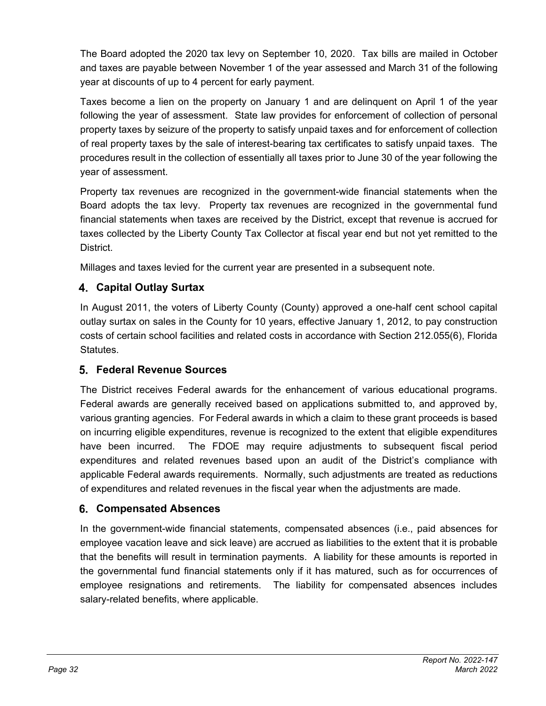The Board adopted the 2020 tax levy on September 10, 2020. Tax bills are mailed in October and taxes are payable between November 1 of the year assessed and March 31 of the following year at discounts of up to 4 percent for early payment.

Taxes become a lien on the property on January 1 and are delinquent on April 1 of the year following the year of assessment. State law provides for enforcement of collection of personal property taxes by seizure of the property to satisfy unpaid taxes and for enforcement of collection of real property taxes by the sale of interest-bearing tax certificates to satisfy unpaid taxes. The procedures result in the collection of essentially all taxes prior to June 30 of the year following the year of assessment.

Property tax revenues are recognized in the government-wide financial statements when the Board adopts the tax levy. Property tax revenues are recognized in the governmental fund financial statements when taxes are received by the District, except that revenue is accrued for taxes collected by the Liberty County Tax Collector at fiscal year end but not yet remitted to the District.

Millages and taxes levied for the current year are presented in a subsequent note.

### **Capital Outlay Surtax**

In August 2011, the voters of Liberty County (County) approved a one-half cent school capital outlay surtax on sales in the County for 10 years, effective January 1, 2012, to pay construction costs of certain school facilities and related costs in accordance with Section 212.055(6), Florida Statutes.

### **Federal Revenue Sources**

The District receives Federal awards for the enhancement of various educational programs. Federal awards are generally received based on applications submitted to, and approved by, various granting agencies. For Federal awards in which a claim to these grant proceeds is based on incurring eligible expenditures, revenue is recognized to the extent that eligible expenditures have been incurred. The FDOE may require adjustments to subsequent fiscal period expenditures and related revenues based upon an audit of the District's compliance with applicable Federal awards requirements. Normally, such adjustments are treated as reductions of expenditures and related revenues in the fiscal year when the adjustments are made.

### **Compensated Absences**

In the government-wide financial statements, compensated absences (i.e., paid absences for employee vacation leave and sick leave) are accrued as liabilities to the extent that it is probable that the benefits will result in termination payments. A liability for these amounts is reported in the governmental fund financial statements only if it has matured, such as for occurrences of employee resignations and retirements. The liability for compensated absences includes salary-related benefits, where applicable.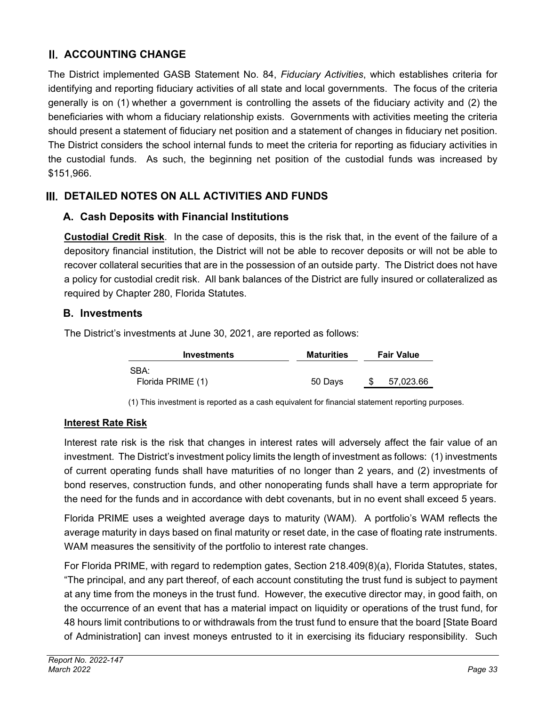### **II. ACCOUNTING CHANGE**

The District implemented GASB Statement No. 84, *Fiduciary Activities*, which establishes criteria for identifying and reporting fiduciary activities of all state and local governments. The focus of the criteria generally is on (1) whether a government is controlling the assets of the fiduciary activity and (2) the beneficiaries with whom a fiduciary relationship exists. Governments with activities meeting the criteria should present a statement of fiduciary net position and a statement of changes in fiduciary net position. The District considers the school internal funds to meet the criteria for reporting as fiduciary activities in the custodial funds. As such, the beginning net position of the custodial funds was increased by \$151,966.

### **DETAILED NOTES ON ALL ACTIVITIES AND FUNDS**

### **A. Cash Deposits with Financial Institutions**

**Custodial Credit Risk**. In the case of deposits, this is the risk that, in the event of the failure of a depository financial institution, the District will not be able to recover deposits or will not be able to recover collateral securities that are in the possession of an outside party. The District does not have a policy for custodial credit risk. All bank balances of the District are fully insured or collateralized as required by Chapter 280, Florida Statutes.

### **B. Investments**

The District's investments at June 30, 2021, are reported as follows:

| <b>Investments</b> | Maturities | <b>Fair Value</b> |           |
|--------------------|------------|-------------------|-----------|
| SBA:               |            |                   |           |
| Florida PRIME (1)  | 50 Days    |                   | 57,023.66 |

(1) This investment is reported as a cash equivalent for financial statement reporting purposes.

### **Interest Rate Risk**

Interest rate risk is the risk that changes in interest rates will adversely affect the fair value of an investment. The District's investment policy limits the length of investment as follows: (1) investments of current operating funds shall have maturities of no longer than 2 years, and (2) investments of bond reserves, construction funds, and other nonoperating funds shall have a term appropriate for the need for the funds and in accordance with debt covenants, but in no event shall exceed 5 years.

Florida PRIME uses a weighted average days to maturity (WAM). A portfolio's WAM reflects the average maturity in days based on final maturity or reset date, in the case of floating rate instruments. WAM measures the sensitivity of the portfolio to interest rate changes.

For Florida PRIME, with regard to redemption gates, Section 218.409(8)(a), Florida Statutes, states, "The principal, and any part thereof, of each account constituting the trust fund is subject to payment at any time from the moneys in the trust fund. However, the executive director may, in good faith, on the occurrence of an event that has a material impact on liquidity or operations of the trust fund, for 48 hours limit contributions to or withdrawals from the trust fund to ensure that the board [State Board of Administration] can invest moneys entrusted to it in exercising its fiduciary responsibility. Such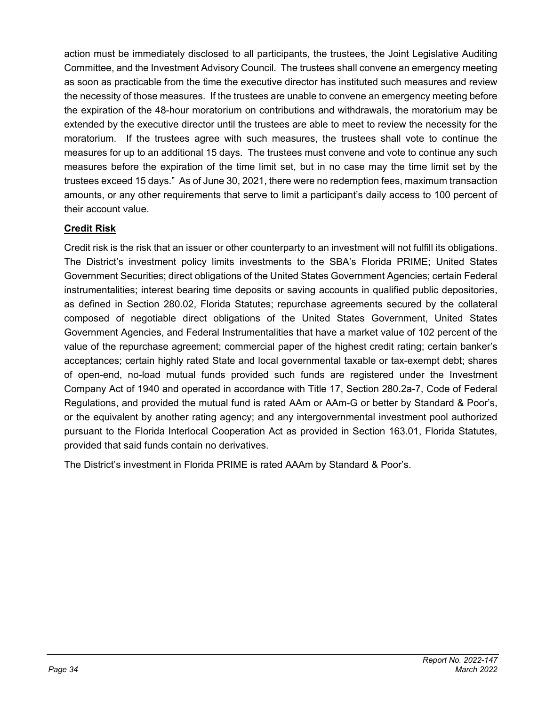action must be immediately disclosed to all participants, the trustees, the Joint Legislative Auditing Committee, and the Investment Advisory Council. The trustees shall convene an emergency meeting as soon as practicable from the time the executive director has instituted such measures and review the necessity of those measures. If the trustees are unable to convene an emergency meeting before the expiration of the 48-hour moratorium on contributions and withdrawals, the moratorium may be extended by the executive director until the trustees are able to meet to review the necessity for the moratorium. If the trustees agree with such measures, the trustees shall vote to continue the measures for up to an additional 15 days. The trustees must convene and vote to continue any such measures before the expiration of the time limit set, but in no case may the time limit set by the trustees exceed 15 days." As of June 30, 2021, there were no redemption fees, maximum transaction amounts, or any other requirements that serve to limit a participant's daily access to 100 percent of their account value.

### **Credit Risk**

Credit risk is the risk that an issuer or other counterparty to an investment will not fulfill its obligations. The District's investment policy limits investments to the SBA's Florida PRIME; United States Government Securities; direct obligations of the United States Government Agencies; certain Federal instrumentalities; interest bearing time deposits or saving accounts in qualified public depositories, as defined in Section 280.02, Florida Statutes; repurchase agreements secured by the collateral composed of negotiable direct obligations of the United States Government, United States Government Agencies, and Federal Instrumentalities that have a market value of 102 percent of the value of the repurchase agreement; commercial paper of the highest credit rating; certain banker's acceptances; certain highly rated State and local governmental taxable or tax-exempt debt; shares of open-end, no-load mutual funds provided such funds are registered under the Investment Company Act of 1940 and operated in accordance with Title 17, Section 280.2a-7, Code of Federal Regulations, and provided the mutual fund is rated AAm or AAm-G or better by Standard & Poor's, or the equivalent by another rating agency; and any intergovernmental investment pool authorized pursuant to the Florida Interlocal Cooperation Act as provided in Section 163.01, Florida Statutes, provided that said funds contain no derivatives.

The District's investment in Florida PRIME is rated AAAm by Standard & Poor's.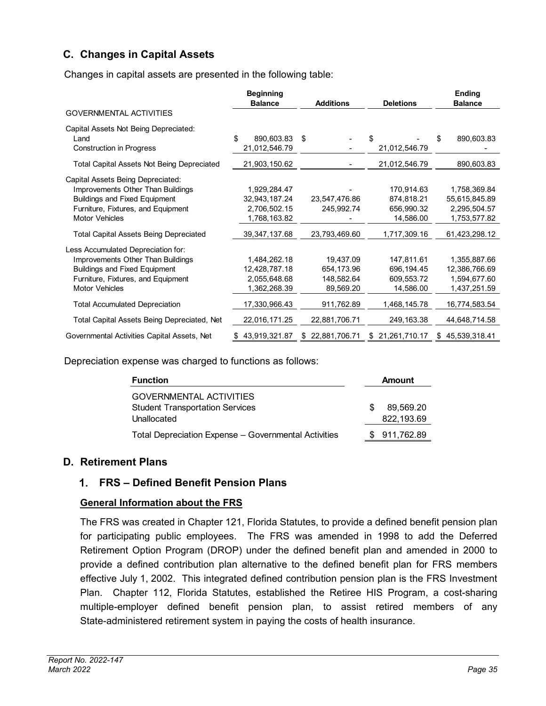### **C. Changes in Capital Assets**

Changes in capital assets are presented in the following table:

|                                                                                                                                                                                | <b>Beginning</b><br><b>Balance</b>                            | <b>Additions</b>                                   | <b>Deletions</b>                                    | <b>Ending</b><br><b>Balance</b>                               |
|--------------------------------------------------------------------------------------------------------------------------------------------------------------------------------|---------------------------------------------------------------|----------------------------------------------------|-----------------------------------------------------|---------------------------------------------------------------|
| <b>GOVERNMENTAL ACTIVITIES</b>                                                                                                                                                 |                                                               |                                                    |                                                     |                                                               |
| Capital Assets Not Being Depreciated:<br>Land<br><b>Construction in Progress</b>                                                                                               | \$<br>890,603.83<br>21,012,546.79                             | \$                                                 | \$<br>21,012,546.79                                 | \$<br>890,603.83                                              |
| <b>Total Capital Assets Not Being Depreciated</b>                                                                                                                              | 21,903,150.62                                                 |                                                    | 21,012,546.79                                       | 890,603.83                                                    |
| Capital Assets Being Depreciated:<br>Improvements Other Than Buildings<br><b>Buildings and Fixed Equipment</b><br>Furniture, Fixtures, and Equipment<br><b>Motor Vehicles</b>  | 1,929,284.47<br>32,943,187.24<br>2,706,502.15<br>1,768,163.82 | 23,547,476.86<br>245,992.74                        | 170.914.63<br>874,818.21<br>656,990.32<br>14,586.00 | 1,758,369.84<br>55,615,845.89<br>2,295,504.57<br>1,753,577.82 |
| <b>Total Capital Assets Being Depreciated</b>                                                                                                                                  | 39, 347, 137.68                                               | 23,793,469.60                                      | 1,717,309.16                                        | 61,423,298.12                                                 |
| Less Accumulated Depreciation for:<br>Improvements Other Than Buildings<br><b>Buildings and Fixed Equipment</b><br>Furniture, Fixtures, and Equipment<br><b>Motor Vehicles</b> | 1,484,262.18<br>12,428,787.18<br>2,055,648.68<br>1,362,268.39 | 19,437.09<br>654,173.96<br>148,582.64<br>89,569.20 | 147,811.61<br>696,194.45<br>609,553.72<br>14,586.00 | 1,355,887.66<br>12,386,766.69<br>1,594,677.60<br>1,437,251.59 |
| <b>Total Accumulated Depreciation</b>                                                                                                                                          | 17,330,966.43                                                 | 911,762.89                                         | 1,468,145.78                                        | 16,774,583.54                                                 |
| Total Capital Assets Being Depreciated, Net                                                                                                                                    | 22,016,171.25                                                 | 22,881,706.71                                      | 249, 163.38                                         | 44,648,714.58                                                 |
| Governmental Activities Capital Assets, Net                                                                                                                                    | \$43,919,321.87                                               | 22,881,706.71<br>\$                                | \$21,261,710.17                                     | \$45,539,318.41                                               |

Depreciation expense was charged to functions as follows:

| <b>Function</b>                                      |    | <b>Amount</b> |
|------------------------------------------------------|----|---------------|
| <b>GOVERNMENTAL ACTIVITIES</b>                       |    |               |
| <b>Student Transportation Services</b>               | S. | 89.569.20     |
| Unallocated                                          |    | 822,193.69    |
| Total Depreciation Expense - Governmental Activities |    | \$911,762.89  |

### **D. Retirement Plans**

### **FRS – Defined Benefit Pension Plans**

#### **General Information about the FRS**

The FRS was created in Chapter 121, Florida Statutes, to provide a defined benefit pension plan for participating public employees. The FRS was amended in 1998 to add the Deferred Retirement Option Program (DROP) under the defined benefit plan and amended in 2000 to provide a defined contribution plan alternative to the defined benefit plan for FRS members effective July 1, 2002. This integrated defined contribution pension plan is the FRS Investment Plan. Chapter 112, Florida Statutes, established the Retiree HIS Program, a cost-sharing multiple-employer defined benefit pension plan, to assist retired members of any State-administered retirement system in paying the costs of health insurance.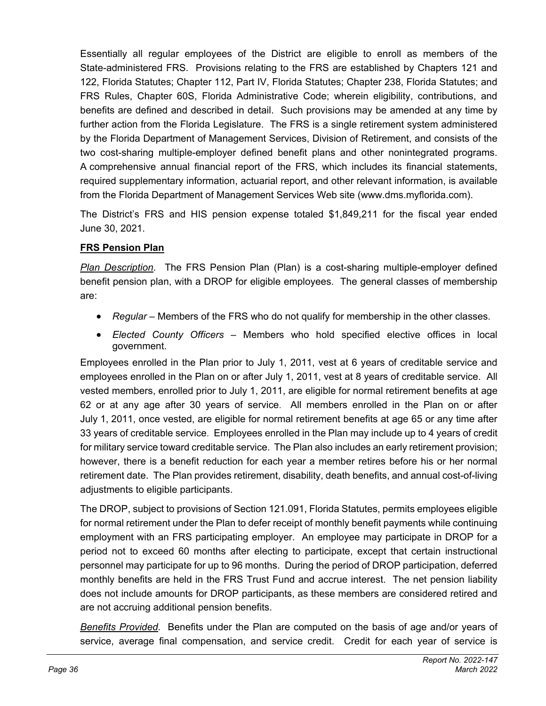Essentially all regular employees of the District are eligible to enroll as members of the State-administered FRS. Provisions relating to the FRS are established by Chapters 121 and 122, Florida Statutes; Chapter 112, Part IV, Florida Statutes; Chapter 238, Florida Statutes; and FRS Rules, Chapter 60S, Florida Administrative Code; wherein eligibility, contributions, and benefits are defined and described in detail. Such provisions may be amended at any time by further action from the Florida Legislature. The FRS is a single retirement system administered by the Florida Department of Management Services, Division of Retirement, and consists of the two cost-sharing multiple-employer defined benefit plans and other nonintegrated programs. A comprehensive annual financial report of the FRS, which includes its financial statements, required supplementary information, actuarial report, and other relevant information, is available from the Florida Department of Management Services Web site (www.dms.myflorida.com).

The District's FRS and HIS pension expense totaled \$1,849,211 for the fiscal year ended June 30, 2021.

### **FRS Pension Plan**

*Plan Description*. The FRS Pension Plan (Plan) is a cost-sharing multiple-employer defined benefit pension plan, with a DROP for eligible employees. The general classes of membership are:

- *Regular* Members of the FRS who do not qualify for membership in the other classes.
- *Elected County Officers* Members who hold specified elective offices in local government.

Employees enrolled in the Plan prior to July 1, 2011, vest at 6 years of creditable service and employees enrolled in the Plan on or after July 1, 2011, vest at 8 years of creditable service. All vested members, enrolled prior to July 1, 2011, are eligible for normal retirement benefits at age 62 or at any age after 30 years of service. All members enrolled in the Plan on or after July 1, 2011, once vested, are eligible for normal retirement benefits at age 65 or any time after 33 years of creditable service. Employees enrolled in the Plan may include up to 4 years of credit for military service toward creditable service. The Plan also includes an early retirement provision; however, there is a benefit reduction for each year a member retires before his or her normal retirement date. The Plan provides retirement, disability, death benefits, and annual cost-of-living adjustments to eligible participants.

The DROP, subject to provisions of Section 121.091, Florida Statutes, permits employees eligible for normal retirement under the Plan to defer receipt of monthly benefit payments while continuing employment with an FRS participating employer. An employee may participate in DROP for a period not to exceed 60 months after electing to participate, except that certain instructional personnel may participate for up to 96 months. During the period of DROP participation, deferred monthly benefits are held in the FRS Trust Fund and accrue interest. The net pension liability does not include amounts for DROP participants, as these members are considered retired and are not accruing additional pension benefits.

*Benefits Provided*. Benefits under the Plan are computed on the basis of age and/or years of service, average final compensation, and service credit. Credit for each year of service is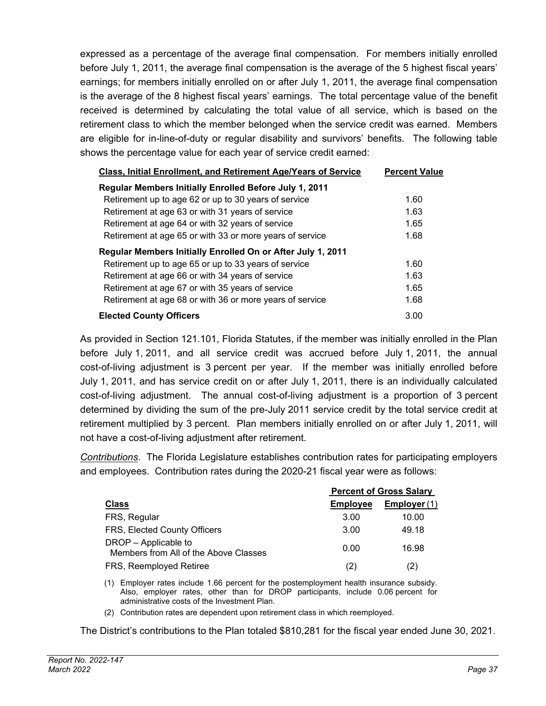expressed as a percentage of the average final compensation. For members initially enrolled before July 1, 2011, the average final compensation is the average of the 5 highest fiscal years' earnings; for members initially enrolled on or after July 1, 2011, the average final compensation is the average of the 8 highest fiscal years' earnings. The total percentage value of the benefit received is determined by calculating the total value of all service, which is based on the retirement class to which the member belonged when the service credit was earned. Members are eligible for in-line-of-duty or regular disability and survivors' benefits. The following table shows the percentage value for each year of service credit earned:

| <b>Class, Initial Enrollment, and Retirement Age/Years of Service</b> | <b>Percent Value</b> |
|-----------------------------------------------------------------------|----------------------|
| Regular Members Initially Enrolled Before July 1, 2011                |                      |
| Retirement up to age 62 or up to 30 years of service                  | 1.60                 |
| Retirement at age 63 or with 31 years of service                      | 1.63                 |
| Retirement at age 64 or with 32 years of service                      | 1.65                 |
| Retirement at age 65 or with 33 or more years of service              | 1.68                 |
| Regular Members Initially Enrolled On or After July 1, 2011           |                      |
| Retirement up to age 65 or up to 33 years of service                  | 1.60                 |
| Retirement at age 66 or with 34 years of service                      | 1.63                 |
| Retirement at age 67 or with 35 years of service                      | 1.65                 |
| Retirement at age 68 or with 36 or more years of service              | 1.68                 |
| <b>Elected County Officers</b>                                        | 3.00                 |

As provided in Section 121.101, Florida Statutes, if the member was initially enrolled in the Plan before July 1, 2011, and all service credit was accrued before July 1, 2011, the annual cost-of-living adjustment is 3 percent per year. If the member was initially enrolled before July 1, 2011, and has service credit on or after July 1, 2011, there is an individually calculated cost-of-living adjustment. The annual cost-of-living adjustment is a proportion of 3 percent determined by dividing the sum of the pre-July 2011 service credit by the total service credit at retirement multiplied by 3 percent. Plan members initially enrolled on or after July 1, 2011, will not have a cost-of-living adjustment after retirement.

*Contributions*. The Florida Legislature establishes contribution rates for participating employers and employees. Contribution rates during the 2020-21 fiscal year were as follows:

|                                                               | <b>Percent of Gross Salary</b> |             |  |
|---------------------------------------------------------------|--------------------------------|-------------|--|
| <b>Class</b>                                                  | <b>Employee</b>                | Emplayer(1) |  |
| FRS, Regular                                                  | 3.00                           | 10.00       |  |
| FRS, Elected County Officers                                  | 3.00                           | 49.18       |  |
| DROP - Applicable to<br>Members from All of the Above Classes | 0.00                           | 16.98       |  |
| FRS, Reemployed Retiree                                       | (2)                            | (2)         |  |

(1) Employer rates include 1.66 percent for the postemployment health insurance subsidy. Also, employer rates, other than for DROP participants, include 0.06 percent for administrative costs of the Investment Plan.

(2) Contribution rates are dependent upon retirement class in which reemployed.

The District's contributions to the Plan totaled \$810,281 for the fiscal year ended June 30, 2021.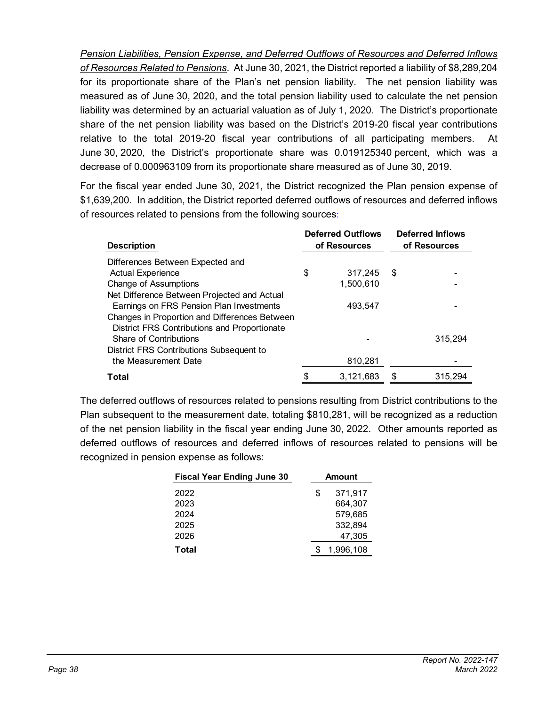*Pension Liabilities, Pension Expense, and Deferred Outflows of Resources and Deferred Inflows of Resources Related to Pensions*. At June 30, 2021, the District reported a liability of \$8,289,204 for its proportionate share of the Plan's net pension liability. The net pension liability was measured as of June 30, 2020, and the total pension liability used to calculate the net pension liability was determined by an actuarial valuation as of July 1, 2020. The District's proportionate share of the net pension liability was based on the District's 2019-20 fiscal year contributions relative to the total 2019-20 fiscal year contributions of all participating members. At June 30, 2020, the District's proportionate share was 0.019125340 percent, which was a decrease of 0.000963109 from its proportionate share measured as of June 30, 2019.

For the fiscal year ended June 30, 2021, the District recognized the Plan pension expense of \$1,639,200. In addition, the District reported deferred outflows of resources and deferred inflows of resources related to pensions from the following sources:

| <b>Description</b>                                  | <b>Deferred Outflows</b><br>of Resources |           | <b>Deferred Inflows</b><br>of Resources |         |
|-----------------------------------------------------|------------------------------------------|-----------|-----------------------------------------|---------|
| Differences Between Expected and                    |                                          |           |                                         |         |
| <b>Actual Experience</b>                            | \$                                       | 317,245   | - \$                                    |         |
| <b>Change of Assumptions</b>                        |                                          | 1,500,610 |                                         |         |
| Net Difference Between Projected and Actual         |                                          |           |                                         |         |
| Earnings on FRS Pension Plan Investments            |                                          | 493,547   |                                         |         |
| Changes in Proportion and Differences Between       |                                          |           |                                         |         |
| <b>District FRS Contributions and Proportionate</b> |                                          |           |                                         |         |
| <b>Share of Contributions</b>                       |                                          |           |                                         | 315,294 |
| District FRS Contributions Subsequent to            |                                          |           |                                         |         |
| the Measurement Date                                |                                          | 810,281   |                                         |         |
| Total                                               |                                          | 3,121,683 |                                         | 315,294 |

The deferred outflows of resources related to pensions resulting from District contributions to the Plan subsequent to the measurement date, totaling \$810,281, will be recognized as a reduction of the net pension liability in the fiscal year ending June 30, 2022. Other amounts reported as deferred outflows of resources and deferred inflows of resources related to pensions will be recognized in pension expense as follows:

| <b>Fiscal Year Ending June 30</b> |    | <b>Amount</b> |  |  |
|-----------------------------------|----|---------------|--|--|
| 2022                              | \$ | 371,917       |  |  |
| 2023                              |    | 664,307       |  |  |
| 2024                              |    | 579,685       |  |  |
| 2025                              |    | 332,894       |  |  |
| 2026                              |    | 47,305        |  |  |
| Total                             |    | 1,996,108     |  |  |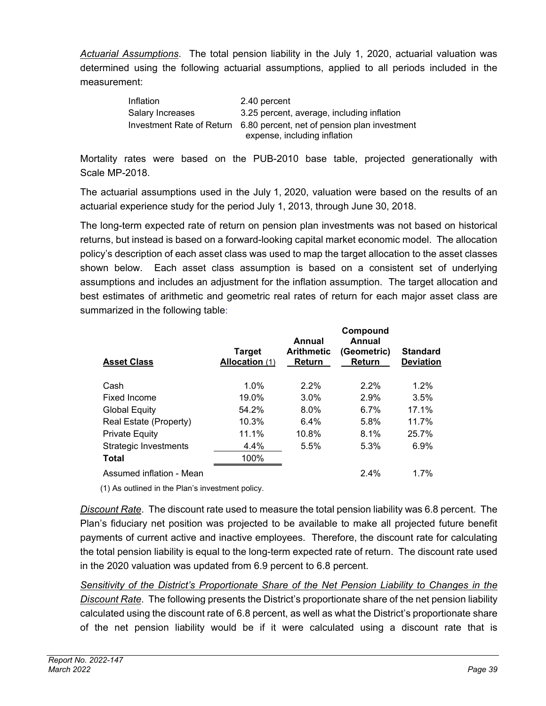*Actuarial Assumptions*. The total pension liability in the July 1, 2020, actuarial valuation was determined using the following actuarial assumptions, applied to all periods included in the measurement:

| Inflation        | 2.40 percent                                                           |
|------------------|------------------------------------------------------------------------|
| Salary Increases | 3.25 percent, average, including inflation                             |
|                  | Investment Rate of Return 6.80 percent, net of pension plan investment |
|                  | expense, including inflation                                           |

Mortality rates were based on the PUB-2010 base table, projected generationally with Scale MP-2018.

The actuarial assumptions used in the July 1, 2020, valuation were based on the results of an actuarial experience study for the period July 1, 2013, through June 30, 2018.

The long-term expected rate of return on pension plan investments was not based on historical returns, but instead is based on a forward-looking capital market economic model. The allocation policy's description of each asset class was used to map the target allocation to the asset classes shown below. Each asset class assumption is based on a consistent set of underlying assumptions and includes an adjustment for the inflation assumption. The target allocation and best estimates of arithmetic and geometric real rates of return for each major asset class are summarized in the following table:

| <b>Asset Class</b>       | <b>Target</b><br>Allocation (1) | Annual<br><b>Arithmetic</b><br>Return | Compound<br>Annual<br>(Geometric)<br>Return | <b>Standard</b><br><b>Deviation</b> |
|--------------------------|---------------------------------|---------------------------------------|---------------------------------------------|-------------------------------------|
| Cash                     | 1.0%                            | $2.2\%$                               | $2.2\%$                                     | $1.2\%$                             |
| Fixed Income             | 19.0%                           | 3.0%                                  | 2.9%                                        | 3.5%                                |
| <b>Global Equity</b>     | 54.2%                           | 8.0%                                  | 6.7%                                        | 17.1%                               |
| Real Estate (Property)   | 10.3%                           | 6.4%                                  | 5.8%                                        | 11.7%                               |
| <b>Private Equity</b>    | 11.1%                           | 10.8%                                 | 8.1%                                        | 25.7%                               |
| Strategic Investments    | 4.4%                            | 5.5%                                  | 5.3%                                        | 6.9%                                |
| <b>Total</b>             | 100%                            |                                       |                                             |                                     |
| Assumed inflation - Mean |                                 |                                       | 2.4%                                        | 1.7%                                |

(1) As outlined in the Plan's investment policy.

*Discount Rate*. The discount rate used to measure the total pension liability was 6.8 percent. The Plan's fiduciary net position was projected to be available to make all projected future benefit payments of current active and inactive employees. Therefore, the discount rate for calculating the total pension liability is equal to the long-term expected rate of return. The discount rate used in the 2020 valuation was updated from 6.9 percent to 6.8 percent.

*Sensitivity of the District's Proportionate Share of the Net Pension Liability to Changes in the Discount Rate*. The following presents the District's proportionate share of the net pension liability calculated using the discount rate of 6.8 percent, as well as what the District's proportionate share of the net pension liability would be if it were calculated using a discount rate that is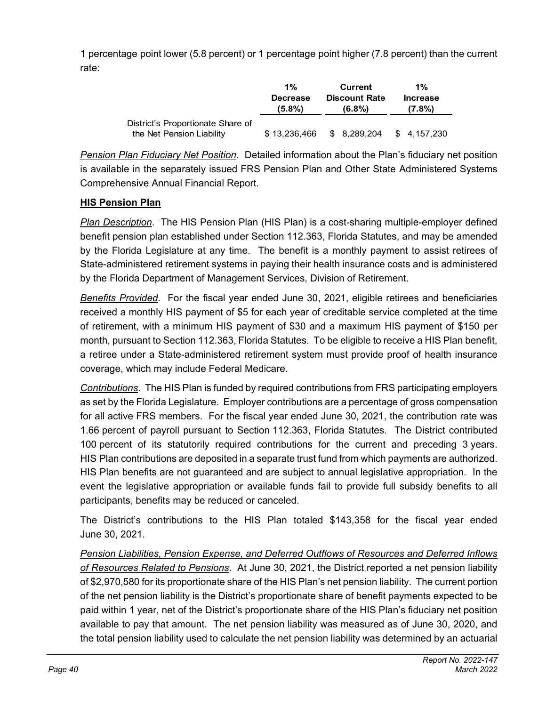1 percentage point lower (5.8 percent) or 1 percentage point higher (7.8 percent) than the current rate:

|                                   | 1%                           | <b>Current</b>                    | $1\%$                     |
|-----------------------------------|------------------------------|-----------------------------------|---------------------------|
|                                   | <b>Decrease</b><br>$(5.8\%)$ | <b>Discount Rate</b><br>$(6.8\%)$ | <b>Increase</b><br>(7.8%) |
| District's Proportionate Share of |                              |                                   |                           |
| the Net Pension Liability         | \$13,236,466                 | \$8,289,204                       | 4,157,230<br>S.           |

*Pension Plan Fiduciary Net Position*. Detailed information about the Plan's fiduciary net position is available in the separately issued FRS Pension Plan and Other State Administered Systems Comprehensive Annual Financial Report.

### **HIS Pension Plan**

*Plan Description*. The HIS Pension Plan (HIS Plan) is a cost-sharing multiple-employer defined benefit pension plan established under Section 112.363, Florida Statutes, and may be amended by the Florida Legislature at any time. The benefit is a monthly payment to assist retirees of State-administered retirement systems in paying their health insurance costs and is administered by the Florida Department of Management Services, Division of Retirement.

*Benefits Provided*. For the fiscal year ended June 30, 2021, eligible retirees and beneficiaries received a monthly HIS payment of \$5 for each year of creditable service completed at the time of retirement, with a minimum HIS payment of \$30 and a maximum HIS payment of \$150 per month, pursuant to Section 112.363, Florida Statutes. To be eligible to receive a HIS Plan benefit, a retiree under a State-administered retirement system must provide proof of health insurance coverage, which may include Federal Medicare.

*Contributions*. The HIS Plan is funded by required contributions from FRS participating employers as set by the Florida Legislature. Employer contributions are a percentage of gross compensation for all active FRS members. For the fiscal year ended June 30, 2021, the contribution rate was 1.66 percent of payroll pursuant to Section 112.363, Florida Statutes. The District contributed 100 percent of its statutorily required contributions for the current and preceding 3 years. HIS Plan contributions are deposited in a separate trust fund from which payments are authorized. HIS Plan benefits are not guaranteed and are subject to annual legislative appropriation. In the event the legislative appropriation or available funds fail to provide full subsidy benefits to all participants, benefits may be reduced or canceled.

The District's contributions to the HIS Plan totaled \$143,358 for the fiscal year ended June 30, 2021.

*Pension Liabilities, Pension Expense, and Deferred Outflows of Resources and Deferred Inflows of Resources Related to Pensions*. At June 30, 2021, the District reported a net pension liability of \$2,970,580 for its proportionate share of the HIS Plan's net pension liability. The current portion of the net pension liability is the District's proportionate share of benefit payments expected to be paid within 1 year, net of the District's proportionate share of the HIS Plan's fiduciary net position available to pay that amount. The net pension liability was measured as of June 30, 2020, and the total pension liability used to calculate the net pension liability was determined by an actuarial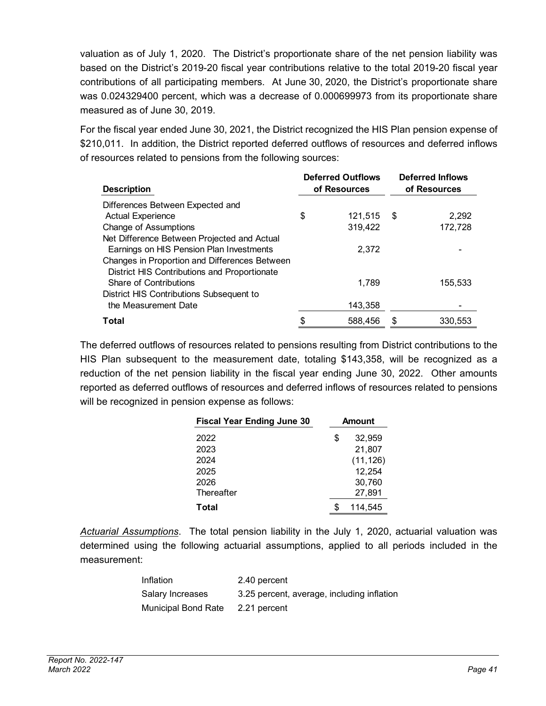valuation as of July 1, 2020. The District's proportionate share of the net pension liability was based on the District's 2019-20 fiscal year contributions relative to the total 2019-20 fiscal year contributions of all participating members. At June 30, 2020, the District's proportionate share was 0.024329400 percent, which was a decrease of 0.000699973 from its proportionate share measured as of June 30, 2019.

For the fiscal year ended June 30, 2021, the District recognized the HIS Plan pension expense of \$210,011. In addition, the District reported deferred outflows of resources and deferred inflows of resources related to pensions from the following sources:

| <b>Description</b>                            | <b>Deferred Outflows</b><br>of Resources |         | <b>Deferred Inflows</b><br>of Resources |         |
|-----------------------------------------------|------------------------------------------|---------|-----------------------------------------|---------|
| Differences Between Expected and              |                                          |         |                                         |         |
| <b>Actual Experience</b>                      | \$                                       | 121,515 | \$                                      | 2.292   |
| Change of Assumptions                         |                                          | 319,422 |                                         | 172,728 |
| Net Difference Between Projected and Actual   |                                          |         |                                         |         |
| Earnings on HIS Pension Plan Investments      |                                          | 2.372   |                                         |         |
| Changes in Proportion and Differences Between |                                          |         |                                         |         |
| District HIS Contributions and Proportionate  |                                          |         |                                         |         |
| <b>Share of Contributions</b>                 |                                          | 1.789   |                                         | 155,533 |
| District HIS Contributions Subsequent to      |                                          |         |                                         |         |
| the Measurement Date                          |                                          | 143,358 |                                         |         |
| Total                                         | \$                                       | 588.456 | \$                                      | 330.553 |

The deferred outflows of resources related to pensions resulting from District contributions to the HIS Plan subsequent to the measurement date, totaling \$143,358, will be recognized as a reduction of the net pension liability in the fiscal year ending June 30, 2022. Other amounts reported as deferred outflows of resources and deferred inflows of resources related to pensions will be recognized in pension expense as follows:

| <b>Fiscal Year Ending June 30</b> |   | <b>Amount</b> |
|-----------------------------------|---|---------------|
| 2022                              | S | 32.959        |
| 2023                              |   | 21,807        |
| 2024                              |   | (11, 126)     |
| 2025                              |   | 12,254        |
| 2026                              |   | 30,760        |
| Thereafter                        |   | 27,891        |
| Total                             |   | 114,545       |

*Actuarial Assumptions*. The total pension liability in the July 1, 2020, actuarial valuation was determined using the following actuarial assumptions, applied to all periods included in the measurement:

| Inflation                  | 2.40 percent                               |
|----------------------------|--------------------------------------------|
| Salary Increases           | 3.25 percent, average, including inflation |
| <b>Municipal Bond Rate</b> | 2.21 percent                               |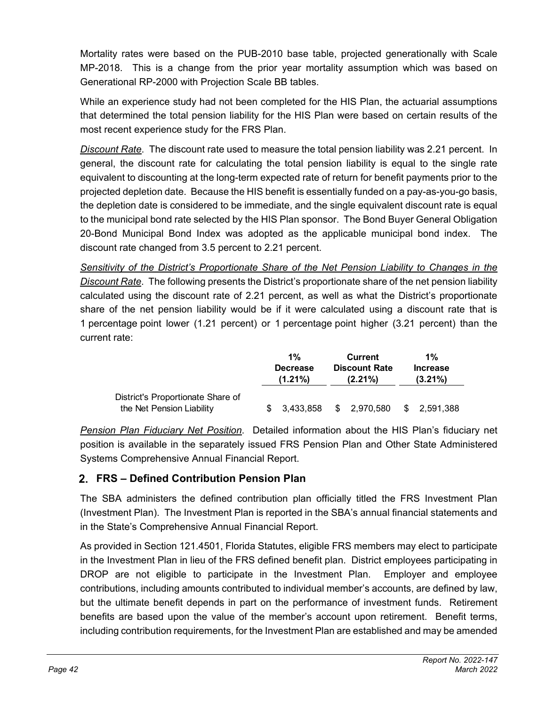Mortality rates were based on the PUB-2010 base table, projected generationally with Scale MP-2018. This is a change from the prior year mortality assumption which was based on Generational RP-2000 with Projection Scale BB tables.

While an experience study had not been completed for the HIS Plan, the actuarial assumptions that determined the total pension liability for the HIS Plan were based on certain results of the most recent experience study for the FRS Plan.

*Discount Rate*. The discount rate used to measure the total pension liability was 2.21 percent. In general, the discount rate for calculating the total pension liability is equal to the single rate equivalent to discounting at the long-term expected rate of return for benefit payments prior to the projected depletion date. Because the HIS benefit is essentially funded on a pay-as-you-go basis, the depletion date is considered to be immediate, and the single equivalent discount rate is equal to the municipal bond rate selected by the HIS Plan sponsor. The Bond Buyer General Obligation 20-Bond Municipal Bond Index was adopted as the applicable municipal bond index. The discount rate changed from 3.5 percent to 2.21 percent.

*Sensitivity of the District's Proportionate Share of the Net Pension Liability to Changes in the Discount Rate*. The following presents the District's proportionate share of the net pension liability calculated using the discount rate of 2.21 percent, as well as what the District's proportionate share of the net pension liability would be if it were calculated using a discount rate that is 1 percentage point lower (1.21 percent) or 1 percentage point higher (3.21 percent) than the current rate:

|                                                                |                               | 1%        |    | <b>Current</b>                     |   | $1\%$                         |  |
|----------------------------------------------------------------|-------------------------------|-----------|----|------------------------------------|---|-------------------------------|--|
|                                                                | <b>Decrease</b><br>$(1.21\%)$ |           |    | <b>Discount Rate</b><br>$(2.21\%)$ |   | <b>Increase</b><br>$(3.21\%)$ |  |
| District's Proportionate Share of<br>the Net Pension Liability |                               | 3.433.858 | S. | 2,970,580                          | S | 2,591,388                     |  |

*Pension Plan Fiduciary Net Position*. Detailed information about the HIS Plan's fiduciary net position is available in the separately issued FRS Pension Plan and Other State Administered Systems Comprehensive Annual Financial Report.

### **FRS – Defined Contribution Pension Plan**

The SBA administers the defined contribution plan officially titled the FRS Investment Plan (Investment Plan). The Investment Plan is reported in the SBA's annual financial statements and in the State's Comprehensive Annual Financial Report.

As provided in Section 121.4501, Florida Statutes, eligible FRS members may elect to participate in the Investment Plan in lieu of the FRS defined benefit plan. District employees participating in DROP are not eligible to participate in the Investment Plan. Employer and employee contributions, including amounts contributed to individual member's accounts, are defined by law, but the ultimate benefit depends in part on the performance of investment funds. Retirement benefits are based upon the value of the member's account upon retirement. Benefit terms, including contribution requirements, for the Investment Plan are established and may be amended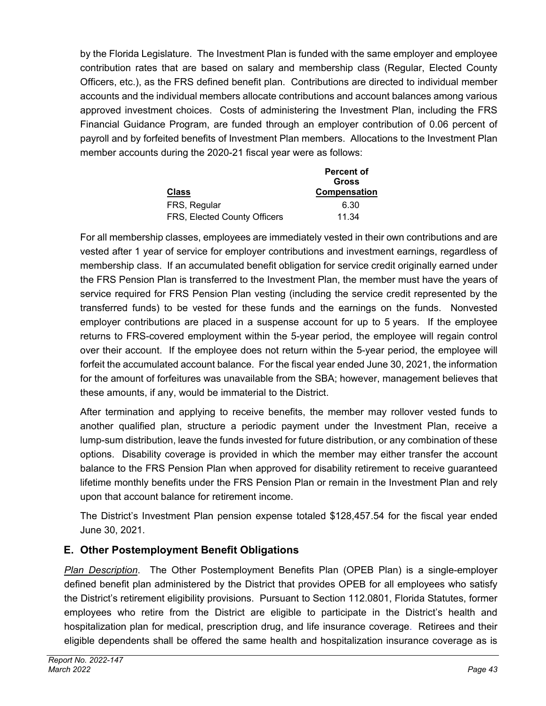by the Florida Legislature. The Investment Plan is funded with the same employer and employee contribution rates that are based on salary and membership class (Regular, Elected County Officers, etc.), as the FRS defined benefit plan. Contributions are directed to individual member accounts and the individual members allocate contributions and account balances among various approved investment choices. Costs of administering the Investment Plan, including the FRS Financial Guidance Program, are funded through an employer contribution of 0.06 percent of payroll and by forfeited benefits of Investment Plan members. Allocations to the Investment Plan member accounts during the 2020-21 fiscal year were as follows:

|                              | Percent of            |
|------------------------------|-----------------------|
| <b>Class</b>                 | Gross<br>Compensation |
| FRS, Regular                 | 6.30                  |
| FRS, Elected County Officers | 11.34                 |

For all membership classes, employees are immediately vested in their own contributions and are vested after 1 year of service for employer contributions and investment earnings, regardless of membership class. If an accumulated benefit obligation for service credit originally earned under the FRS Pension Plan is transferred to the Investment Plan, the member must have the years of service required for FRS Pension Plan vesting (including the service credit represented by the transferred funds) to be vested for these funds and the earnings on the funds. Nonvested employer contributions are placed in a suspense account for up to 5 years. If the employee returns to FRS-covered employment within the 5-year period, the employee will regain control over their account. If the employee does not return within the 5-year period, the employee will forfeit the accumulated account balance. For the fiscal year ended June 30, 2021, the information for the amount of forfeitures was unavailable from the SBA; however, management believes that these amounts, if any, would be immaterial to the District.

After termination and applying to receive benefits, the member may rollover vested funds to another qualified plan, structure a periodic payment under the Investment Plan, receive a lump-sum distribution, leave the funds invested for future distribution, or any combination of these options. Disability coverage is provided in which the member may either transfer the account balance to the FRS Pension Plan when approved for disability retirement to receive guaranteed lifetime monthly benefits under the FRS Pension Plan or remain in the Investment Plan and rely upon that account balance for retirement income.

The District's Investment Plan pension expense totaled \$128,457.54 for the fiscal year ended June 30, 2021.

### **E. Other Postemployment Benefit Obligations**

*Plan Description*. The Other Postemployment Benefits Plan (OPEB Plan) is a single-employer defined benefit plan administered by the District that provides OPEB for all employees who satisfy the District's retirement eligibility provisions. Pursuant to Section 112.0801, Florida Statutes, former employees who retire from the District are eligible to participate in the District's health and hospitalization plan for medical, prescription drug, and life insurance coverage. Retirees and their eligible dependents shall be offered the same health and hospitalization insurance coverage as is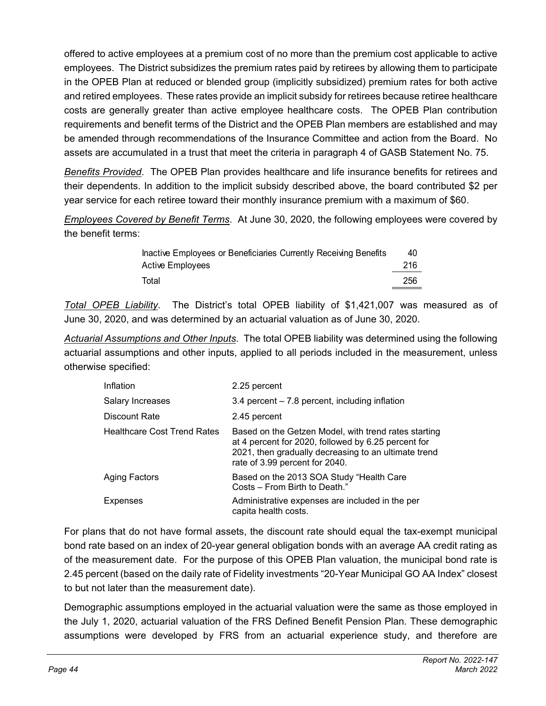offered to active employees at a premium cost of no more than the premium cost applicable to active employees. The District subsidizes the premium rates paid by retirees by allowing them to participate in the OPEB Plan at reduced or blended group (implicitly subsidized) premium rates for both active and retired employees. These rates provide an implicit subsidy for retirees because retiree healthcare costs are generally greater than active employee healthcare costs. The OPEB Plan contribution requirements and benefit terms of the District and the OPEB Plan members are established and may be amended through recommendations of the Insurance Committee and action from the Board. No assets are accumulated in a trust that meet the criteria in paragraph 4 of GASB Statement No. 75.

*Benefits Provided*.The OPEB Plan provides healthcare and life insurance benefits for retirees and their dependents. In addition to the implicit subsidy described above, the board contributed \$2 per year service for each retiree toward their monthly insurance premium with a maximum of \$60.

*Employees Covered by Benefit Terms*. At June 30, 2020, the following employees were covered by the benefit terms:

| Inactive Employees or Beneficiaries Currently Receiving Benefits | 40  |
|------------------------------------------------------------------|-----|
| Active Employees                                                 | 216 |
| Total                                                            | 256 |

*Total OPEB Liability*. The District's total OPEB liability of \$1,421,007 was measured as of June 30, 2020, and was determined by an actuarial valuation as of June 30, 2020.

*Actuarial Assumptions and Other Inputs*. The total OPEB liability was determined using the following actuarial assumptions and other inputs, applied to all periods included in the measurement, unless otherwise specified:

| Inflation                          | 2.25 percent                                                                                                                                                                                          |
|------------------------------------|-------------------------------------------------------------------------------------------------------------------------------------------------------------------------------------------------------|
| Salary Increases                   | 3.4 percent – 7.8 percent, including inflation                                                                                                                                                        |
| Discount Rate                      | 2.45 percent                                                                                                                                                                                          |
| <b>Healthcare Cost Trend Rates</b> | Based on the Getzen Model, with trend rates starting<br>at 4 percent for 2020, followed by 6.25 percent for<br>2021, then gradually decreasing to an ultimate trend<br>rate of 3.99 percent for 2040. |
| Aging Factors                      | Based on the 2013 SOA Study "Health Care<br>Costs – From Birth to Death."                                                                                                                             |
| <b>Expenses</b>                    | Administrative expenses are included in the per<br>capita health costs.                                                                                                                               |

For plans that do not have formal assets, the discount rate should equal the tax-exempt municipal bond rate based on an index of 20-year general obligation bonds with an average AA credit rating as of the measurement date. For the purpose of this OPEB Plan valuation, the municipal bond rate is 2.45 percent (based on the daily rate of Fidelity investments "20-Year Municipal GO AA Index" closest to but not later than the measurement date).

Demographic assumptions employed in the actuarial valuation were the same as those employed in the July 1, 2020, actuarial valuation of the FRS Defined Benefit Pension Plan. These demographic assumptions were developed by FRS from an actuarial experience study, and therefore are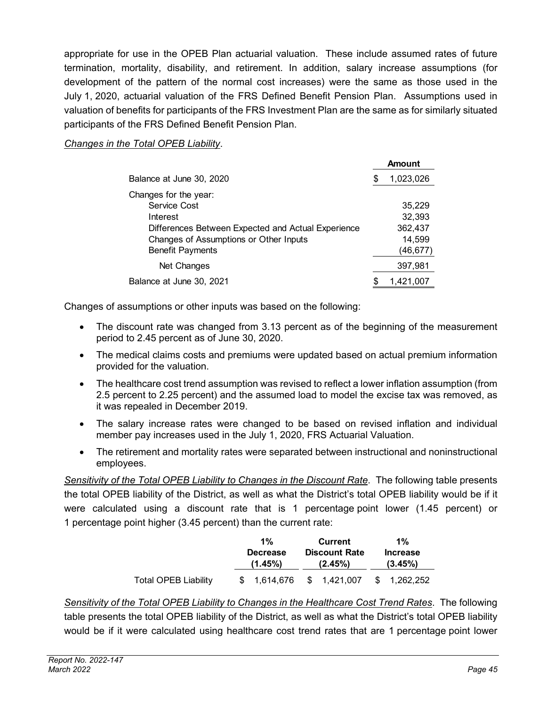appropriate for use in the OPEB Plan actuarial valuation. These include assumed rates of future termination, mortality, disability, and retirement. In addition, salary increase assumptions (for development of the pattern of the normal cost increases) were the same as those used in the July 1, 2020, actuarial valuation of the FRS Defined Benefit Pension Plan. Assumptions used in valuation of benefits for participants of the FRS Investment Plan are the same as for similarly situated participants of the FRS Defined Benefit Pension Plan.

### *Changes in the Total OPEB Liability*.

|                                                    |    | <b>Amount</b> |
|----------------------------------------------------|----|---------------|
| Balance at June 30, 2020                           | \$ | 1,023,026     |
| Changes for the year:                              |    |               |
| Service Cost                                       |    | 35,229        |
| Interest                                           |    | 32,393        |
| Differences Between Expected and Actual Experience |    | 362,437       |
| Changes of Assumptions or Other Inputs             |    | 14,599        |
| <b>Benefit Payments</b>                            |    | (46,677)      |
| Net Changes                                        |    | 397,981       |
| Balance at June 30, 2021                           | S  | 1.421.007     |

Changes of assumptions or other inputs was based on the following:

- The discount rate was changed from 3.13 percent as of the beginning of the measurement period to 2.45 percent as of June 30, 2020.
- The medical claims costs and premiums were updated based on actual premium information provided for the valuation.
- The healthcare cost trend assumption was revised to reflect a lower inflation assumption (from 2.5 percent to 2.25 percent) and the assumed load to model the excise tax was removed, as it was repealed in December 2019.
- The salary increase rates were changed to be based on revised inflation and individual member pay increases used in the July 1, 2020, FRS Actuarial Valuation.
- The retirement and mortality rates were separated between instructional and noninstructional employees.

*Sensitivity of the Total OPEB Liability to Changes in the Discount Rate*. The following table presents the total OPEB liability of the District, as well as what the District's total OPEB liability would be if it were calculated using a discount rate that is 1 percentage point lower (1.45 percent) or 1 percentage point higher (3.45 percent) than the current rate:

|                             | $1\%$<br><b>Decrease</b> | <b>Current</b><br><b>Discount Rate</b> | $1\%$<br><b>Increase</b> |
|-----------------------------|--------------------------|----------------------------------------|--------------------------|
|                             | $(1.45\%)$               | (2.45%)                                | $(3.45\%)$               |
| <b>Total OPEB Liability</b> | 1.614.676                | \$ 1.421.007                           | \$ 1.262.252             |

*Sensitivity of the Total OPEB Liability to Changes in the Healthcare Cost Trend Rates*. The following table presents the total OPEB liability of the District, as well as what the District's total OPEB liability would be if it were calculated using healthcare cost trend rates that are 1 percentage point lower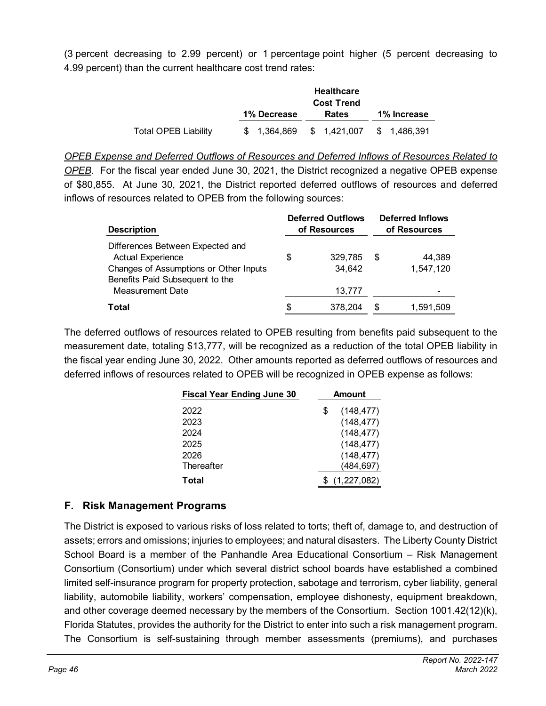(3 percent decreasing to 2.99 percent) or 1 percentage point higher (5 percent decreasing to 4.99 percent) than the current healthcare cost trend rates:

|                             | 1% Decrease | 1% Increase               |             |
|-----------------------------|-------------|---------------------------|-------------|
| <b>Total OPEB Liability</b> |             | $$1,364,869$ $$1,421,007$ | \$1.486.391 |

*OPEB Expense and Deferred Outflows of Resources and Deferred Inflows of Resources Related to OPEB*. For the fiscal year ended June 30, 2021, the District recognized a negative OPEB expense of \$80,855. At June 30, 2021, the District reported deferred outflows of resources and deferred inflows of resources related to OPEB from the following sources:

| <b>Description</b>                                                                                                                        |   | <b>Deferred Outflows</b><br>of Resources | <b>Deferred Inflows</b><br>of Resources |                     |  |
|-------------------------------------------------------------------------------------------------------------------------------------------|---|------------------------------------------|-----------------------------------------|---------------------|--|
| Differences Between Expected and<br><b>Actual Experience</b><br>Changes of Assumptions or Other Inputs<br>Benefits Paid Subsequent to the | S | 329,785<br>34,642                        | \$                                      | 44.389<br>1,547,120 |  |
| <b>Measurement Date</b>                                                                                                                   |   | 13,777                                   |                                         |                     |  |
| Total                                                                                                                                     | S | 378.204                                  | \$.                                     | 1,591,509           |  |

The deferred outflows of resources related to OPEB resulting from benefits paid subsequent to the measurement date, totaling \$13,777, will be recognized as a reduction of the total OPEB liability in the fiscal year ending June 30, 2022. Other amounts reported as deferred outflows of resources and deferred inflows of resources related to OPEB will be recognized in OPEB expense as follows:

| <b>Fiscal Year Ending June 30</b> |   | Amount      |  |  |
|-----------------------------------|---|-------------|--|--|
| 2022                              | S | (148, 477)  |  |  |
| 2023                              |   | (148, 477)  |  |  |
| 2024                              |   | (148, 477)  |  |  |
| 2025                              |   | (148, 477)  |  |  |
| 2026                              |   | (148, 477)  |  |  |
| Thereafter                        |   | (484, 697)  |  |  |
| Total                             |   | (1,227,082) |  |  |

### **F. Risk Management Programs**

The District is exposed to various risks of loss related to torts; theft of, damage to, and destruction of assets; errors and omissions; injuries to employees; and natural disasters. The Liberty County District School Board is a member of the Panhandle Area Educational Consortium – Risk Management Consortium (Consortium) under which several district school boards have established a combined limited self-insurance program for property protection, sabotage and terrorism, cyber liability, general liability, automobile liability, workers' compensation, employee dishonesty, equipment breakdown, and other coverage deemed necessary by the members of the Consortium. Section 1001.42(12)(k), Florida Statutes, provides the authority for the District to enter into such a risk management program. The Consortium is self-sustaining through member assessments (premiums), and purchases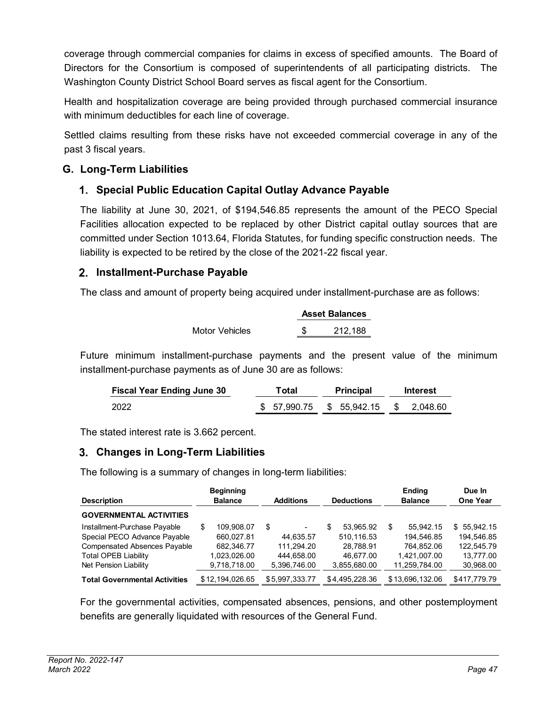coverage through commercial companies for claims in excess of specified amounts. The Board of Directors for the Consortium is composed of superintendents of all participating districts. The Washington County District School Board serves as fiscal agent for the Consortium.

Health and hospitalization coverage are being provided through purchased commercial insurance with minimum deductibles for each line of coverage.

Settled claims resulting from these risks have not exceeded commercial coverage in any of the past 3 fiscal years.

### **G. Long-Term Liabilities**

### **Special Public Education Capital Outlay Advance Payable**

The liability at June 30, 2021, of \$194,546.85 represents the amount of the PECO Special Facilities allocation expected to be replaced by other District capital outlay sources that are committed under Section 1013.64, Florida Statutes, for funding specific construction needs. The liability is expected to be retired by the close of the 2021-22 fiscal year.

### **Installment-Purchase Payable**

The class and amount of property being acquired under installment-purchase are as follows:

|                |   | <b>Asset Balances</b> |
|----------------|---|-----------------------|
| Motor Vehicles | S | 212.188               |

Future minimum installment-purchase payments and the present value of the minimum installment-purchase payments as of June 30 are as follows:

| <b>Fiscal Year Ending June 30</b> | Total |  | <b>Principal</b> |                                       | <b>Interest</b> |  |
|-----------------------------------|-------|--|------------------|---------------------------------------|-----------------|--|
| 2022                              |       |  |                  | \$ 57.990.75 \$ 55.942.15 \$ 2.048.60 |                 |  |

The stated interest rate is 3.662 percent.

### **Changes in Long-Term Liabilities**

The following is a summary of changes in long-term liabilities:

| <b>Description</b>                   | <b>Beginning</b><br><b>Balance</b> |            | <b>Additions</b> |            | <b>Deductions</b> |                | <b>Ending</b><br><b>Balance</b> |                 | Due In<br>One Year |  |
|--------------------------------------|------------------------------------|------------|------------------|------------|-------------------|----------------|---------------------------------|-----------------|--------------------|--|
| <b>GOVERNMENTAL ACTIVITIES</b>       |                                    |            |                  |            |                   |                |                                 |                 |                    |  |
| Installment-Purchase Payable         | S                                  | 109.908.07 | \$               | -          | S                 | 53.965.92      | S                               | 55.942.15       | \$5.942.15         |  |
| Special PECO Advance Payable         | 660.027.81                         |            |                  | 44.635.57  |                   | 510.116.53     |                                 | 194.546.85      | 194.546.85         |  |
| <b>Compensated Absences Payable</b>  | 682.346.77                         |            |                  | 111.294.20 |                   | 28.788.91      |                                 | 764.852.06      | 122.545.79         |  |
| <b>Total OPEB Liability</b>          | 1.023.026.00                       |            |                  | 444.658.00 |                   | 46.677.00      |                                 | 1.421.007.00    | 13.777.00          |  |
| Net Pension Liability                | 9,718,718.00                       |            | 5,396,746.00     |            |                   | 3,855,680.00   |                                 | 11,259,784.00   | 30,968.00          |  |
| <b>Total Governmental Activities</b> | \$12,194,026.65                    |            | \$5,997,333.77   |            |                   | \$4,495,228.36 |                                 | \$13,696,132.06 | \$417,779.79       |  |

For the governmental activities, compensated absences, pensions, and other postemployment benefits are generally liquidated with resources of the General Fund.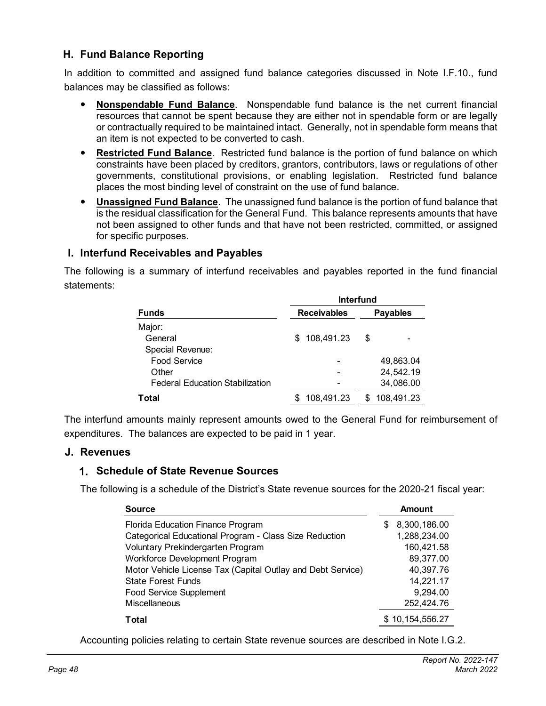### **H. Fund Balance Reporting**

In addition to committed and assigned fund balance categories discussed in Note I.F.10., fund balances may be classified as follows:

- **Nonspendable Fund Balance**. Nonspendable fund balance is the net current financial resources that cannot be spent because they are either not in spendable form or are legally or contractually required to be maintained intact. Generally, not in spendable form means that an item is not expected to be converted to cash.
- **Restricted Fund Balance**. Restricted fund balance is the portion of fund balance on which constraints have been placed by creditors, grantors, contributors, laws or regulations of other governments, constitutional provisions, or enabling legislation. Restricted fund balance places the most binding level of constraint on the use of fund balance.
- **Unassigned Fund Balance**. The unassigned fund balance is the portion of fund balance that is the residual classification for the General Fund. This balance represents amounts that have not been assigned to other funds and that have not been restricted, committed, or assigned for specific purposes.

### **I. Interfund Receivables and Payables**

The following is a summary of interfund receivables and payables reported in the fund financial statements:

|                                        | <b>Interfund</b>   |                 |  |  |
|----------------------------------------|--------------------|-----------------|--|--|
| <b>Funds</b>                           | <b>Receivables</b> | <b>Payables</b> |  |  |
| Major:                                 |                    |                 |  |  |
| General                                | \$108,491.23       | S               |  |  |
| Special Revenue:                       |                    |                 |  |  |
| Food Service                           |                    | 49,863.04       |  |  |
| Other                                  |                    | 24,542.19       |  |  |
| <b>Federal Education Stabilization</b> |                    | 34,086.00       |  |  |
| Total                                  | 108,491.23         | 108,491.23      |  |  |

The interfund amounts mainly represent amounts owed to the General Fund for reimbursement of expenditures. The balances are expected to be paid in 1 year.

### **J. Revenues**

### **Schedule of State Revenue Sources**

The following is a schedule of the District's State revenue sources for the 2020-21 fiscal year:

| <b>Source</b>                                               |   | <b>Amount</b>   |
|-------------------------------------------------------------|---|-----------------|
| Florida Education Finance Program                           | S | 8,300,186.00    |
| Categorical Educational Program - Class Size Reduction      |   | 1,288,234.00    |
| Voluntary Prekindergarten Program                           |   | 160,421.58      |
| Workforce Development Program                               |   | 89,377.00       |
| Motor Vehicle License Tax (Capital Outlay and Debt Service) |   | 40,397.76       |
| <b>State Forest Funds</b>                                   |   | 14,221.17       |
| <b>Food Service Supplement</b>                              |   | 9,294.00        |
| <b>Miscellaneous</b>                                        |   | 252,424.76      |
| Total                                                       |   | \$10,154,556.27 |

Accounting policies relating to certain State revenue sources are described in Note I.G.2.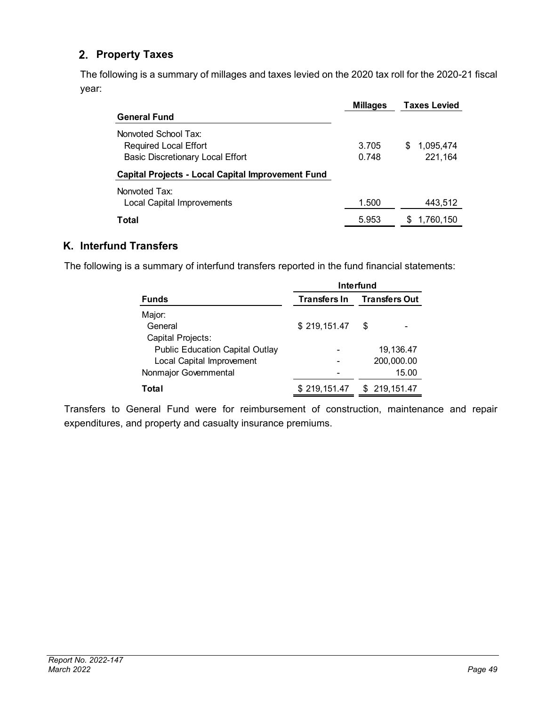### **Property Taxes**

The following is a summary of millages and taxes levied on the 2020 tax roll for the 2020-21 fiscal year:

|                                                          | <b>Millages</b> | <b>Taxes Levied</b> |
|----------------------------------------------------------|-----------------|---------------------|
| <b>General Fund</b>                                      |                 |                     |
| Nonvoted School Tax:                                     |                 |                     |
| <b>Required Local Effort</b>                             | 3.705           | 1,095,474<br>S      |
| <b>Basic Discretionary Local Effort</b>                  | 0.748           | 221,164             |
| <b>Capital Projects - Local Capital Improvement Fund</b> |                 |                     |
| Nonvoted Tax:                                            |                 |                     |
| Local Capital Improvements                               | 1.500           | 443,512             |
| Total                                                    | 5.953           | 1,760,150<br>S      |

### **K. Interfund Transfers**

The following is a summary of interfund transfers reported in the fund financial statements:

|                                        |              | Interfund                         |  |  |
|----------------------------------------|--------------|-----------------------------------|--|--|
| <b>Funds</b>                           |              | <b>Transfers In Transfers Out</b> |  |  |
| Major:                                 |              |                                   |  |  |
| General                                | \$219,151.47 | S                                 |  |  |
| Capital Projects:                      |              |                                   |  |  |
| <b>Public Education Capital Outlay</b> |              | 19,136.47                         |  |  |
| Local Capital Improvement              |              | 200,000.00                        |  |  |
| Nonmajor Governmental                  |              | 15.00                             |  |  |
| Total                                  | \$219,151.47 | \$219,151.47                      |  |  |

Transfers to General Fund were for reimbursement of construction, maintenance and repair expenditures, and property and casualty insurance premiums.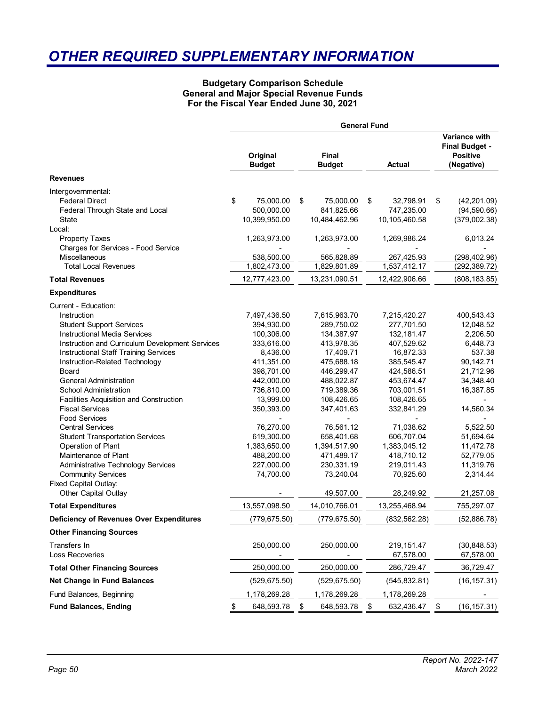# *OTHER REQUIRED SUPPLEMENTARY INFORMATION*

#### **Budgetary Comparison Schedule General and Major Special Revenue Funds For the Fiscal Year Ended June 30, 2021**

|                                                                                                                                                                                                                                                                                                                                                                                                                                                                                                                                                                                                                                                           |                                                                                                                                                                                                                                           |                                                                                                                                                                                                                                                          | <b>General Fund</b>                                                                                                                                                                                                                                      |                                                                                                                                                                                                                     |
|-----------------------------------------------------------------------------------------------------------------------------------------------------------------------------------------------------------------------------------------------------------------------------------------------------------------------------------------------------------------------------------------------------------------------------------------------------------------------------------------------------------------------------------------------------------------------------------------------------------------------------------------------------------|-------------------------------------------------------------------------------------------------------------------------------------------------------------------------------------------------------------------------------------------|----------------------------------------------------------------------------------------------------------------------------------------------------------------------------------------------------------------------------------------------------------|----------------------------------------------------------------------------------------------------------------------------------------------------------------------------------------------------------------------------------------------------------|---------------------------------------------------------------------------------------------------------------------------------------------------------------------------------------------------------------------|
|                                                                                                                                                                                                                                                                                                                                                                                                                                                                                                                                                                                                                                                           | Original<br><b>Budget</b>                                                                                                                                                                                                                 | <b>Final</b><br><b>Budget</b>                                                                                                                                                                                                                            | Actual                                                                                                                                                                                                                                                   | <b>Variance with</b><br><b>Final Budget -</b><br><b>Positive</b><br>(Negative)                                                                                                                                      |
| <b>Revenues</b>                                                                                                                                                                                                                                                                                                                                                                                                                                                                                                                                                                                                                                           |                                                                                                                                                                                                                                           |                                                                                                                                                                                                                                                          |                                                                                                                                                                                                                                                          |                                                                                                                                                                                                                     |
| Intergovernmental:<br><b>Federal Direct</b><br>Federal Through State and Local<br><b>State</b>                                                                                                                                                                                                                                                                                                                                                                                                                                                                                                                                                            | \$<br>75,000.00<br>500,000.00<br>10,399,950.00                                                                                                                                                                                            | \$<br>75,000.00<br>841,825.66<br>10,484,462.96                                                                                                                                                                                                           | \$<br>32,798.91<br>747,235.00<br>10,105,460.58                                                                                                                                                                                                           | \$<br>(42, 201.09)<br>(94, 590.66)<br>(379,002.38)                                                                                                                                                                  |
| Local:<br><b>Property Taxes</b>                                                                                                                                                                                                                                                                                                                                                                                                                                                                                                                                                                                                                           | 1,263,973.00                                                                                                                                                                                                                              | 1,263,973.00                                                                                                                                                                                                                                             | 1,269,986.24                                                                                                                                                                                                                                             | 6,013.24                                                                                                                                                                                                            |
| Charges for Services - Food Service<br><b>Miscellaneous</b><br><b>Total Local Revenues</b>                                                                                                                                                                                                                                                                                                                                                                                                                                                                                                                                                                | 538,500.00<br>1,802,473.00                                                                                                                                                                                                                | 565,828.89<br>1,829,801.89                                                                                                                                                                                                                               | 267,425.93<br>1,537,412.17                                                                                                                                                                                                                               | (298, 402.96)<br>(292, 389.72)                                                                                                                                                                                      |
| <b>Total Revenues</b>                                                                                                                                                                                                                                                                                                                                                                                                                                                                                                                                                                                                                                     | 12,777,423.00                                                                                                                                                                                                                             | 13,231,090.51                                                                                                                                                                                                                                            | 12,422,906.66                                                                                                                                                                                                                                            | (808, 183.85)                                                                                                                                                                                                       |
| <b>Expenditures</b>                                                                                                                                                                                                                                                                                                                                                                                                                                                                                                                                                                                                                                       |                                                                                                                                                                                                                                           |                                                                                                                                                                                                                                                          |                                                                                                                                                                                                                                                          |                                                                                                                                                                                                                     |
| Current - Education:<br>Instruction<br><b>Student Support Services</b><br><b>Instructional Media Services</b><br>Instruction and Curriculum Development Services<br><b>Instructional Staff Training Services</b><br>Instruction-Related Technology<br>Board<br><b>General Administration</b><br>School Administration<br>Facilities Acquisition and Construction<br><b>Fiscal Services</b><br><b>Food Services</b><br><b>Central Services</b><br><b>Student Transportation Services</b><br>Operation of Plant<br>Maintenance of Plant<br>Administrative Technology Services<br><b>Community Services</b><br>Fixed Capital Outlay:<br>Other Capital Outlay | 7,497,436.50<br>394,930.00<br>100,306.00<br>333,616.00<br>8,436.00<br>411,351.00<br>398,701.00<br>442,000.00<br>736,810.00<br>13,999.00<br>350,393.00<br>76,270.00<br>619,300.00<br>1,383,650.00<br>488,200.00<br>227,000.00<br>74,700.00 | 7,615,963.70<br>289,750.02<br>134,387.97<br>413,978.35<br>17,409.71<br>475,688.18<br>446,299.47<br>488,022.87<br>719,389.36<br>108,426.65<br>347,401.63<br>76,561.12<br>658,401.68<br>1,394,517.90<br>471,489.17<br>230,331.19<br>73,240.04<br>49,507.00 | 7,215,420.27<br>277,701.50<br>132,181.47<br>407,529.62<br>16,872.33<br>385,545.47<br>424,586.51<br>453,674.47<br>703,001.51<br>108,426.65<br>332,841.29<br>71,038.62<br>606,707.04<br>1,383,045.12<br>418,710.12<br>219,011.43<br>70,925.60<br>28,249.92 | 400,543.43<br>12,048.52<br>2,206.50<br>6,448.73<br>537.38<br>90,142.71<br>21,712.96<br>34,348.40<br>16,387.85<br>14,560.34<br>5,522.50<br>51,694.64<br>11,472.78<br>52,779.05<br>11,319.76<br>2,314.44<br>21,257.08 |
| <b>Total Expenditures</b>                                                                                                                                                                                                                                                                                                                                                                                                                                                                                                                                                                                                                                 | 13,557,098.50                                                                                                                                                                                                                             | 14,010,766.01                                                                                                                                                                                                                                            | 13,255,468.94                                                                                                                                                                                                                                            | 755,297.07                                                                                                                                                                                                          |
| Deficiency of Revenues Over Expenditures                                                                                                                                                                                                                                                                                                                                                                                                                                                                                                                                                                                                                  | (779, 675.50)                                                                                                                                                                                                                             | (779, 675.50)                                                                                                                                                                                                                                            | (832, 562.28)                                                                                                                                                                                                                                            | (52, 886.78)                                                                                                                                                                                                        |
| <b>Other Financing Sources</b>                                                                                                                                                                                                                                                                                                                                                                                                                                                                                                                                                                                                                            |                                                                                                                                                                                                                                           |                                                                                                                                                                                                                                                          |                                                                                                                                                                                                                                                          |                                                                                                                                                                                                                     |
| Transfers In<br><b>Loss Recoveries</b>                                                                                                                                                                                                                                                                                                                                                                                                                                                                                                                                                                                                                    | 250,000.00                                                                                                                                                                                                                                | 250,000.00                                                                                                                                                                                                                                               | 219,151.47<br>67,578.00                                                                                                                                                                                                                                  | (30, 848.53)<br>67,578.00                                                                                                                                                                                           |
| <b>Total Other Financing Sources</b>                                                                                                                                                                                                                                                                                                                                                                                                                                                                                                                                                                                                                      | 250,000.00                                                                                                                                                                                                                                | 250,000.00                                                                                                                                                                                                                                               | 286,729.47                                                                                                                                                                                                                                               | 36,729.47                                                                                                                                                                                                           |
| <b>Net Change in Fund Balances</b>                                                                                                                                                                                                                                                                                                                                                                                                                                                                                                                                                                                                                        | (529, 675.50)                                                                                                                                                                                                                             | (529, 675.50)                                                                                                                                                                                                                                            | (545, 832.81)                                                                                                                                                                                                                                            | (16, 157.31)                                                                                                                                                                                                        |
| Fund Balances, Beginning                                                                                                                                                                                                                                                                                                                                                                                                                                                                                                                                                                                                                                  | 1,178,269.28                                                                                                                                                                                                                              | 1,178,269.28                                                                                                                                                                                                                                             | 1,178,269.28                                                                                                                                                                                                                                             |                                                                                                                                                                                                                     |
| <b>Fund Balances, Ending</b>                                                                                                                                                                                                                                                                                                                                                                                                                                                                                                                                                                                                                              | \$<br>648,593.78                                                                                                                                                                                                                          | \$<br>648,593.78                                                                                                                                                                                                                                         | \$<br>632,436.47                                                                                                                                                                                                                                         | (16, 157.31)<br>\$                                                                                                                                                                                                  |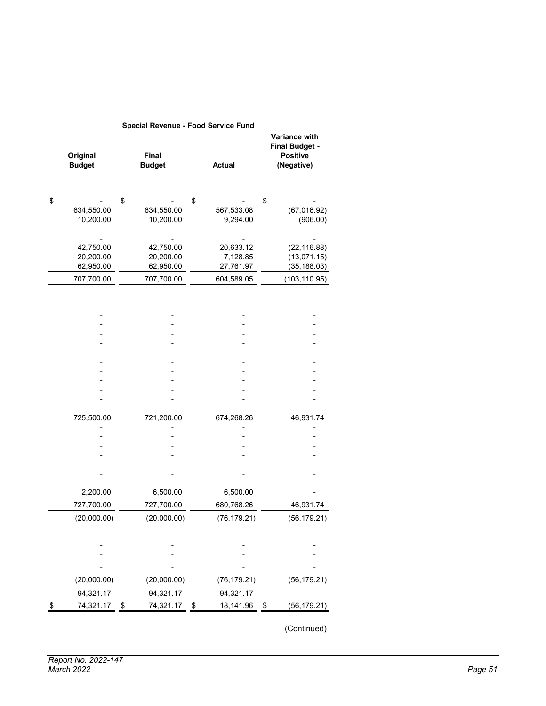| Original        | Final           |                 | Variance with<br><b>Final Budget -</b><br><b>Positive</b> |
|-----------------|-----------------|-----------------|-----------------------------------------------------------|
| <b>Budget</b>   | <b>Budget</b>   | <b>Actual</b>   | (Negative)                                                |
|                 |                 |                 |                                                           |
|                 |                 |                 |                                                           |
| \$              | \$              | \$              | \$                                                        |
| 634,550.00      | 634,550.00      | 567,533.08      | (67, 016.92)                                              |
| 10,200.00       | 10,200.00       | 9,294.00        | (906.00)                                                  |
|                 |                 |                 |                                                           |
| 42,750.00       | 42,750.00       | 20,633.12       | (22, 116.88)                                              |
| 20,200.00       | 20,200.00       | 7,128.85        | (13,071.15)                                               |
| 62,950.00       | 62,950.00       | 27,761.97       | (35, 188.03)                                              |
| 707,700.00      | 707,700.00      | 604,589.05      | (103, 110.95)                                             |
|                 |                 |                 |                                                           |
|                 |                 |                 |                                                           |
|                 |                 |                 |                                                           |
|                 |                 |                 |                                                           |
|                 |                 |                 |                                                           |
|                 |                 |                 |                                                           |
|                 |                 |                 |                                                           |
|                 |                 |                 |                                                           |
|                 |                 |                 |                                                           |
|                 |                 |                 |                                                           |
|                 |                 |                 |                                                           |
| 725,500.00      | 721,200.00      | 674,268.26      | 46,931.74                                                 |
|                 |                 |                 |                                                           |
|                 |                 |                 |                                                           |
|                 |                 |                 |                                                           |
|                 |                 |                 |                                                           |
|                 |                 |                 |                                                           |
| 2,200.00        | 6,500.00        | 6,500.00        |                                                           |
| 727,700.00      | 727,700.00      | 680,768.26      | 46,931.74                                                 |
| (20,000.00)     | (20,000.00)     | (76, 179.21)    | (56, 179.21)                                              |
|                 |                 |                 |                                                           |
|                 |                 |                 |                                                           |
|                 |                 |                 |                                                           |
| (20,000.00)     | (20,000.00)     | (76, 179.21)    | (56, 179.21)                                              |
| 94,321.17       | 94,321.17       | 94,321.17       |                                                           |
| \$<br>74,321.17 | 74,321.17<br>\$ | 18,141.96<br>\$ | \$<br>(56, 179.21)                                        |

(Continued)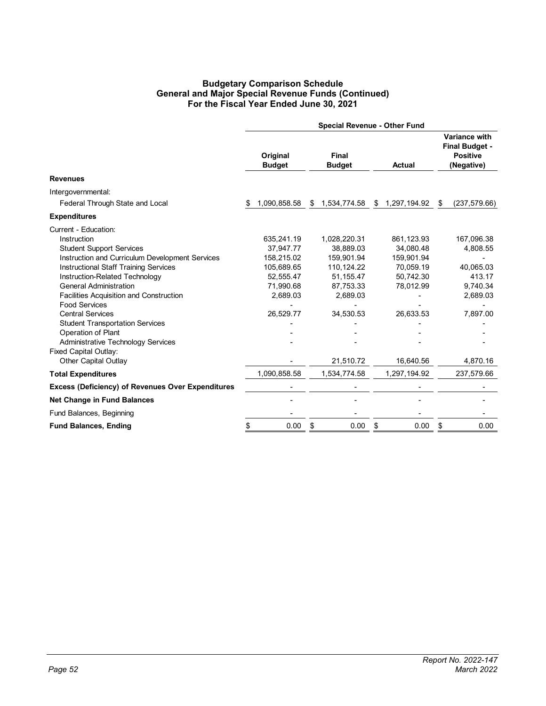#### **Budgetary Comparison Schedule General and Major Special Revenue Funds (Continued) For the Fiscal Year Ended June 30, 2021**

|                                                                                                                                                                                                                                                                                                                                                                                                                   | <b>Special Revenue - Other Fund</b>                                                                    |    |                                                                                                          |    |                                                                                           |    |                                                                                   |  |
|-------------------------------------------------------------------------------------------------------------------------------------------------------------------------------------------------------------------------------------------------------------------------------------------------------------------------------------------------------------------------------------------------------------------|--------------------------------------------------------------------------------------------------------|----|----------------------------------------------------------------------------------------------------------|----|-------------------------------------------------------------------------------------------|----|-----------------------------------------------------------------------------------|--|
|                                                                                                                                                                                                                                                                                                                                                                                                                   | Original<br><b>Budget</b>                                                                              |    | Final<br>Actual<br><b>Budget</b>                                                                         |    |                                                                                           |    | Variance with<br><b>Final Budget -</b><br><b>Positive</b><br>(Negative)           |  |
| <b>Revenues</b>                                                                                                                                                                                                                                                                                                                                                                                                   |                                                                                                        |    |                                                                                                          |    |                                                                                           |    |                                                                                   |  |
| Intergovernmental:                                                                                                                                                                                                                                                                                                                                                                                                |                                                                                                        |    |                                                                                                          |    |                                                                                           |    |                                                                                   |  |
| Federal Through State and Local                                                                                                                                                                                                                                                                                                                                                                                   | 1,090,858.58<br>\$                                                                                     | \$ | 1,534,774.58                                                                                             | \$ | 1,297,194.92                                                                              | \$ | (237, 579.66)                                                                     |  |
| <b>Expenditures</b>                                                                                                                                                                                                                                                                                                                                                                                               |                                                                                                        |    |                                                                                                          |    |                                                                                           |    |                                                                                   |  |
| Current - Education:<br>Instruction<br><b>Student Support Services</b><br>Instruction and Curriculum Development Services<br><b>Instructional Staff Training Services</b><br>Instruction-Related Technology<br><b>General Administration</b><br><b>Facilities Acquisition and Construction</b><br><b>Food Services</b><br><b>Central Services</b><br><b>Student Transportation Services</b><br>Operation of Plant | 635,241.19<br>37,947.77<br>158,215.02<br>105,689.65<br>52.555.47<br>71,990.68<br>2,689.03<br>26,529.77 |    | 1,028,220.31<br>38,889.03<br>159,901.94<br>110,124.22<br>51,155.47<br>87,753.33<br>2,689.03<br>34,530.53 |    | 861,123.93<br>34,080.48<br>159,901.94<br>70,059.19<br>50,742.30<br>78,012.99<br>26,633.53 |    | 167,096.38<br>4,808.55<br>40,065.03<br>413.17<br>9,740.34<br>2,689.03<br>7,897.00 |  |
| Administrative Technology Services<br>Fixed Capital Outlay:<br><b>Other Capital Outlay</b>                                                                                                                                                                                                                                                                                                                        |                                                                                                        |    | 21,510.72                                                                                                |    | 16,640.56                                                                                 |    | 4,870.16                                                                          |  |
| <b>Total Expenditures</b>                                                                                                                                                                                                                                                                                                                                                                                         | 1,090,858.58                                                                                           |    | 1,534,774.58                                                                                             |    | 1,297,194.92                                                                              |    | 237,579.66                                                                        |  |
| <b>Excess (Deficiency) of Revenues Over Expenditures</b>                                                                                                                                                                                                                                                                                                                                                          |                                                                                                        |    |                                                                                                          |    |                                                                                           |    |                                                                                   |  |
| <b>Net Change in Fund Balances</b>                                                                                                                                                                                                                                                                                                                                                                                |                                                                                                        |    |                                                                                                          |    |                                                                                           |    |                                                                                   |  |
| Fund Balances, Beginning                                                                                                                                                                                                                                                                                                                                                                                          |                                                                                                        |    |                                                                                                          |    |                                                                                           |    |                                                                                   |  |
| <b>Fund Balances, Ending</b>                                                                                                                                                                                                                                                                                                                                                                                      | 0.00<br>\$                                                                                             | \$ | 0.00                                                                                                     | \$ | 0.00                                                                                      | \$ | 0.00                                                                              |  |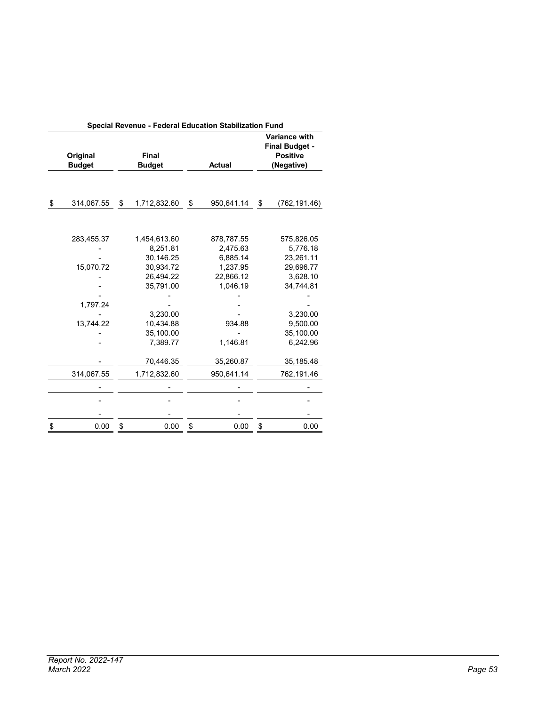| Special Revenue - Federal Education Stabilization Fund |    |                               |      |               |                                                                                |               |  |  |  |
|--------------------------------------------------------|----|-------------------------------|------|---------------|--------------------------------------------------------------------------------|---------------|--|--|--|
| Original<br><b>Budget</b>                              |    | <b>Final</b><br><b>Budget</b> |      | <b>Actual</b> | <b>Variance with</b><br><b>Final Budget -</b><br><b>Positive</b><br>(Negative) |               |  |  |  |
|                                                        |    |                               |      |               |                                                                                |               |  |  |  |
| \$<br>314,067.55                                       | \$ | 1,712,832.60                  | - \$ | 950,641.14    | \$                                                                             | (762, 191.46) |  |  |  |
|                                                        |    |                               |      |               |                                                                                |               |  |  |  |
| 283,455.37                                             |    | 1,454,613.60                  |      | 878,787.55    |                                                                                | 575,826.05    |  |  |  |
|                                                        |    | 8,251.81                      |      | 2,475.63      |                                                                                | 5,776.18      |  |  |  |
|                                                        |    | 30,146.25                     |      | 6,885.14      |                                                                                | 23,261.11     |  |  |  |
| 15,070.72                                              |    | 30,934.72                     |      | 1,237.95      |                                                                                | 29,696.77     |  |  |  |
|                                                        |    | 26,494.22                     |      | 22,866.12     |                                                                                | 3,628.10      |  |  |  |
|                                                        |    | 35,791.00                     |      | 1,046.19      |                                                                                | 34,744.81     |  |  |  |
|                                                        |    |                               |      |               |                                                                                |               |  |  |  |
| 1,797.24                                               |    |                               |      |               |                                                                                |               |  |  |  |
|                                                        |    | 3,230.00                      |      |               |                                                                                | 3,230.00      |  |  |  |
| 13,744.22                                              |    | 10,434.88                     |      | 934.88        |                                                                                | 9,500.00      |  |  |  |
|                                                        |    | 35,100.00                     |      |               |                                                                                | 35,100.00     |  |  |  |
|                                                        |    | 7,389.77                      |      | 1,146.81      |                                                                                | 6,242.96      |  |  |  |
|                                                        |    | 70,446.35                     |      | 35,260.87     |                                                                                | 35, 185.48    |  |  |  |
| 314,067.55                                             |    | 1,712,832.60                  |      | 950,641.14    |                                                                                | 762,191.46    |  |  |  |
|                                                        |    |                               |      |               |                                                                                |               |  |  |  |
|                                                        |    |                               |      |               |                                                                                |               |  |  |  |
|                                                        |    |                               |      |               |                                                                                |               |  |  |  |
| \$<br>0.00                                             | \$ | 0.00                          | \$   | 0.00          | \$                                                                             | 0.00          |  |  |  |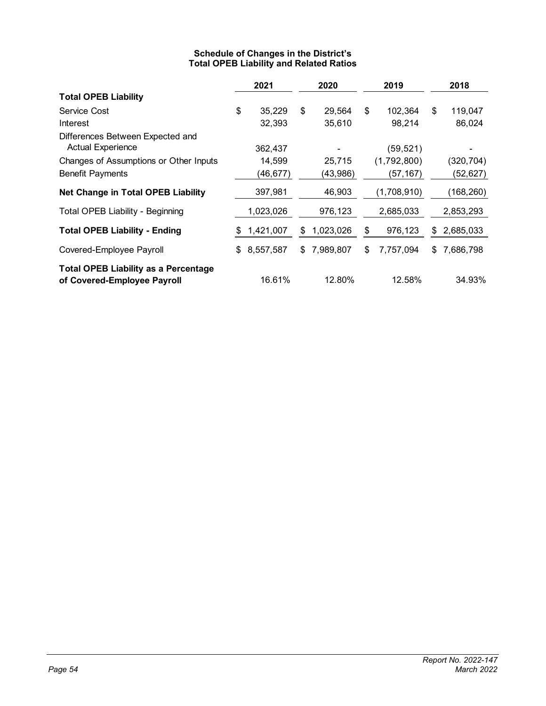#### **Schedule of Changes in the District's Total OPEB Liability and Related Ratios**

|                                                                            | 2021 |           | 2020 |           | 2019 |             |    | 2018       |  |
|----------------------------------------------------------------------------|------|-----------|------|-----------|------|-------------|----|------------|--|
| <b>Total OPEB Liability</b>                                                |      |           |      |           |      |             |    |            |  |
| Service Cost                                                               | \$   | 35,229    | \$   | 29,564    | \$   | 102,364     | \$ | 119,047    |  |
| Interest                                                                   |      | 32,393    |      | 35,610    |      | 98,214      |    | 86,024     |  |
| Differences Between Expected and<br><b>Actual Experience</b>               |      | 362,437   |      |           |      | (59, 521)   |    |            |  |
| Changes of Assumptions or Other Inputs                                     |      | 14,599    |      | 25,715    |      | (1,792,800) |    | (320, 704) |  |
| <b>Benefit Payments</b>                                                    |      | (46, 677) |      | (43, 986) |      | (57, 167)   |    | (52, 627)  |  |
| <b>Net Change in Total OPEB Liability</b>                                  |      | 397,981   |      | 46,903    |      | (1,708,910) |    | (168, 260) |  |
| <b>Total OPEB Liability - Beginning</b>                                    |      | 1,023,026 |      | 976,123   |      | 2,685,033   |    | 2,853,293  |  |
| <b>Total OPEB Liability - Ending</b>                                       | \$   | 1,421,007 | \$   | 1,023,026 | \$   | 976,123     | \$ | 2,685,033  |  |
| Covered-Employee Payroll                                                   | \$   | 8,557,587 | \$   | 7,989,807 | \$   | 7,757,094   | \$ | 7,686,798  |  |
| <b>Total OPEB Liability as a Percentage</b><br>of Covered-Employee Payroll |      | 16.61%    |      | 12.80%    |      | 12.58%      |    | 34.93%     |  |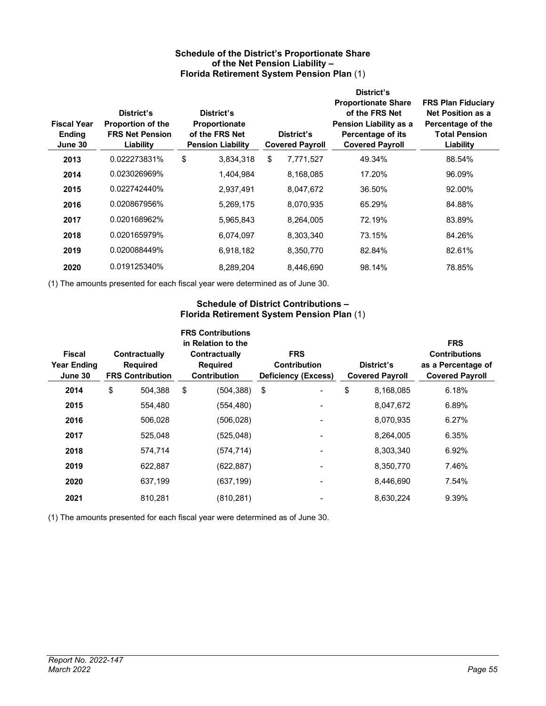#### **Schedule of the District's Proportionate Share of the Net Pension Liability – Florida Retirement System Pension Plan** (1)

| <b>Fiscal Year</b><br><b>Ending</b><br>June 30 | District's<br><b>Proportion of the</b><br><b>FRS Net Pension</b><br>Liability | District's<br>Proportionate<br>of the FRS Net<br><b>Pension Liability</b> | District's<br><b>Covered Payroll</b> | District's<br><b>Proportionate Share</b><br>of the FRS Net<br>Pension Liability as a<br>Percentage of its<br><b>Covered Payroll</b> | <b>FRS Plan Fiduciary</b><br>Net Position as a<br>Percentage of the<br><b>Total Pension</b><br>Liability |
|------------------------------------------------|-------------------------------------------------------------------------------|---------------------------------------------------------------------------|--------------------------------------|-------------------------------------------------------------------------------------------------------------------------------------|----------------------------------------------------------------------------------------------------------|
| 2013                                           | 0.022273831%                                                                  | \$<br>3,834,318                                                           | \$<br>7,771,527                      | 49.34%                                                                                                                              | 88.54%                                                                                                   |
| 2014                                           | 0.023026969%                                                                  | 1,404,984                                                                 | 8,168,085                            | 17.20%                                                                                                                              | 96.09%                                                                                                   |
| 2015                                           | 0.022742440%                                                                  | 2,937,491                                                                 | 8,047,672                            | 36.50%                                                                                                                              | 92.00%                                                                                                   |
| 2016                                           | 0.020867956%                                                                  | 5,269,175                                                                 | 8,070,935                            | 65.29%                                                                                                                              | 84.88%                                                                                                   |
| 2017                                           | 0.020168962%                                                                  | 5,965,843                                                                 | 8,264,005                            | 72.19%                                                                                                                              | 83.89%                                                                                                   |
| 2018                                           | 0.020165979%                                                                  | 6,074,097                                                                 | 8,303,340                            | 73.15%                                                                                                                              | 84.26%                                                                                                   |
| 2019                                           | 0.020088449%                                                                  | 6,918,182                                                                 | 8,350,770                            | 82.84%                                                                                                                              | 82.61%                                                                                                   |
| 2020                                           | 0.019125340%                                                                  | 8,289,204                                                                 | 8,446,690                            | 98.14%                                                                                                                              | 78.85%                                                                                                   |

(1) The amounts presented for each fiscal year were determined as of June 30.

#### **Schedule of District Contributions – Florida Retirement System Pension Plan** (1)

| <b>Fiscal</b><br><b>Year Ending</b><br>June 30 | Contractually<br><b>Required</b><br><b>FRS Contribution</b> | <b>FRS Contributions</b><br>in Relation to the<br>Contractually<br><b>Required</b><br><b>Contribution</b> | <b>FRS</b><br><b>Contribution</b><br><b>Deficiency (Excess)</b> | District's<br><b>Covered Payroll</b> | <b>FRS</b><br><b>Contributions</b><br>as a Percentage of<br><b>Covered Payroll</b> |
|------------------------------------------------|-------------------------------------------------------------|-----------------------------------------------------------------------------------------------------------|-----------------------------------------------------------------|--------------------------------------|------------------------------------------------------------------------------------|
| 2014                                           | \$<br>504,388                                               | \$<br>(504, 388)                                                                                          | \$<br>$\overline{\phantom{0}}$                                  | \$<br>8,168,085                      | 6.18%                                                                              |
| 2015                                           | 554.480                                                     | (554, 480)                                                                                                |                                                                 | 8,047,672                            | 6.89%                                                                              |
| 2016                                           | 506,028                                                     | (506, 028)                                                                                                | $\blacksquare$                                                  | 8,070,935                            | 6.27%                                                                              |
| 2017                                           | 525,048                                                     | (525, 048)                                                                                                |                                                                 | 8,264,005                            | 6.35%                                                                              |
| 2018                                           | 574,714                                                     | (574, 714)                                                                                                |                                                                 | 8,303,340                            | 6.92%                                                                              |
| 2019                                           | 622,887                                                     | (622, 887)                                                                                                |                                                                 | 8,350,770                            | 7.46%                                                                              |
| 2020                                           | 637,199                                                     | (637, 199)                                                                                                | $\overline{\phantom{0}}$                                        | 8,446,690                            | 7.54%                                                                              |
| 2021                                           | 810,281                                                     | (810, 281)                                                                                                |                                                                 | 8,630,224                            | 9.39%                                                                              |
|                                                |                                                             |                                                                                                           |                                                                 |                                      |                                                                                    |

(1) The amounts presented for each fiscal year were determined as of June 30.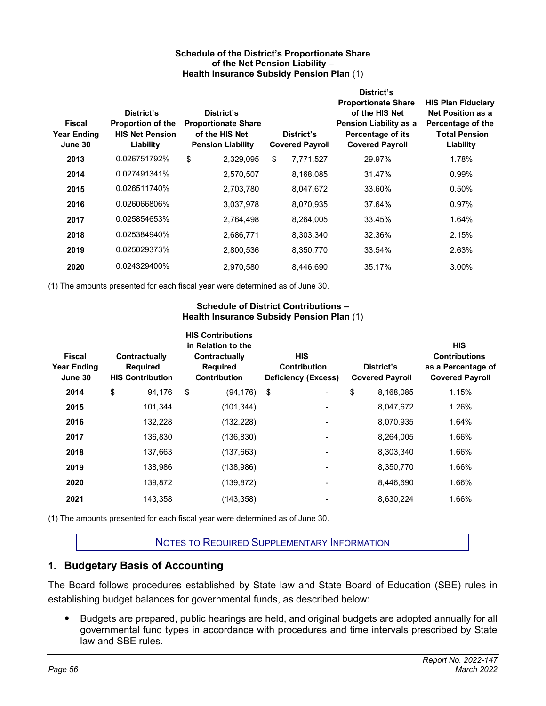#### **Schedule of the District's Proportionate Share of the Net Pension Liability – Health Insurance Subsidy Pension Plan** (1)

| <b>Fiscal</b><br><b>Year Ending</b><br>June 30 | District's<br><b>Proportion of the</b><br><b>HIS Net Pension</b><br>Liability | District's<br><b>Proportionate Share</b><br>of the HIS Net<br><b>Pension Liability</b> | District's<br><b>Covered Payroll</b> | District's<br><b>Proportionate Share</b><br>of the HIS Net<br><b>Pension Liability as a</b><br>Percentage of its<br><b>Covered Payroll</b> | <b>HIS Plan Fiduciary</b><br><b>Net Position as a</b><br>Percentage of the<br><b>Total Pension</b><br>Liability |
|------------------------------------------------|-------------------------------------------------------------------------------|----------------------------------------------------------------------------------------|--------------------------------------|--------------------------------------------------------------------------------------------------------------------------------------------|-----------------------------------------------------------------------------------------------------------------|
| 2013                                           | 0.026751792%                                                                  | \$<br>2,329,095                                                                        | \$<br>7,771,527                      | 29.97%                                                                                                                                     | 1.78%                                                                                                           |
| 2014                                           | 0.027491341%                                                                  | 2,570,507                                                                              | 8,168,085                            | 31.47%                                                                                                                                     | 0.99%                                                                                                           |
| 2015                                           | 0.026511740%                                                                  | 2,703,780                                                                              | 8,047,672                            | 33.60%                                                                                                                                     | 0.50%                                                                                                           |
| 2016                                           | 0.026066806%                                                                  | 3,037,978                                                                              | 8,070,935                            | 37.64%                                                                                                                                     | 0.97%                                                                                                           |
| 2017                                           | 0.025854653%                                                                  | 2,764,498                                                                              | 8,264,005                            | 33.45%                                                                                                                                     | 1.64%                                                                                                           |
| 2018                                           | 0.025384940%                                                                  | 2,686,771                                                                              | 8,303,340                            | 32.36%                                                                                                                                     | 2.15%                                                                                                           |
| 2019                                           | 0.025029373%                                                                  | 2,800,536                                                                              | 8.350.770                            | 33.54%                                                                                                                                     | 2.63%                                                                                                           |
| 2020                                           | 0.024329400%                                                                  | 2,970,580                                                                              | 8.446.690                            | 35.17%                                                                                                                                     | 3.00%                                                                                                           |

(1) The amounts presented for each fiscal year were determined as of June 30.

#### **Schedule of District Contributions – Health Insurance Subsidy Pension Plan** (1)

| <b>Fiscal</b><br><b>Year Ending</b><br>June 30 | Contractually<br><b>Required</b><br><b>HIS Contribution</b> | <b>HIS Contributions</b><br>in Relation to the<br>Contractually<br><b>Required</b><br><b>Contribution</b> |     | <b>HIS</b><br><b>Contribution</b><br><b>Deficiency (Excess)</b> | District's<br><b>Covered Payroll</b> | <b>HIS</b><br><b>Contributions</b><br>as a Percentage of<br><b>Covered Payroll</b> |
|------------------------------------------------|-------------------------------------------------------------|-----------------------------------------------------------------------------------------------------------|-----|-----------------------------------------------------------------|--------------------------------------|------------------------------------------------------------------------------------|
| 2014                                           | \$<br>94,176                                                | \$<br>(94, 176)                                                                                           | -\$ |                                                                 | \$<br>8.168.085                      | 1.15%                                                                              |
| 2015                                           | 101,344                                                     | (101, 344)                                                                                                |     |                                                                 | 8,047,672                            | 1.26%                                                                              |
| 2016                                           | 132,228                                                     | (132, 228)                                                                                                |     |                                                                 | 8,070,935                            | 1.64%                                                                              |
| 2017                                           | 136,830                                                     | (136, 830)                                                                                                |     |                                                                 | 8,264,005                            | 1.66%                                                                              |
| 2018                                           | 137,663                                                     | (137, 663)                                                                                                |     |                                                                 | 8,303,340                            | 1.66%                                                                              |
| 2019                                           | 138,986                                                     | (138, 986)                                                                                                |     |                                                                 | 8,350,770                            | 1.66%                                                                              |
| 2020                                           | 139,872                                                     | (139, 872)                                                                                                |     |                                                                 | 8.446.690                            | 1.66%                                                                              |
| 2021                                           | 143,358                                                     | (143, 358)                                                                                                |     |                                                                 | 8,630,224                            | 1.66%                                                                              |

(1) The amounts presented for each fiscal year were determined as of June 30.

NOTES TO REQUIRED SUPPLEMENTARY INFORMATION

### **1. Budgetary Basis of Accounting**

The Board follows procedures established by State law and State Board of Education (SBE) rules in establishing budget balances for governmental funds, as described below:

 Budgets are prepared, public hearings are held, and original budgets are adopted annually for all governmental fund types in accordance with procedures and time intervals prescribed by State law and SBE rules.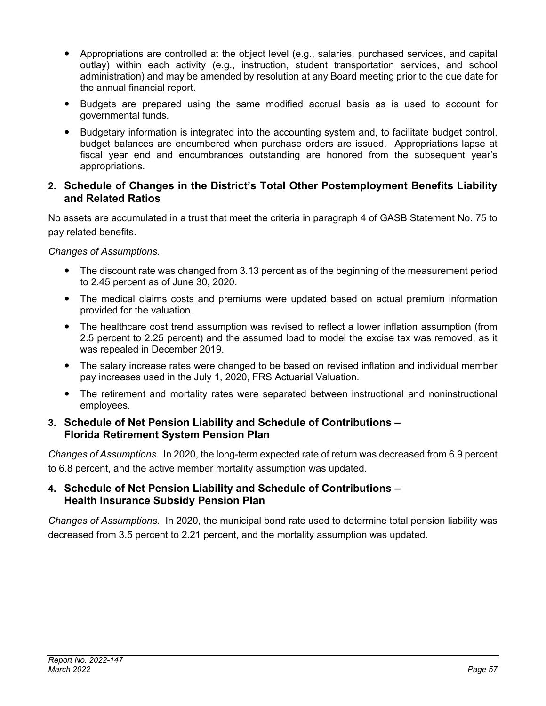- Appropriations are controlled at the object level (e.g., salaries, purchased services, and capital outlay) within each activity (e.g., instruction, student transportation services, and school administration) and may be amended by resolution at any Board meeting prior to the due date for the annual financial report.
- Budgets are prepared using the same modified accrual basis as is used to account for governmental funds.
- Budgetary information is integrated into the accounting system and, to facilitate budget control, budget balances are encumbered when purchase orders are issued. Appropriations lapse at fiscal year end and encumbrances outstanding are honored from the subsequent year's appropriations.

### **2. Schedule of Changes in the District's Total Other Postemployment Benefits Liability and Related Ratios**

No assets are accumulated in a trust that meet the criteria in paragraph 4 of GASB Statement No. 75 to pay related benefits.

### *Changes of Assumptions.*

- The discount rate was changed from 3.13 percent as of the beginning of the measurement period to 2.45 percent as of June 30, 2020.
- The medical claims costs and premiums were updated based on actual premium information provided for the valuation.
- The healthcare cost trend assumption was revised to reflect a lower inflation assumption (from 2.5 percent to 2.25 percent) and the assumed load to model the excise tax was removed, as it was repealed in December 2019.
- The salary increase rates were changed to be based on revised inflation and individual member pay increases used in the July 1, 2020, FRS Actuarial Valuation.
- The retirement and mortality rates were separated between instructional and noninstructional employees.

### **3. Schedule of Net Pension Liability and Schedule of Contributions – Florida Retirement System Pension Plan**

*Changes of Assumptions.* In 2020, the long-term expected rate of return was decreased from 6.9 percent to 6.8 percent, and the active member mortality assumption was updated.

### **4. Schedule of Net Pension Liability and Schedule of Contributions – Health Insurance Subsidy Pension Plan**

*Changes of Assumptions.* In 2020, the municipal bond rate used to determine total pension liability was decreased from 3.5 percent to 2.21 percent, and the mortality assumption was updated.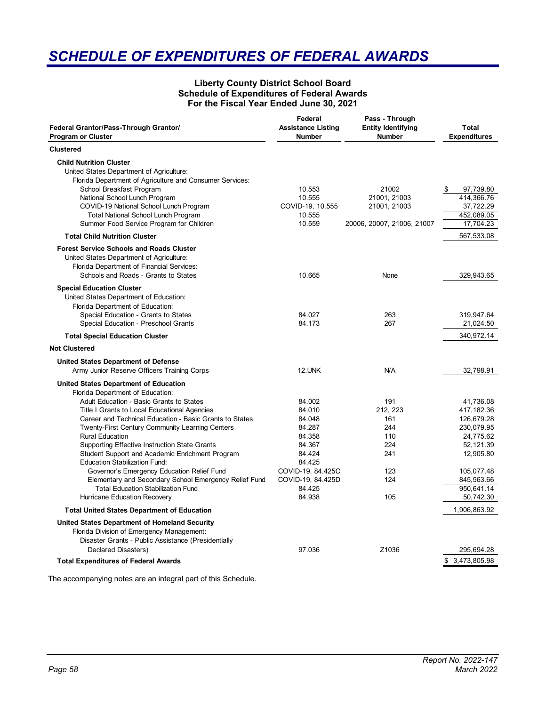## *SCHEDULE OF EXPENDITURES OF FEDERAL AWARDS*

#### **Liberty County District School Board Schedule of Expenditures of Federal Awards For the Fiscal Year Ended June 30, 2021**

| Federal Grantor/Pass-Through Grantor/<br><b>Program or Cluster</b>                                                                                                                                                                                                                                                                                                                                                                                                                                                                                                                                                                                                                                                                                                 | Federal<br><b>Assistance Listing</b><br><b>Number</b>                                                                                      | Pass - Through<br><b>Entity Identifying</b><br><b>Number</b>            | Total<br><b>Expenditures</b>                                                                                                                                      |
|--------------------------------------------------------------------------------------------------------------------------------------------------------------------------------------------------------------------------------------------------------------------------------------------------------------------------------------------------------------------------------------------------------------------------------------------------------------------------------------------------------------------------------------------------------------------------------------------------------------------------------------------------------------------------------------------------------------------------------------------------------------------|--------------------------------------------------------------------------------------------------------------------------------------------|-------------------------------------------------------------------------|-------------------------------------------------------------------------------------------------------------------------------------------------------------------|
| <b>Clustered</b>                                                                                                                                                                                                                                                                                                                                                                                                                                                                                                                                                                                                                                                                                                                                                   |                                                                                                                                            |                                                                         |                                                                                                                                                                   |
| <b>Child Nutrition Cluster</b><br>United States Department of Agriculture:<br>Florida Department of Agriculture and Consumer Services:<br>School Breakfast Program<br>National School Lunch Program<br>COVID-19 National School Lunch Program<br><b>Total National School Lunch Program</b><br>Summer Food Service Program for Children                                                                                                                                                                                                                                                                                                                                                                                                                            | 10.553<br>10.555<br>COVID-19, 10.555<br>10.555<br>10.559                                                                                   | 21002<br>21001, 21003<br>21001, 21003<br>20006, 20007, 21006, 21007     | 97,739.80<br>\$<br>414,366.76<br>37,722.29<br>452,089.05<br>17,704.23                                                                                             |
| <b>Total Child Nutrition Cluster</b>                                                                                                                                                                                                                                                                                                                                                                                                                                                                                                                                                                                                                                                                                                                               |                                                                                                                                            |                                                                         | 567,533.08                                                                                                                                                        |
| <b>Forest Service Schools and Roads Cluster</b><br>United States Department of Agriculture:<br>Florida Department of Financial Services:<br>Schools and Roads - Grants to States                                                                                                                                                                                                                                                                                                                                                                                                                                                                                                                                                                                   | 10.665                                                                                                                                     | None                                                                    | 329,943.65                                                                                                                                                        |
| <b>Special Education Cluster</b><br>United States Department of Education:<br>Florida Department of Education:<br>Special Education - Grants to States<br>Special Education - Preschool Grants                                                                                                                                                                                                                                                                                                                                                                                                                                                                                                                                                                     | 84.027<br>84.173                                                                                                                           | 263<br>267                                                              | 319,947.64<br>21,024.50                                                                                                                                           |
| <b>Total Special Education Cluster</b>                                                                                                                                                                                                                                                                                                                                                                                                                                                                                                                                                                                                                                                                                                                             |                                                                                                                                            |                                                                         | 340,972.14                                                                                                                                                        |
| <b>Not Clustered</b>                                                                                                                                                                                                                                                                                                                                                                                                                                                                                                                                                                                                                                                                                                                                               |                                                                                                                                            |                                                                         |                                                                                                                                                                   |
| <b>United States Department of Defense</b><br>Army Junior Reserve Officers Training Corps                                                                                                                                                                                                                                                                                                                                                                                                                                                                                                                                                                                                                                                                          | <b>12.UNK</b>                                                                                                                              | N/A                                                                     | 32,798.91                                                                                                                                                         |
| <b>United States Department of Education</b><br>Florida Department of Education:<br>Adult Education - Basic Grants to States<br>Title I Grants to Local Educational Agencies<br>Career and Technical Education - Basic Grants to States<br>Twenty-First Century Community Learning Centers<br><b>Rural Education</b><br>Supporting Effective Instruction State Grants<br>Student Support and Academic Enrichment Program<br><b>Education Stabilization Fund:</b><br>Governor's Emergency Education Relief Fund<br>Elementary and Secondary School Emergency Relief Fund<br><b>Total Education Stabilization Fund</b><br>Hurricane Education Recovery<br><b>Total United States Department of Education</b><br><b>United States Department of Homeland Security</b> | 84.002<br>84.010<br>84.048<br>84.287<br>84.358<br>84.367<br>84.424<br>84.425<br>COVID-19, 84.425C<br>COVID-19, 84.425D<br>84.425<br>84.938 | 191<br>212, 223<br>161<br>244<br>110<br>224<br>241<br>123<br>124<br>105 | 41,736.08<br>417,182.36<br>126,679.28<br>230,079.95<br>24,775.62<br>52,121.39<br>12,905.80<br>105.077.48<br>845,563.66<br>950,641.14<br>50,742.30<br>1,906,863.92 |
| Florida Division of Emergency Management:                                                                                                                                                                                                                                                                                                                                                                                                                                                                                                                                                                                                                                                                                                                          |                                                                                                                                            |                                                                         |                                                                                                                                                                   |
| Disaster Grants - Public Assistance (Presidentially<br>Declared Disasters)<br><b>Total Expenditures of Federal Awards</b>                                                                                                                                                                                                                                                                                                                                                                                                                                                                                                                                                                                                                                          | 97.036                                                                                                                                     | Z1036                                                                   | 295,694.28<br>\$3,473,805.98                                                                                                                                      |

The accompanying notes are an integral part of this Schedule.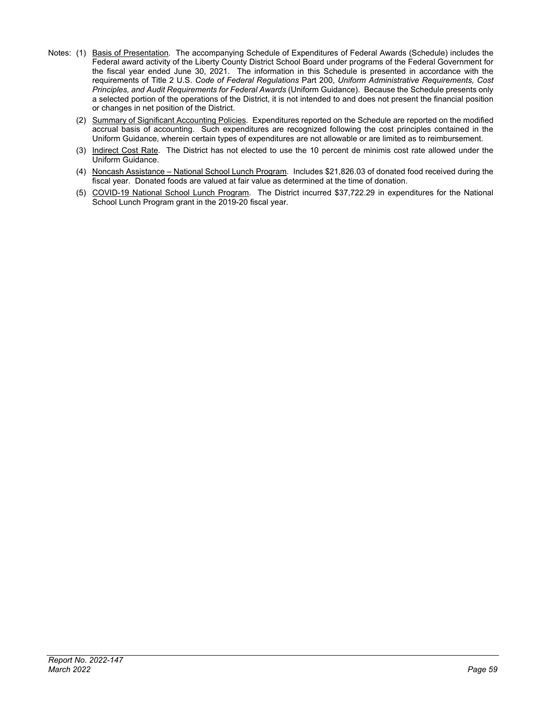- Notes: (1) Basis of Presentation. The accompanying Schedule of Expenditures of Federal Awards (Schedule) includes the Federal award activity of the Liberty County District School Board under programs of the Federal Government for the fiscal year ended June 30, 2021. The information in this Schedule is presented in accordance with the requirements of Title 2 U.S. *Code of Federal Regulations* Part 200, *Uniform Administrative Requirements, Cost Principles, and Audit Requirements for Federal Awards* (Uniform Guidance). Because the Schedule presents only a selected portion of the operations of the District, it is not intended to and does not present the financial position or changes in net position of the District.
	- (2) Summary of Significant Accounting Policies. Expenditures reported on the Schedule are reported on the modified accrual basis of accounting. Such expenditures are recognized following the cost principles contained in the Uniform Guidance, wherein certain types of expenditures are not allowable or are limited as to reimbursement.
	- (3) Indirect Cost Rate. The District has not elected to use the 10 percent de minimis cost rate allowed under the Uniform Guidance.
	- (4) Noncash Assistance National School Lunch Program. Includes \$21,826.03 of donated food received during the fiscal year. Donated foods are valued at fair value as determined at the time of donation.
	- (5) COVID-19 National School Lunch Program. The District incurred \$37,722.29 in expenditures for the National School Lunch Program grant in the 2019-20 fiscal year.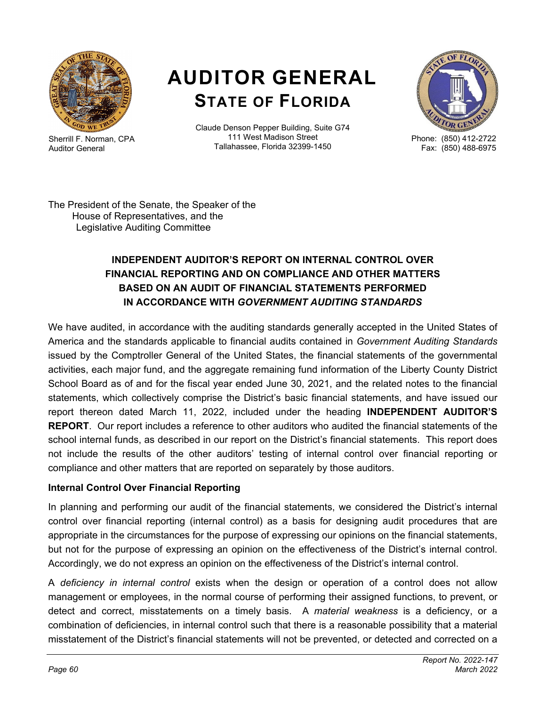

Sherrill F. Norman, CPA Auditor General

# **AUDITOR GENERAL STATE OF FLORIDA**

Claude Denson Pepper Building, Suite G74 111 West Madison Street Tallahassee, Florida 32399-1450



Phone: (850) 412-2722 Fax: (850) 488-6975

The President of the Senate, the Speaker of the House of Representatives, and the Legislative Auditing Committee

### **INDEPENDENT AUDITOR'S REPORT ON INTERNAL CONTROL OVER FINANCIAL REPORTING AND ON COMPLIANCE AND OTHER MATTERS BASED ON AN AUDIT OF FINANCIAL STATEMENTS PERFORMED IN ACCORDANCE WITH** *GOVERNMENT AUDITING STANDARDS*

We have audited, in accordance with the auditing standards generally accepted in the United States of America and the standards applicable to financial audits contained in *Government Auditing Standards* issued by the Comptroller General of the United States, the financial statements of the governmental activities, each major fund, and the aggregate remaining fund information of the Liberty County District School Board as of and for the fiscal year ended June 30, 2021, and the related notes to the financial statements, which collectively comprise the District's basic financial statements, and have issued our report thereon dated March 11, 2022, included under the heading **INDEPENDENT AUDITOR'S REPORT**. Our report includes a reference to other auditors who audited the financial statements of the school internal funds, as described in our report on the District's financial statements. This report does not include the results of the other auditors' testing of internal control over financial reporting or compliance and other matters that are reported on separately by those auditors.

### **Internal Control Over Financial Reporting**

In planning and performing our audit of the financial statements, we considered the District's internal control over financial reporting (internal control) as a basis for designing audit procedures that are appropriate in the circumstances for the purpose of expressing our opinions on the financial statements, but not for the purpose of expressing an opinion on the effectiveness of the District's internal control. Accordingly, we do not express an opinion on the effectiveness of the District's internal control.

A *deficiency in internal control* exists when the design or operation of a control does not allow management or employees, in the normal course of performing their assigned functions, to prevent, or detect and correct, misstatements on a timely basis. A *material weakness* is a deficiency, or a combination of deficiencies, in internal control such that there is a reasonable possibility that a material misstatement of the District's financial statements will not be prevented, or detected and corrected on a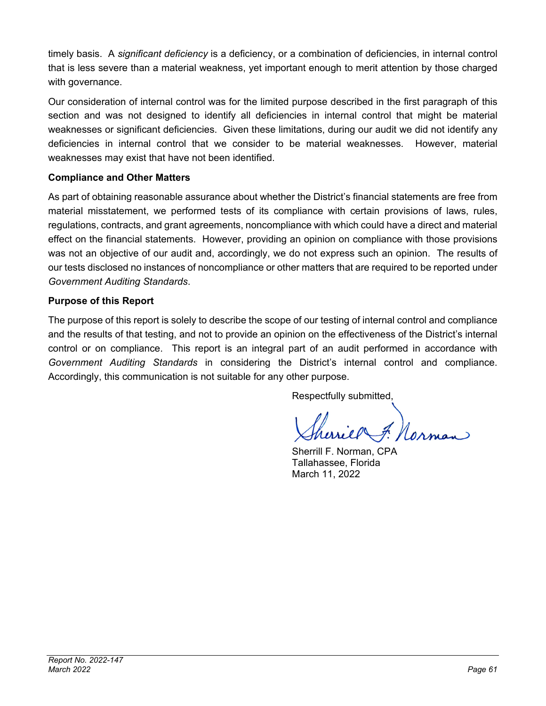timely basis. A *significant deficiency* is a deficiency, or a combination of deficiencies, in internal control that is less severe than a material weakness, yet important enough to merit attention by those charged with governance.

Our consideration of internal control was for the limited purpose described in the first paragraph of this section and was not designed to identify all deficiencies in internal control that might be material weaknesses or significant deficiencies. Given these limitations, during our audit we did not identify any deficiencies in internal control that we consider to be material weaknesses. However, material weaknesses may exist that have not been identified.

### **Compliance and Other Matters**

As part of obtaining reasonable assurance about whether the District's financial statements are free from material misstatement, we performed tests of its compliance with certain provisions of laws, rules, regulations, contracts, and grant agreements, noncompliance with which could have a direct and material effect on the financial statements. However, providing an opinion on compliance with those provisions was not an objective of our audit and, accordingly, we do not express such an opinion. The results of our tests disclosed no instances of noncompliance or other matters that are required to be reported under *Government Auditing Standards*.

### **Purpose of this Report**

The purpose of this report is solely to describe the scope of our testing of internal control and compliance and the results of that testing, and not to provide an opinion on the effectiveness of the District's internal control or on compliance. This report is an integral part of an audit performed in accordance with *Government Auditing Standards* in considering the District's internal control and compliance. Accordingly, this communication is not suitable for any other purpose.

Respectfully submitted,

Sherrill F. Norman, CPA Tallahassee, Florida March 11, 2022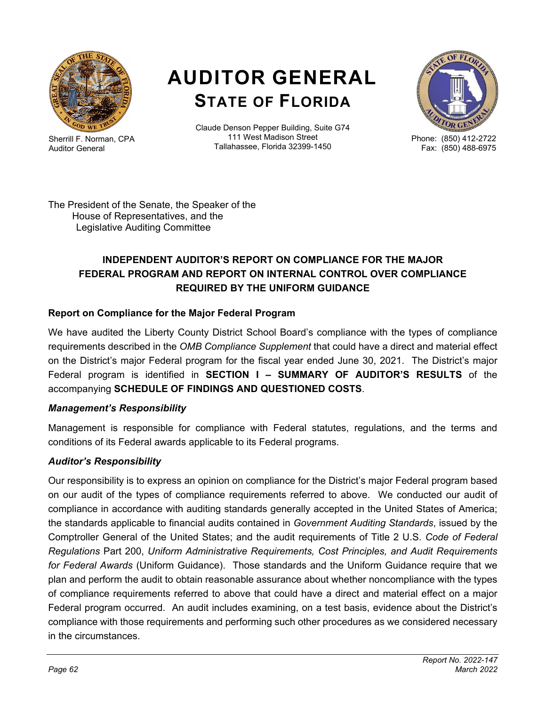

Sherrill F. Norman, CPA Auditor General

# **AUDITOR GENERAL STATE OF FLORIDA**

Claude Denson Pepper Building, Suite G74 111 West Madison Street Tallahassee, Florida 32399-1450



Phone: (850) 412-2722 Fax: (850) 488-6975

The President of the Senate, the Speaker of the House of Representatives, and the Legislative Auditing Committee

### **INDEPENDENT AUDITOR'S REPORT ON COMPLIANCE FOR THE MAJOR FEDERAL PROGRAM AND REPORT ON INTERNAL CONTROL OVER COMPLIANCE REQUIRED BY THE UNIFORM GUIDANCE**

### **Report on Compliance for the Major Federal Program**

We have audited the Liberty County District School Board's compliance with the types of compliance requirements described in the *OMB Compliance Supplement* that could have a direct and material effect on the District's major Federal program for the fiscal year ended June 30, 2021. The District's major Federal program is identified in **SECTION I – SUMMARY OF AUDITOR'S RESULTS** of the accompanying **SCHEDULE OF FINDINGS AND QUESTIONED COSTS**.

### *Management's Responsibility*

Management is responsible for compliance with Federal statutes, regulations, and the terms and conditions of its Federal awards applicable to its Federal programs.

### *Auditor's Responsibility*

Our responsibility is to express an opinion on compliance for the District's major Federal program based on our audit of the types of compliance requirements referred to above. We conducted our audit of compliance in accordance with auditing standards generally accepted in the United States of America; the standards applicable to financial audits contained in *Government Auditing Standards*, issued by the Comptroller General of the United States; and the audit requirements of Title 2 U.S. *Code of Federal Regulations* Part 200, *Uniform Administrative Requirements, Cost Principles, and Audit Requirements for Federal Awards* (Uniform Guidance). Those standards and the Uniform Guidance require that we plan and perform the audit to obtain reasonable assurance about whether noncompliance with the types of compliance requirements referred to above that could have a direct and material effect on a major Federal program occurred. An audit includes examining, on a test basis, evidence about the District's compliance with those requirements and performing such other procedures as we considered necessary in the circumstances.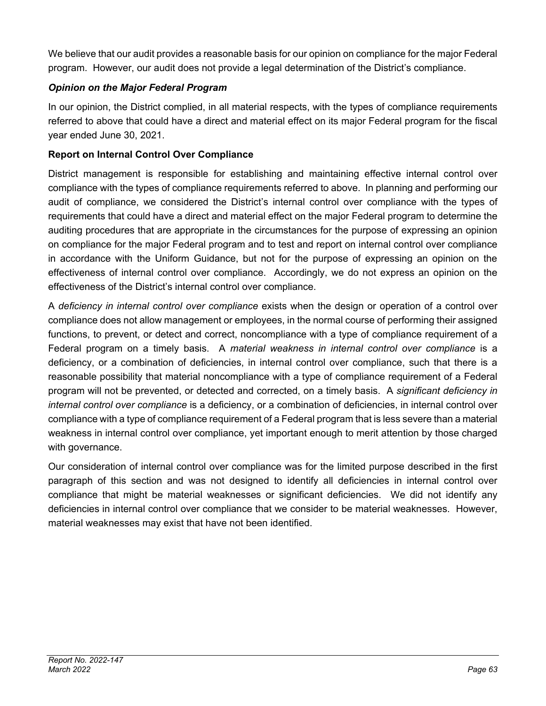We believe that our audit provides a reasonable basis for our opinion on compliance for the major Federal program. However, our audit does not provide a legal determination of the District's compliance.

### *Opinion on the Major Federal Program*

In our opinion, the District complied, in all material respects, with the types of compliance requirements referred to above that could have a direct and material effect on its major Federal program for the fiscal year ended June 30, 2021.

### **Report on Internal Control Over Compliance**

District management is responsible for establishing and maintaining effective internal control over compliance with the types of compliance requirements referred to above. In planning and performing our audit of compliance, we considered the District's internal control over compliance with the types of requirements that could have a direct and material effect on the major Federal program to determine the auditing procedures that are appropriate in the circumstances for the purpose of expressing an opinion on compliance for the major Federal program and to test and report on internal control over compliance in accordance with the Uniform Guidance, but not for the purpose of expressing an opinion on the effectiveness of internal control over compliance. Accordingly, we do not express an opinion on the effectiveness of the District's internal control over compliance.

A *deficiency in internal control over compliance* exists when the design or operation of a control over compliance does not allow management or employees, in the normal course of performing their assigned functions, to prevent, or detect and correct, noncompliance with a type of compliance requirement of a Federal program on a timely basis. A *material weakness in internal control over compliance* is a deficiency, or a combination of deficiencies, in internal control over compliance, such that there is a reasonable possibility that material noncompliance with a type of compliance requirement of a Federal program will not be prevented, or detected and corrected, on a timely basis. A *significant deficiency in internal control over compliance* is a deficiency, or a combination of deficiencies, in internal control over compliance with a type of compliance requirement of a Federal program that is less severe than a material weakness in internal control over compliance, yet important enough to merit attention by those charged with governance.

Our consideration of internal control over compliance was for the limited purpose described in the first paragraph of this section and was not designed to identify all deficiencies in internal control over compliance that might be material weaknesses or significant deficiencies. We did not identify any deficiencies in internal control over compliance that we consider to be material weaknesses. However, material weaknesses may exist that have not been identified.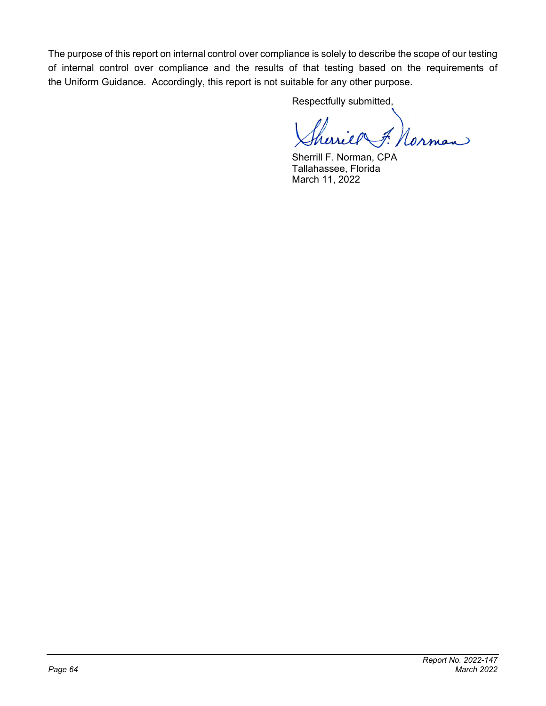The purpose of this report on internal control over compliance is solely to describe the scope of our testing of internal control over compliance and the results of that testing based on the requirements of the Uniform Guidance. Accordingly, this report is not suitable for any other purpose.

Respectfully submitted,

F. Norman

Sherrill F. Norman, CPA Tallahassee, Florida March 11, 2022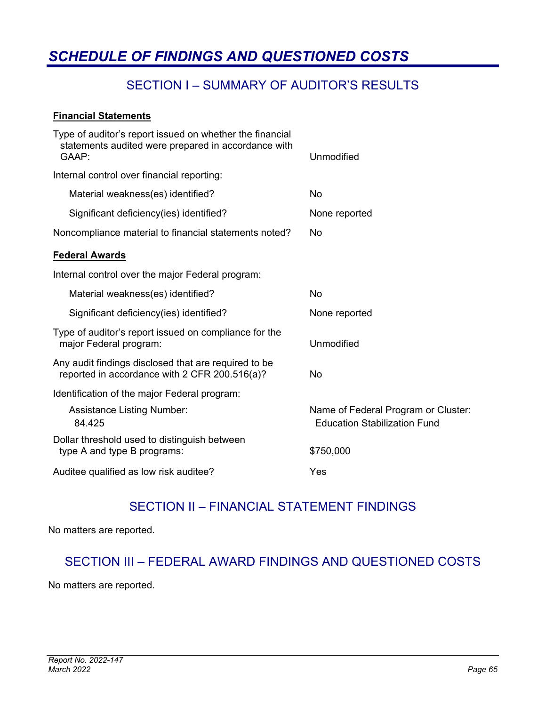# *SCHEDULE OF FINDINGS AND QUESTIONED COSTS*

### SECTION I – SUMMARY OF AUDITOR'S RESULTS

#### **Financial Statements**

| Type of auditor's report issued on whether the financial<br>statements audited were prepared in accordance with<br>GAAP: | Unmodified                                                                 |
|--------------------------------------------------------------------------------------------------------------------------|----------------------------------------------------------------------------|
| Internal control over financial reporting:                                                                               |                                                                            |
| Material weakness(es) identified?                                                                                        | No                                                                         |
| Significant deficiency(ies) identified?                                                                                  | None reported                                                              |
| Noncompliance material to financial statements noted?                                                                    | No                                                                         |
| <b>Federal Awards</b>                                                                                                    |                                                                            |
| Internal control over the major Federal program:                                                                         |                                                                            |
| Material weakness(es) identified?                                                                                        | No                                                                         |
| Significant deficiency(ies) identified?                                                                                  | None reported                                                              |
| Type of auditor's report issued on compliance for the<br>major Federal program:                                          | <b>Unmodified</b>                                                          |
| Any audit findings disclosed that are required to be<br>reported in accordance with 2 CFR 200.516(a)?                    | No                                                                         |
| Identification of the major Federal program:                                                                             |                                                                            |
| <b>Assistance Listing Number:</b><br>84.425                                                                              | Name of Federal Program or Cluster:<br><b>Education Stabilization Fund</b> |
| Dollar threshold used to distinguish between<br>type A and type B programs:                                              | \$750,000                                                                  |
| Auditee qualified as low risk auditee?                                                                                   | Yes                                                                        |

### SECTION II – FINANCIAL STATEMENT FINDINGS

No matters are reported.

### SECTION III – FEDERAL AWARD FINDINGS AND QUESTIONED COSTS

No matters are reported.